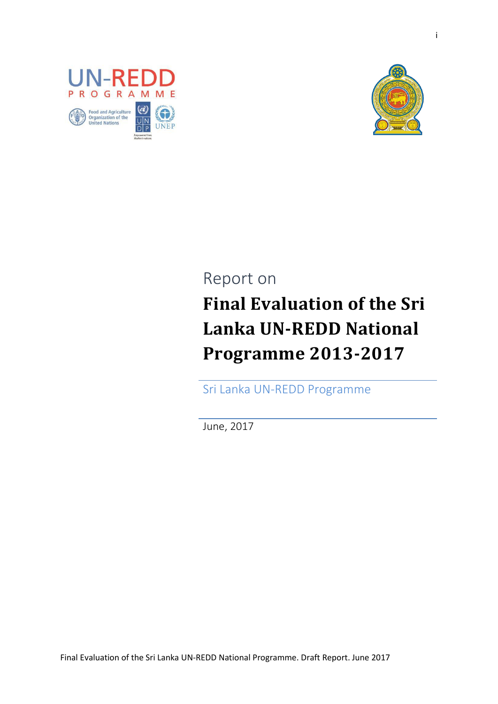



# Report on **Final Evaluation of the Sri Lanka UN-REDD National Programme 2013-2017**

Sri Lanka UN-REDD Programme

June, 2017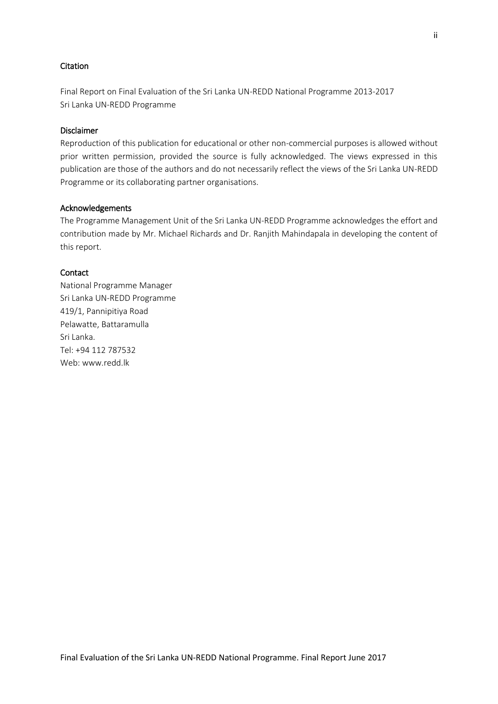#### **Citation**

Final Report on Final Evaluation of the Sri Lanka UN-REDD National Programme 2013-2017 Sri Lanka UN-REDD Programme

#### Disclaimer

Reproduction of this publication for educational or other non-commercial purposes is allowed without prior written permission, provided the source is fully acknowledged. The views expressed in this publication are those of the authors and do not necessarily reflect the views of the Sri Lanka UN-REDD Programme or its collaborating partner organisations.

#### Acknowledgements

The Programme Management Unit of the Sri Lanka UN-REDD Programme acknowledges the effort and contribution made by Mr. Michael Richards and Dr. Ranjith Mahindapala in developing the content of this report.

#### **Contact**

National Programme Manager Sri Lanka UN-REDD Programme 419/1, Pannipitiya Road Pelawatte, Battaramulla Sri Lanka. Tel: +94 112 787532 Web: www.redd.lk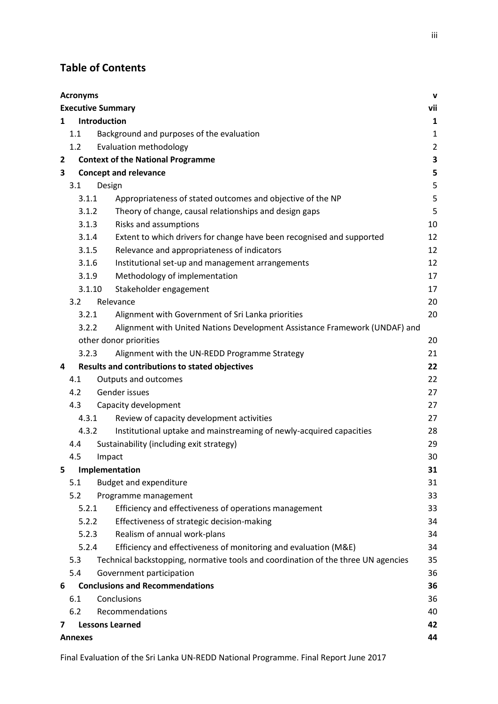# **Table of Contents**

| <b>Acronyms</b><br>V |                                 |                                                                                   |                |  |  |
|----------------------|---------------------------------|-----------------------------------------------------------------------------------|----------------|--|--|
|                      | vii<br><b>Executive Summary</b> |                                                                                   |                |  |  |
|                      | <b>Introduction</b><br>1        |                                                                                   |                |  |  |
|                      | 1.1                             | Background and purposes of the evaluation                                         | $\mathbf{1}$   |  |  |
|                      | 1.2                             | Evaluation methodology                                                            | $\overline{c}$ |  |  |
| $\overline{2}$       |                                 | <b>Context of the National Programme</b>                                          | 3              |  |  |
| $\mathbf{3}$         |                                 | <b>Concept and relevance</b>                                                      | 5              |  |  |
|                      | 3.1                             | Design                                                                            | 5              |  |  |
|                      | 3.1.1                           | Appropriateness of stated outcomes and objective of the NP                        | 5              |  |  |
|                      | 3.1.2                           | Theory of change, causal relationships and design gaps                            | 5              |  |  |
|                      | 3.1.3                           | Risks and assumptions                                                             | 10             |  |  |
|                      | 3.1.4                           | Extent to which drivers for change have been recognised and supported             | 12             |  |  |
|                      | 3.1.5                           | Relevance and appropriateness of indicators                                       | 12             |  |  |
|                      | 3.1.6                           | Institutional set-up and management arrangements                                  | 12             |  |  |
|                      | 3.1.9                           | Methodology of implementation                                                     | 17             |  |  |
|                      | 3.1.10                          | Stakeholder engagement                                                            | 17             |  |  |
|                      | 3.2                             | Relevance                                                                         | 20             |  |  |
|                      | 3.2.1                           | Alignment with Government of Sri Lanka priorities                                 | 20             |  |  |
|                      | 3.2.2                           | Alignment with United Nations Development Assistance Framework (UNDAF) and        |                |  |  |
|                      |                                 | other donor priorities                                                            | 20             |  |  |
|                      | 3.2.3                           | Alignment with the UN-REDD Programme Strategy                                     | 21             |  |  |
| 4                    |                                 | <b>Results and contributions to stated objectives</b>                             | 22             |  |  |
|                      | 4.1                             | Outputs and outcomes                                                              | 22             |  |  |
|                      | 4.2                             | Gender issues                                                                     | 27             |  |  |
|                      | 4.3                             | Capacity development                                                              | 27             |  |  |
|                      | 4.3.1                           | Review of capacity development activities                                         | 27             |  |  |
|                      | 4.3.2                           | Institutional uptake and mainstreaming of newly-acquired capacities               | 28             |  |  |
|                      | 4.4                             | Sustainability (including exit strategy)                                          | 29             |  |  |
|                      | 4.5                             | Impact                                                                            | 30             |  |  |
| 5                    |                                 | Implementation                                                                    | 31             |  |  |
|                      | 5.1                             | <b>Budget and expenditure</b>                                                     | 31             |  |  |
|                      | 5.2                             | Programme management                                                              | 33             |  |  |
|                      | 5.2.1                           | Efficiency and effectiveness of operations management                             | 33             |  |  |
|                      | 5.2.2                           | Effectiveness of strategic decision-making                                        | 34             |  |  |
|                      | 5.2.3                           | Realism of annual work-plans                                                      | 34             |  |  |
|                      | 5.2.4                           | Efficiency and effectiveness of monitoring and evaluation (M&E)                   | 34             |  |  |
|                      | 5.3                             | Technical backstopping, normative tools and coordination of the three UN agencies | 35             |  |  |
|                      | 5.4                             | Government participation                                                          | 36             |  |  |
| 6                    |                                 | <b>Conclusions and Recommendations</b>                                            | 36             |  |  |
|                      | 6.1                             | Conclusions                                                                       | 36             |  |  |
|                      | 6.2                             | Recommendations                                                                   | 40             |  |  |
| 7                    |                                 | <b>Lessons Learned</b>                                                            | 42             |  |  |
|                      | 44<br><b>Annexes</b>            |                                                                                   |                |  |  |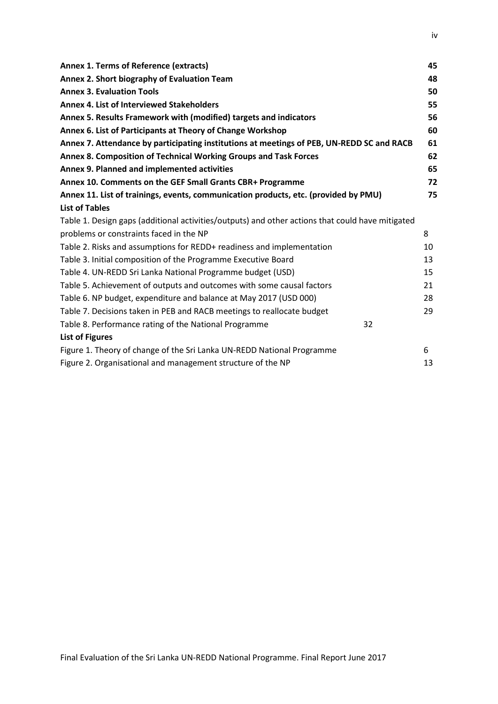| <b>Annex 1. Terms of Reference (extracts)</b>                                                    | 45 |
|--------------------------------------------------------------------------------------------------|----|
| Annex 2. Short biography of Evaluation Team                                                      | 48 |
| <b>Annex 3. Evaluation Tools</b>                                                                 | 50 |
| Annex 4. List of Interviewed Stakeholders                                                        | 55 |
| Annex 5. Results Framework with (modified) targets and indicators                                | 56 |
| Annex 6. List of Participants at Theory of Change Workshop                                       | 60 |
| Annex 7. Attendance by participating institutions at meetings of PEB, UN-REDD SC and RACB        | 61 |
| Annex 8. Composition of Technical Working Groups and Task Forces                                 | 62 |
| Annex 9. Planned and implemented activities                                                      | 65 |
| Annex 10. Comments on the GEF Small Grants CBR+ Programme                                        | 72 |
| Annex 11. List of trainings, events, communication products, etc. (provided by PMU)              | 75 |
| <b>List of Tables</b>                                                                            |    |
| Table 1. Design gaps (additional activities/outputs) and other actions that could have mitigated |    |
| problems or constraints faced in the NP                                                          | 8  |
| Table 2. Risks and assumptions for REDD+ readiness and implementation                            | 10 |
| Table 3. Initial composition of the Programme Executive Board                                    | 13 |
| Table 4. UN-REDD Sri Lanka National Programme budget (USD)                                       | 15 |
| Table 5. Achievement of outputs and outcomes with some causal factors                            | 21 |
| Table 6. NP budget, expenditure and balance at May 2017 (USD 000)                                | 28 |
| Table 7. Decisions taken in PEB and RACB meetings to reallocate budget                           | 29 |
| Table 8. Performance rating of the National Programme<br>32                                      |    |
| <b>List of Figures</b>                                                                           |    |
| Figure 1. Theory of change of the Sri Lanka UN-REDD National Programme                           | 6  |
| Figure 2. Organisational and management structure of the NP                                      | 13 |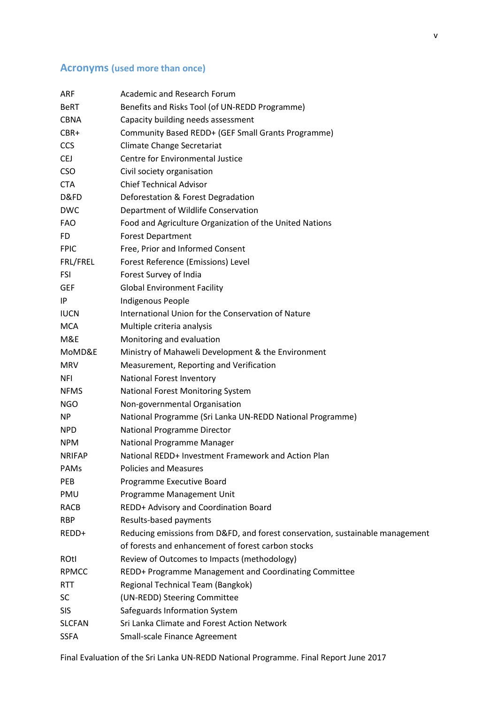# <span id="page-4-0"></span>**Acronyms (used more than once)**

| <b>ARF</b>    | <b>Academic and Research Forum</b>                                            |  |  |
|---------------|-------------------------------------------------------------------------------|--|--|
| BeRT          | Benefits and Risks Tool (of UN-REDD Programme)                                |  |  |
| <b>CBNA</b>   | Capacity building needs assessment                                            |  |  |
| CBR+          | Community Based REDD+ (GEF Small Grants Programme)                            |  |  |
| <b>CCS</b>    | Climate Change Secretariat                                                    |  |  |
| <b>CEJ</b>    | <b>Centre for Environmental Justice</b>                                       |  |  |
| <b>CSO</b>    | Civil society organisation                                                    |  |  |
| <b>CTA</b>    | <b>Chief Technical Advisor</b>                                                |  |  |
| D&FD          | Deforestation & Forest Degradation                                            |  |  |
| <b>DWC</b>    | Department of Wildlife Conservation                                           |  |  |
| <b>FAO</b>    | Food and Agriculture Organization of the United Nations                       |  |  |
| FD.           | <b>Forest Department</b>                                                      |  |  |
| <b>FPIC</b>   | Free, Prior and Informed Consent                                              |  |  |
| FRL/FREL      | Forest Reference (Emissions) Level                                            |  |  |
| <b>FSI</b>    | Forest Survey of India                                                        |  |  |
| <b>GEF</b>    | <b>Global Environment Facility</b>                                            |  |  |
| IP            | Indigenous People                                                             |  |  |
| <b>IUCN</b>   | International Union for the Conservation of Nature                            |  |  |
| MCA           | Multiple criteria analysis                                                    |  |  |
| M&E           | Monitoring and evaluation                                                     |  |  |
| MoMD&E        | Ministry of Mahaweli Development & the Environment                            |  |  |
| <b>MRV</b>    | Measurement, Reporting and Verification                                       |  |  |
| <b>NFI</b>    | National Forest Inventory                                                     |  |  |
| <b>NFMS</b>   | National Forest Monitoring System                                             |  |  |
| <b>NGO</b>    | Non-governmental Organisation                                                 |  |  |
| NP            | National Programme (Sri Lanka UN-REDD National Programme)                     |  |  |
| <b>NPD</b>    | National Programme Director                                                   |  |  |
| <b>NPM</b>    | National Programme Manager                                                    |  |  |
| <b>NRIFAP</b> | National REDD+ Investment Framework and Action Plan                           |  |  |
| PAMs          | <b>Policies and Measures</b>                                                  |  |  |
| <b>PEB</b>    | Programme Executive Board                                                     |  |  |
| PMU           | Programme Management Unit                                                     |  |  |
| RACB          | REDD+ Advisory and Coordination Board                                         |  |  |
| <b>RBP</b>    | Results-based payments                                                        |  |  |
| REDD+         | Reducing emissions from D&FD, and forest conservation, sustainable management |  |  |
|               | of forests and enhancement of forest carbon stocks                            |  |  |
| ROtl          | Review of Outcomes to Impacts (methodology)                                   |  |  |
| <b>RPMCC</b>  | REDD+ Programme Management and Coordinating Committee                         |  |  |
| <b>RTT</b>    | Regional Technical Team (Bangkok)                                             |  |  |
| SC.           | (UN-REDD) Steering Committee                                                  |  |  |
| <b>SIS</b>    | Safeguards Information System                                                 |  |  |
| <b>SLCFAN</b> | Sri Lanka Climate and Forest Action Network                                   |  |  |
| <b>SSFA</b>   | Small-scale Finance Agreement                                                 |  |  |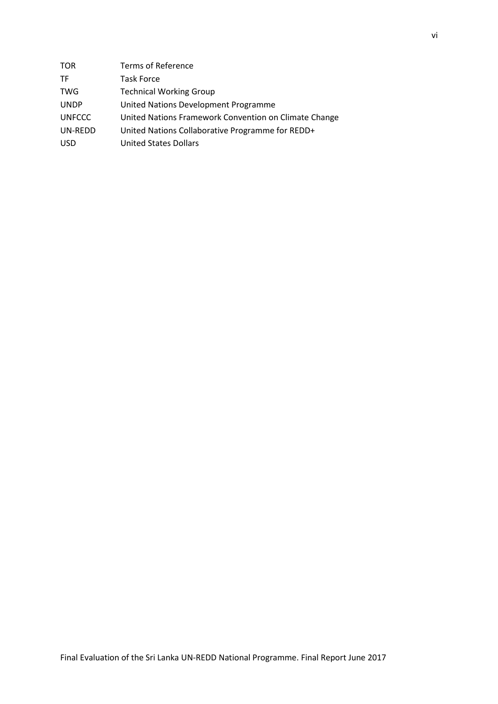<span id="page-5-0"></span>

| <b>TOR</b>    | Terms of Reference                                    |
|---------------|-------------------------------------------------------|
| TF            | <b>Task Force</b>                                     |
| <b>TWG</b>    | <b>Technical Working Group</b>                        |
| <b>UNDP</b>   | United Nations Development Programme                  |
| <b>UNFCCC</b> | United Nations Framework Convention on Climate Change |
| UN-REDD       | United Nations Collaborative Programme for REDD+      |
| <b>USD</b>    | <b>United States Dollars</b>                          |
|               |                                                       |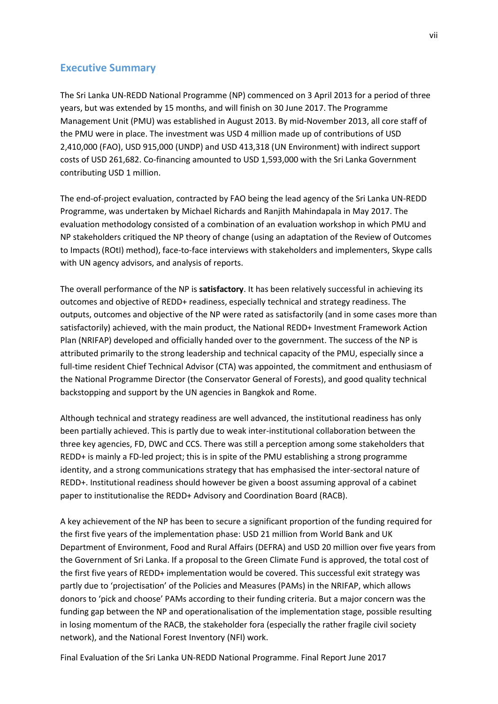# **Executive Summary**

The Sri Lanka UN-REDD National Programme (NP) commenced on 3 April 2013 for a period of three years, but was extended by 15 months, and will finish on 30 June 2017. The Programme Management Unit (PMU) was established in August 2013. By mid-November 2013, all core staff of the PMU were in place. The investment was USD 4 million made up of contributions of USD 2,410,000 (FAO), USD 915,000 (UNDP) and USD 413,318 (UN Environment) with indirect support costs of USD 261,682. Co-financing amounted to USD 1,593,000 with the Sri Lanka Government contributing USD 1 million.

The end-of-project evaluation, contracted by FAO being the lead agency of the Sri Lanka UN-REDD Programme, was undertaken by Michael Richards and Ranjith Mahindapala in May 2017. The evaluation methodology consisted of a combination of an evaluation workshop in which PMU and NP stakeholders critiqued the NP theory of change (using an adaptation of the Review of Outcomes to Impacts (ROtI) method), face-to-face interviews with stakeholders and implementers, Skype calls with UN agency advisors, and analysis of reports.

The overall performance of the NP is **satisfactory**. It has been relatively successful in achieving its outcomes and objective of REDD+ readiness, especially technical and strategy readiness. The outputs, outcomes and objective of the NP were rated as satisfactorily (and in some cases more than satisfactorily) achieved, with the main product, the National REDD+ Investment Framework Action Plan (NRIFAP) developed and officially handed over to the government. The success of the NP is attributed primarily to the strong leadership and technical capacity of the PMU, especially since a full-time resident Chief Technical Advisor (CTA) was appointed, the commitment and enthusiasm of the National Programme Director (the Conservator General of Forests), and good quality technical backstopping and support by the UN agencies in Bangkok and Rome.

Although technical and strategy readiness are well advanced, the institutional readiness has only been partially achieved. This is partly due to weak inter-institutional collaboration between the three key agencies, FD, DWC and CCS. There was still a perception among some stakeholders that REDD+ is mainly a FD-led project; this is in spite of the PMU establishing a strong programme identity, and a strong communications strategy that has emphasised the inter-sectoral nature of REDD+. Institutional readiness should however be given a boost assuming approval of a cabinet paper to institutionalise the REDD+ Advisory and Coordination Board (RACB).

A key achievement of the NP has been to secure a significant proportion of the funding required for the first five years of the implementation phase: USD 21 million from World Bank and UK Department of Environment, Food and Rural Affairs (DEFRA) and USD 20 million over five years from the Government of Sri Lanka. If a proposal to the Green Climate Fund is approved, the total cost of the first five years of REDD+ implementation would be covered. This successful exit strategy was partly due to 'projectisation' of the Policies and Measures (PAMs) in the NRIFAP, which allows donors to 'pick and choose' PAMs according to their funding criteria. But a major concern was the funding gap between the NP and operationalisation of the implementation stage, possible resulting in losing momentum of the RACB, the stakeholder fora (especially the rather fragile civil society network), and the National Forest Inventory (NFI) work.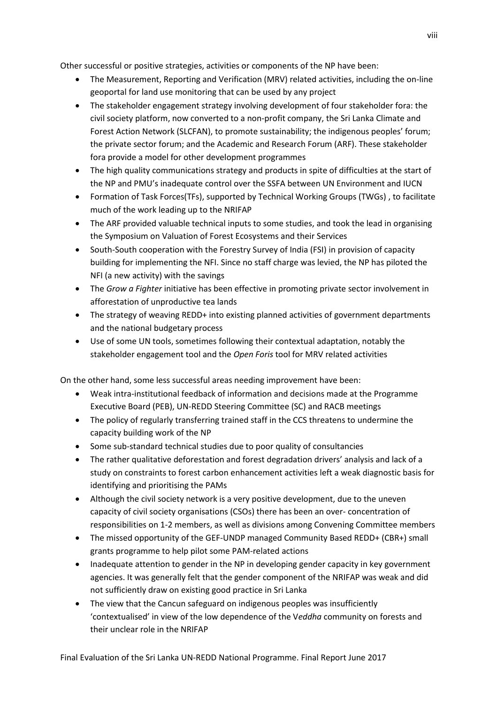Other successful or positive strategies, activities or components of the NP have been:

- The Measurement, Reporting and Verification (MRV) related activities, including the on-line geoportal for land use monitoring that can be used by any project
- The stakeholder engagement strategy involving development of four stakeholder fora: the civil society platform, now converted to a non-profit company, the Sri Lanka Climate and Forest Action Network (SLCFAN), to promote sustainability; the indigenous peoples' forum; the private sector forum; and the Academic and Research Forum (ARF). These stakeholder fora provide a model for other development programmes
- The high quality communications strategy and products in spite of difficulties at the start of the NP and PMU's inadequate control over the SSFA between UN Environment and IUCN
- Formation of Task Forces(TFs), supported by Technical Working Groups (TWGs) , to facilitate much of the work leading up to the NRIFAP
- The ARF provided valuable technical inputs to some studies, and took the lead in organising the Symposium on Valuation of Forest Ecosystems and their Services
- South-South cooperation with the Forestry Survey of India (FSI) in provision of capacity building for implementing the NFI. Since no staff charge was levied, the NP has piloted the NFI (a new activity) with the savings
- The *Grow a Fighter* initiative has been effective in promoting private sector involvement in afforestation of unproductive tea lands
- The strategy of weaving REDD+ into existing planned activities of government departments and the national budgetary process
- Use of some UN tools, sometimes following their contextual adaptation, notably the stakeholder engagement tool and the *Open Foris* tool for MRV related activities

On the other hand, some less successful areas needing improvement have been:

- Weak intra-institutional feedback of information and decisions made at the Programme Executive Board (PEB), UN-REDD Steering Committee (SC) and RACB meetings
- The policy of regularly transferring trained staff in the CCS threatens to undermine the capacity building work of the NP
- Some sub-standard technical studies due to poor quality of consultancies
- The rather qualitative deforestation and forest degradation drivers' analysis and lack of a study on constraints to forest carbon enhancement activities left a weak diagnostic basis for identifying and prioritising the PAMs
- Although the civil society network is a very positive development, due to the uneven capacity of civil society organisations (CSOs) there has been an over- concentration of responsibilities on 1-2 members, as well as divisions among Convening Committee members
- The missed opportunity of the GEF-UNDP managed Community Based REDD+ (CBR+) small grants programme to help pilot some PAM-related actions
- Inadequate attention to gender in the NP in developing gender capacity in key government agencies. It was generally felt that the gender component of the NRIFAP was weak and did not sufficiently draw on existing good practice in Sri Lanka
- The view that the Cancun safeguard on indigenous peoples was insufficiently 'contextualised' in view of the low dependence of the V*eddha* community on forests and their unclear role in the NRIFAP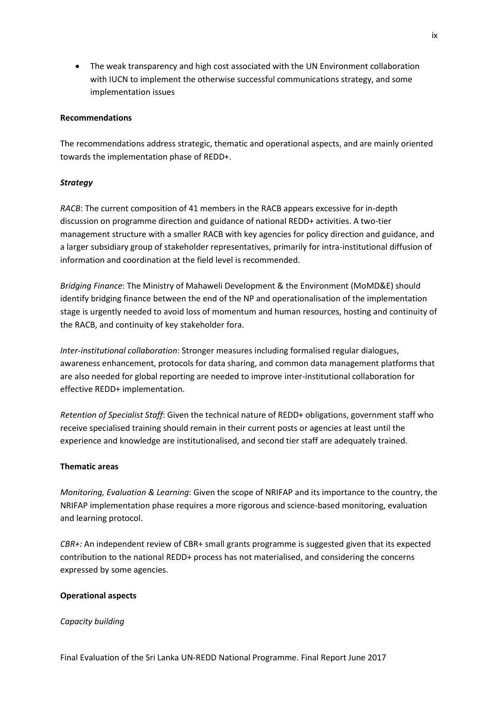• The weak transparency and high cost associated with the UN Environment collaboration with IUCN to implement the otherwise successful communications strategy, and some implementation issues

#### **Recommendations**

The recommendations address strategic, thematic and operational aspects, and are mainly oriented towards the implementation phase of REDD+.

#### *Strategy*

*RACB*: The current composition of 41 members in the RACB appears excessive for in-depth discussion on programme direction and guidance of national REDD+ activities. A two-tier management structure with a smaller RACB with key agencies for policy direction and guidance, and a larger subsidiary group of stakeholder representatives, primarily for intra-institutional diffusion of information and coordination at the field level is recommended.

*Bridging Finance*: The Ministry of Mahaweli Development & the Environment (MoMD&E) should identify bridging finance between the end of the NP and operationalisation of the implementation stage is urgently needed to avoid loss of momentum and human resources, hosting and continuity of the RACB, and continuity of key stakeholder fora.

*Inter-institutional collaboration*: Stronger measures including formalised regular dialogues, awareness enhancement, protocols for data sharing, and common data management platforms that are also needed for global reporting are needed to improve inter-institutional collaboration for effective REDD+ implementation.

*Retention of Specialist Staff*: Given the technical nature of REDD+ obligations, government staff who receive specialised training should remain in their current posts or agencies at least until the experience and knowledge are institutionalised, and second tier staff are adequately trained.

#### **Thematic areas**

*Monitoring, Evaluation & Learning*: Given the scope of NRIFAP and its importance to the country, the NRIFAP implementation phase requires a more rigorous and science-based monitoring, evaluation and learning protocol.

*CBR+:* An independent review of CBR+ small grants programme is suggested given that its expected contribution to the national REDD+ process has not materialised, and considering the concerns expressed by some agencies.

#### **Operational aspects**

#### *Capacity building*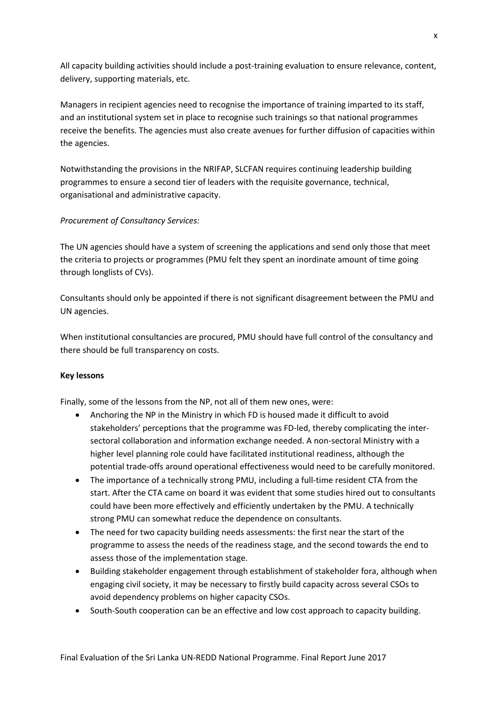All capacity building activities should include a post-training evaluation to ensure relevance, content, delivery, supporting materials, etc.

Managers in recipient agencies need to recognise the importance of training imparted to its staff, and an institutional system set in place to recognise such trainings so that national programmes receive the benefits. The agencies must also create avenues for further diffusion of capacities within the agencies.

Notwithstanding the provisions in the NRIFAP, SLCFAN requires continuing leadership building programmes to ensure a second tier of leaders with the requisite governance, technical, organisational and administrative capacity.

#### *Procurement of Consultancy Services:*

The UN agencies should have a system of screening the applications and send only those that meet the criteria to projects or programmes (PMU felt they spent an inordinate amount of time going through longlists of CVs).

Consultants should only be appointed if there is not significant disagreement between the PMU and UN agencies.

When institutional consultancies are procured, PMU should have full control of the consultancy and there should be full transparency on costs.

#### **Key lessons**

Finally, some of the lessons from the NP, not all of them new ones, were:

- Anchoring the NP in the Ministry in which FD is housed made it difficult to avoid stakeholders' perceptions that the programme was FD-led, thereby complicating the intersectoral collaboration and information exchange needed. A non-sectoral Ministry with a higher level planning role could have facilitated institutional readiness, although the potential trade-offs around operational effectiveness would need to be carefully monitored.
- The importance of a technically strong PMU, including a full-time resident CTA from the start. After the CTA came on board it was evident that some studies hired out to consultants could have been more effectively and efficiently undertaken by the PMU. A technically strong PMU can somewhat reduce the dependence on consultants.
- The need for two capacity building needs assessments: the first near the start of the programme to assess the needs of the readiness stage, and the second towards the end to assess those of the implementation stage.
- Building stakeholder engagement through establishment of stakeholder fora, although when engaging civil society, it may be necessary to firstly build capacity across several CSOs to avoid dependency problems on higher capacity CSOs.
- South-South cooperation can be an effective and low cost approach to capacity building.

x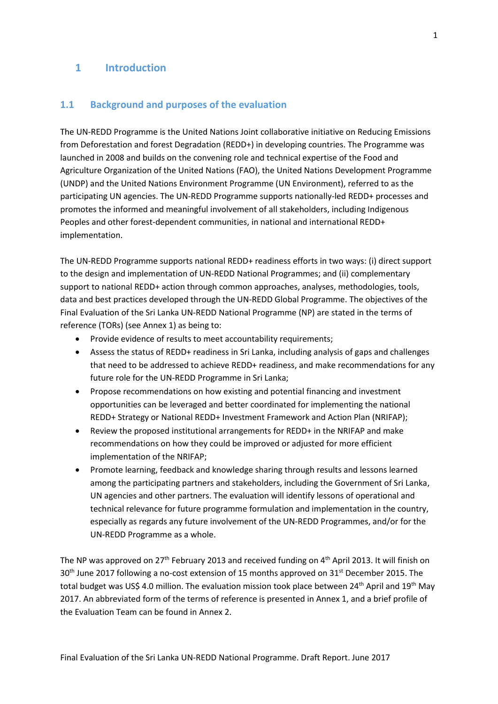# <span id="page-10-0"></span>**1 Introduction**

#### <span id="page-10-1"></span>**1.1 Background and purposes of the evaluation**

The UN-REDD Programme is the United Nations Joint collaborative initiative on Reducing Emissions from Deforestation and forest Degradation (REDD+) in developing countries. The Programme was launched in 2008 and builds on the convening role and technical expertise of the Food and Agriculture Organization of the United Nations (FAO), the United Nations Development Programme (UNDP) and the United Nations Environment Programme (UN Environment), referred to as the participating UN agencies. The UN-REDD Programme supports nationally-led REDD+ processes and promotes the informed and meaningful involvement of all stakeholders, including Indigenous Peoples and other forest-dependent communities, in national and international REDD+ implementation.

The UN-REDD Programme supports national REDD+ readiness efforts in two ways: (i) direct support to the design and implementation of UN-REDD National Programmes; and (ii) complementary support to national REDD+ action through common approaches, analyses, methodologies, tools, data and best practices developed through the UN-REDD Global Programme. The objectives of the Final Evaluation of the Sri Lanka UN-REDD National Programme (NP) are stated in the terms of reference (TORs) (see Annex 1) as being to:

- Provide evidence of results to meet accountability requirements;
- Assess the status of REDD+ readiness in Sri Lanka, including analysis of gaps and challenges that need to be addressed to achieve REDD+ readiness, and make recommendations for any future role for the UN-REDD Programme in Sri Lanka;
- Propose recommendations on how existing and potential financing and investment opportunities can be leveraged and better coordinated for implementing the national REDD+ Strategy or National REDD+ Investment Framework and Action Plan (NRIFAP);
- Review the proposed institutional arrangements for REDD+ in the NRIFAP and make recommendations on how they could be improved or adjusted for more efficient implementation of the NRIFAP;
- Promote learning, feedback and knowledge sharing through results and lessons learned among the participating partners and stakeholders, including the Government of Sri Lanka, UN agencies and other partners. The evaluation will identify lessons of operational and technical relevance for future programme formulation and implementation in the country, especially as regards any future involvement of the UN-REDD Programmes, and/or for the UN-REDD Programme as a whole.

The NP was approved on 27<sup>th</sup> February 2013 and received funding on  $4<sup>th</sup>$  April 2013. It will finish on 30<sup>th</sup> June 2017 following a no-cost extension of 15 months approved on 31<sup>st</sup> December 2015. The total budget was US\$ 4.0 million. The evaluation mission took place between  $24<sup>th</sup>$  April and  $19<sup>th</sup>$  May 2017. An abbreviated form of the terms of reference is presented in Annex 1, and a brief profile of the Evaluation Team can be found in Annex 2.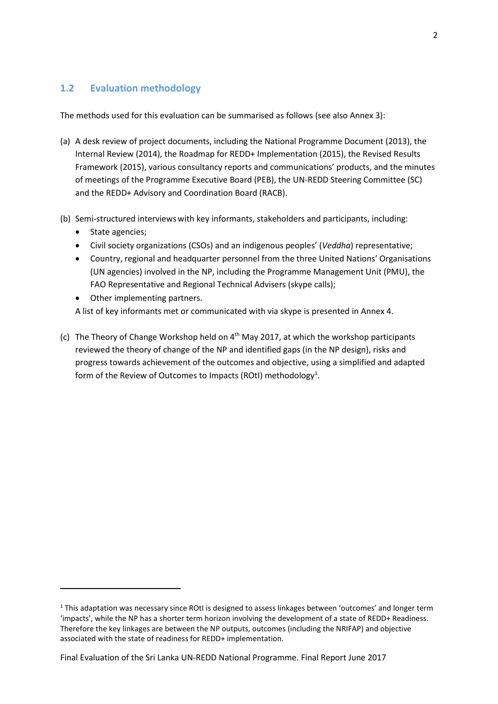# <span id="page-11-0"></span>**1.2 Evaluation methodology**

The methods used for this evaluation can be summarised as follows (see also Annex 3):

- (a) A desk review of project documents, including the National Programme Document (2013), the Internal Review (2014), the Roadmap for REDD+ Implementation (2015), the Revised Results Framework (2015), various consultancy reports and communications' products, and the minutes of meetings of the Programme Executive Board (PEB), the UN-REDD Steering Committee (SC) and the REDD+ Advisory and Coordination Board (RACB).
- (b) Semi-structured interviewswith key informants, stakeholders and participants, including:
	- State agencies;

1

- Civil society organizations (CSOs) and an indigenous peoples' (*Veddha*) representative;
- Country, regional and headquarter personnel from the three United Nations' Organisations (UN agencies) involved in the NP, including the Programme Management Unit (PMU), the FAO Representative and Regional Technical Advisers (skype calls);
- Other implementing partners.

A list of key informants met or communicated with via skype is presented in Annex 4.

(c) The Theory of Change Workshop held on  $4<sup>th</sup>$  May 2017, at which the workshop participants reviewed the theory of change of the NP and identified gaps (in the NP design), risks and progress towards achievement of the outcomes and objective, using a simplified and adapted form of the Review of Outcomes to Impacts (ROtI) methodology<sup>1</sup>.

<sup>1</sup> This adaptation was necessary since ROtI is designed to assess linkages between 'outcomes' and longer term 'impacts', while the NP has a shorter term horizon involving the development of a state of REDD+ Readiness. Therefore the key linkages are between the NP outputs, outcomes (including the NRIFAP) and objective associated with the state of readiness for REDD+ implementation.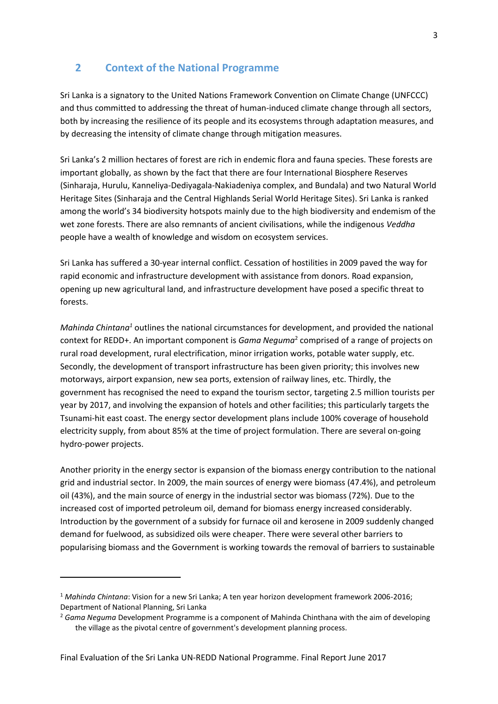# <span id="page-12-0"></span>**2 Context of the National Programme**

Sri Lanka is a signatory to the United Nations Framework Convention on Climate Change (UNFCCC) and thus committed to addressing the threat of human-induced climate change through all sectors, both by increasing the resilience of its people and its ecosystems through adaptation measures, and by decreasing the intensity of climate change through mitigation measures.

Sri Lanka's 2 million hectares of forest are rich in endemic flora and fauna species. These forests are important globally, as shown by the fact that there are four International Biosphere Reserves (Sinharaja, Hurulu, Kanneliya-Dediyagala-Nakiadeniya complex, and Bundala) and two Natural World Heritage Sites (Sinharaja and the Central Highlands Serial World Heritage Sites). Sri Lanka is ranked among the world's 34 biodiversity hotspots mainly due to the high biodiversity and endemism of the wet zone forests. There are also remnants of ancient civilisations, while the indigenous *Veddha*  people have a wealth of knowledge and wisdom on ecosystem services.

Sri Lanka has suffered a 30-year internal conflict. Cessation of hostilities in 2009 paved the way for rapid economic and infrastructure development with assistance from donors. Road expansion, opening up new agricultural land, and infrastructure development have posed a specific threat to forests.

*Mahinda Chintana<sup>1</sup>* outlines the national circumstances for development, and provided the national context for REDD+. An important component is *Gama Neguma*<sup>2</sup> comprised of a range of projects on rural road development, rural electrification, minor irrigation works, potable water supply, etc. Secondly, the development of transport infrastructure has been given priority; this involves new motorways, airport expansion, new sea ports, extension of railway lines, etc. Thirdly, the government has recognised the need to expand the tourism sector, targeting 2.5 million tourists per year by 2017, and involving the expansion of hotels and other facilities; this particularly targets the Tsunami-hit east coast. The energy sector development plans include 100% coverage of household electricity supply, from about 85% at the time of project formulation. There are several on-going hydro-power projects.

Another priority in the energy sector is expansion of the biomass energy contribution to the national grid and industrial sector. In 2009, the main sources of energy were biomass (47.4%), and petroleum oil (43%), and the main source of energy in the industrial sector was biomass (72%). Due to the increased cost of imported petroleum oil, demand for biomass energy increased considerably. Introduction by the government of a subsidy for furnace oil and kerosene in 2009 suddenly changed demand for fuelwood, as subsidized oils were cheaper. There were several other barriers to popularising biomass and the Government is working towards the removal of barriers to sustainable

 $\overline{a}$ 

<sup>1</sup> *Mahinda Chintana*: Vision for a new Sri Lanka; A ten year horizon development framework 2006-2016; Department of National Planning, Sri Lanka

<sup>2</sup> *Gama Neguma* Development Programme is a component of Mahinda Chinthana with the aim of developing the village as the pivotal centre of government's development planning process.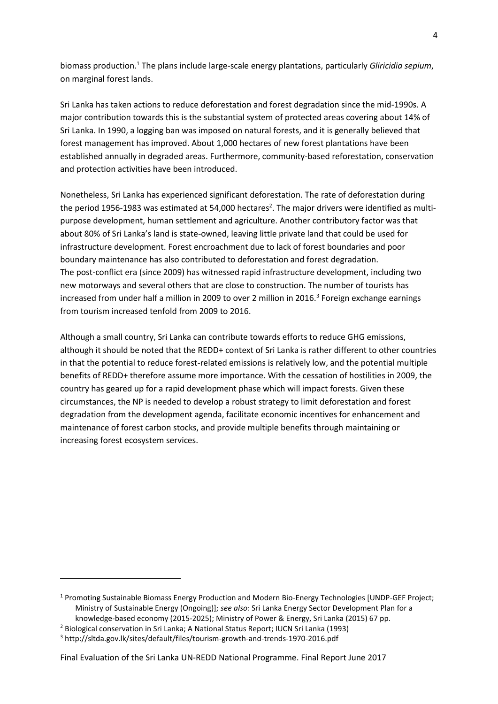biomass production.<sup>1</sup> The plans include large-scale energy plantations, particularly *Gliricidia sepium*, on marginal forest lands.

Sri Lanka has taken actions to reduce deforestation and forest degradation since the mid-1990s. A major contribution towards this is the substantial system of protected areas covering about 14% of Sri Lanka. In 1990, a logging ban was imposed on natural forests, and it is generally believed that forest management has improved. About 1,000 hectares of new forest plantations have been established annually in degraded areas. Furthermore, community-based reforestation, conservation and protection activities have been introduced.

Nonetheless, Sri Lanka has experienced significant deforestation. The rate of deforestation during the period 1956-1983 was estimated at 54,000 hectares<sup>2</sup>. The major drivers were identified as multipurpose development, human settlement and agriculture. Another contributory factor was that about 80% of Sri Lanka's land is state-owned, leaving little private land that could be used for infrastructure development. Forest encroachment due to lack of forest boundaries and poor boundary maintenance has also contributed to deforestation and forest degradation. The post-conflict era (since 2009) has witnessed rapid infrastructure development, including two new motorways and several others that are close to construction. The number of tourists has increased from under half a million in 2009 to over 2 million in 2016.<sup>3</sup> Foreign exchange earnings from tourism increased tenfold from 2009 to 2016.

Although a small country, Sri Lanka can contribute towards efforts to reduce GHG emissions, although it should be noted that the REDD+ context of Sri Lanka is rather different to other countries in that the potential to reduce forest-related emissions is relatively low, and the potential multiple benefits of REDD+ therefore assume more importance. With the cessation of hostilities in 2009, the country has geared up for a rapid development phase which will impact forests. Given these circumstances, the NP is needed to develop a robust strategy to limit deforestation and forest degradation from the development agenda, facilitate economic incentives for enhancement and maintenance of forest carbon stocks, and provide multiple benefits through maintaining or increasing forest ecosystem services.

**.** 

<sup>1</sup> Promoting Sustainable Biomass Energy Production and Modern Bio-Energy Technologies [UNDP-GEF Project; Ministry of Sustainable Energy (Ongoing)]; *see also:* Sri Lanka Energy Sector Development Plan for a knowledge-based economy (2015-2025); Ministry of Power & Energy, Sri Lanka (2015) 67 pp.

<sup>&</sup>lt;sup>2</sup> Biological conservation in Sri Lanka; A National Status Report; IUCN Sri Lanka (1993)

<sup>3</sup> http://sltda.gov.lk/sites/default/files/tourism-growth-and-trends-1970-2016.pdf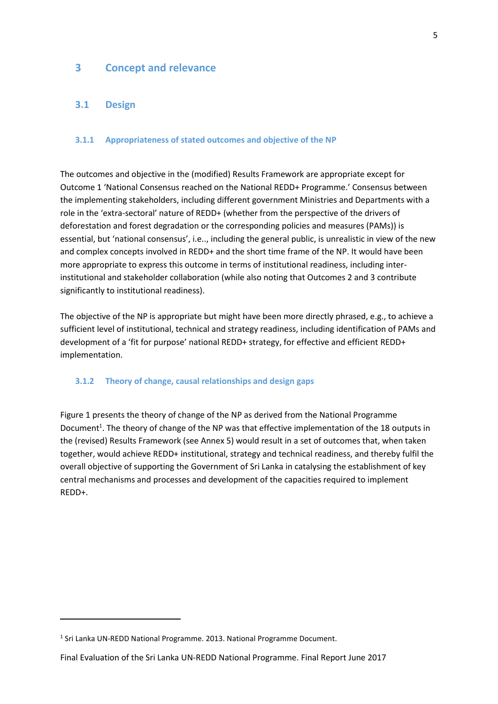# <span id="page-14-0"></span>**3 Concept and relevance**

#### <span id="page-14-1"></span>**3.1 Design**

#### <span id="page-14-2"></span>**3.1.1 Appropriateness of stated outcomes and objective of the NP**

The outcomes and objective in the (modified) Results Framework are appropriate except for Outcome 1 'National Consensus reached on the National REDD+ Programme.' Consensus between the implementing stakeholders, including different government Ministries and Departments with a role in the 'extra-sectoral' nature of REDD+ (whether from the perspective of the drivers of deforestation and forest degradation or the corresponding policies and measures (PAMs)) is essential, but 'national consensus', i.e.., including the general public, is unrealistic in view of the new and complex concepts involved in REDD+ and the short time frame of the NP. It would have been more appropriate to express this outcome in terms of institutional readiness, including interinstitutional and stakeholder collaboration (while also noting that Outcomes 2 and 3 contribute significantly to institutional readiness).

The objective of the NP is appropriate but might have been more directly phrased, e.g., to achieve a sufficient level of institutional, technical and strategy readiness, including identification of PAMs and development of a 'fit for purpose' national REDD+ strategy, for effective and efficient REDD+ implementation.

#### <span id="page-14-3"></span>**3.1.2 Theory of change, causal relationships and design gaps**

Figure 1 presents the theory of change of the NP as derived from the National Programme Document<sup>1</sup>. The theory of change of the NP was that effective implementation of the 18 outputs in the (revised) Results Framework (see Annex 5) would result in a set of outcomes that, when taken together, would achieve REDD+ institutional, strategy and technical readiness, and thereby fulfil the overall objective of supporting the Government of Sri Lanka in catalysing the establishment of key central mechanisms and processes and development of the capacities required to implement REDD+.

**.** 

<sup>&</sup>lt;sup>1</sup> Sri Lanka UN-REDD National Programme. 2013. National Programme Document.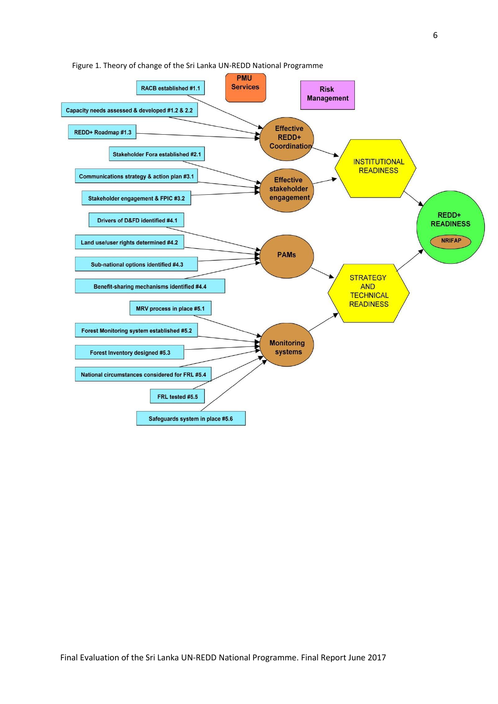

Figure 1. Theory of change of the Sri Lanka UN-REDD National Programme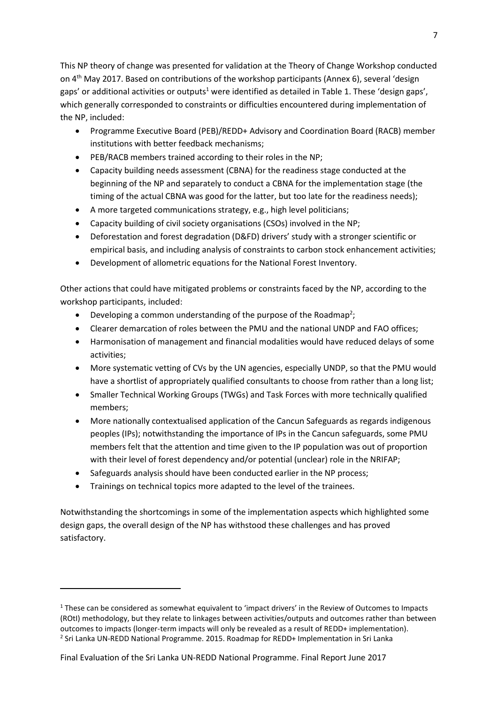This NP theory of change was presented for validation at the Theory of Change Workshop conducted on 4th May 2017. Based on contributions of the workshop participants (Annex 6), several 'design gaps' or additional activities or outputs<sup>1</sup> were identified as detailed in Table 1. These 'design gaps', which generally corresponded to constraints or difficulties encountered during implementation of the NP, included:

- Programme Executive Board (PEB)/REDD+ Advisory and Coordination Board (RACB) member institutions with better feedback mechanisms;
- PEB/RACB members trained according to their roles in the NP;
- Capacity building needs assessment (CBNA) for the readiness stage conducted at the beginning of the NP and separately to conduct a CBNA for the implementation stage (the timing of the actual CBNA was good for the latter, but too late for the readiness needs);
- A more targeted communications strategy, e.g., high level politicians;
- Capacity building of civil society organisations (CSOs) involved in the NP;
- Deforestation and forest degradation (D&FD) drivers' study with a stronger scientific or empirical basis, and including analysis of constraints to carbon stock enhancement activities;
- Development of allometric equations for the National Forest Inventory.

Other actions that could have mitigated problems or constraints faced by the NP, according to the workshop participants, included:

- Developing a common understanding of the purpose of the Roadmap<sup>2</sup>;
- Clearer demarcation of roles between the PMU and the national UNDP and FAO offices;
- Harmonisation of management and financial modalities would have reduced delays of some activities;
- More systematic vetting of CVs by the UN agencies, especially UNDP, so that the PMU would have a shortlist of appropriately qualified consultants to choose from rather than a long list;
- Smaller Technical Working Groups (TWGs) and Task Forces with more technically qualified members;
- More nationally contextualised application of the Cancun Safeguards as regards indigenous peoples (IPs); notwithstanding the importance of IPs in the Cancun safeguards, some PMU members felt that the attention and time given to the IP population was out of proportion with their level of forest dependency and/or potential (unclear) role in the NRIFAP;
- Safeguards analysis should have been conducted earlier in the NP process;
- Trainings on technical topics more adapted to the level of the trainees.

1

Notwithstanding the shortcomings in some of the implementation aspects which highlighted some design gaps, the overall design of the NP has withstood these challenges and has proved satisfactory.

<sup>1</sup> These can be considered as somewhat equivalent to 'impact drivers' in the Review of Outcomes to Impacts (ROtI) methodology, but they relate to linkages between activities/outputs and outcomes rather than between outcomes to impacts (longer-term impacts will only be revealed as a result of REDD+ implementation). <sup>2</sup> Sri Lanka UN-REDD National Programme. 2015. Roadmap for REDD+ Implementation in Sri Lanka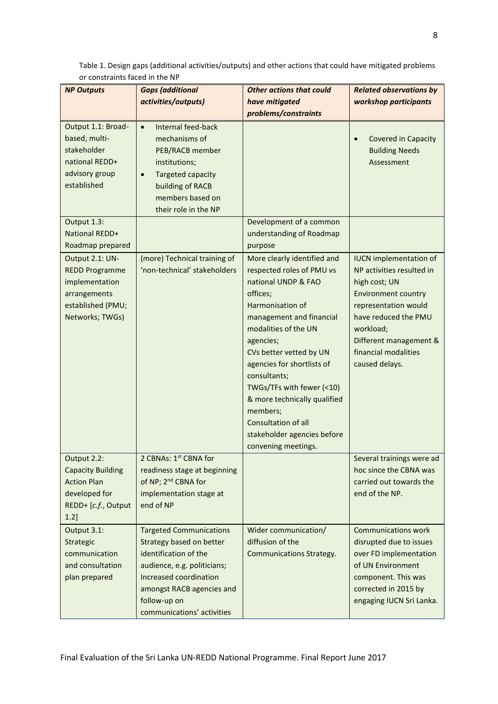| <b>NP Outputs</b>                                                                                                  | <b>Gaps (additional</b>                                                                                                                                                                                                 | <b>Other actions that could</b>                                                                                                                                                                                                                                                                                                                                                                                        | <b>Related observations by</b>                                                                                                                                                                                                             |
|--------------------------------------------------------------------------------------------------------------------|-------------------------------------------------------------------------------------------------------------------------------------------------------------------------------------------------------------------------|------------------------------------------------------------------------------------------------------------------------------------------------------------------------------------------------------------------------------------------------------------------------------------------------------------------------------------------------------------------------------------------------------------------------|--------------------------------------------------------------------------------------------------------------------------------------------------------------------------------------------------------------------------------------------|
|                                                                                                                    | activities/outputs)                                                                                                                                                                                                     | have mitigated<br>problems/constraints                                                                                                                                                                                                                                                                                                                                                                                 | workshop participants                                                                                                                                                                                                                      |
| Output 1.1: Broad-<br>based, multi-<br>stakeholder<br>national REDD+<br>advisory group<br>established              | Internal feed-back<br>$\bullet$<br>mechanisms of<br>PEB/RACB member<br>institutions;<br><b>Targeted capacity</b><br>$\bullet$<br>building of RACB<br>members based on<br>their role in the NP                           |                                                                                                                                                                                                                                                                                                                                                                                                                        | <b>Covered in Capacity</b><br><b>Building Needs</b><br>Assessment                                                                                                                                                                          |
| Output 1.3:<br><b>National REDD+</b><br>Roadmap prepared                                                           |                                                                                                                                                                                                                         | Development of a common<br>understanding of Roadmap<br>purpose                                                                                                                                                                                                                                                                                                                                                         |                                                                                                                                                                                                                                            |
| Output 2.1: UN-<br><b>REDD Programme</b><br>implementation<br>arrangements<br>established (PMU;<br>Networks; TWGs) | (more) Technical training of<br>'non-technical' stakeholders                                                                                                                                                            | More clearly identified and<br>respected roles of PMU vs<br>national UNDP & FAO<br>offices;<br>Harmonisation of<br>management and financial<br>modalities of the UN<br>agencies;<br>CVs better vetted by UN<br>agencies for shortlists of<br>consultants;<br>TWGs/TFs with fewer (<10)<br>& more technically qualified<br>members;<br><b>Consultation of all</b><br>stakeholder agencies before<br>convening meetings. | <b>IUCN</b> implementation of<br>NP activities resulted in<br>high cost; UN<br><b>Environment country</b><br>representation would<br>have reduced the PMU<br>workload;<br>Different management &<br>financial modalities<br>caused delays. |
| Output 2.2:<br><b>Capacity Building</b><br><b>Action Plan</b><br>developed for<br>REDD+ [c.f., Output<br>1.2]      | 2 CBNAs: 1st CBNA for<br>readiness stage at beginning<br>of NP; 2 <sup>nd</sup> CBNA for<br>implementation stage at<br>end of NP                                                                                        |                                                                                                                                                                                                                                                                                                                                                                                                                        | Several trainings were ad<br>hoc since the CBNA was<br>carried out towards the<br>end of the NP.                                                                                                                                           |
| Output 3.1:<br>Strategic<br>communication<br>and consultation<br>plan prepared                                     | <b>Targeted Communications</b><br>Strategy based on better<br>identification of the<br>audience, e.g. politicians;<br>Increased coordination<br>amongst RACB agencies and<br>follow-up on<br>communications' activities | Wider communication/<br>diffusion of the<br><b>Communications Strategy.</b>                                                                                                                                                                                                                                                                                                                                            | <b>Communications work</b><br>disrupted due to issues<br>over FD implementation<br>of UN Environment<br>component. This was<br>corrected in 2015 by<br>engaging IUCN Sri Lanka.                                                            |

Table 1. Design gaps (additional activities/outputs) and other actions that could have mitigated problems or constraints faced in the NP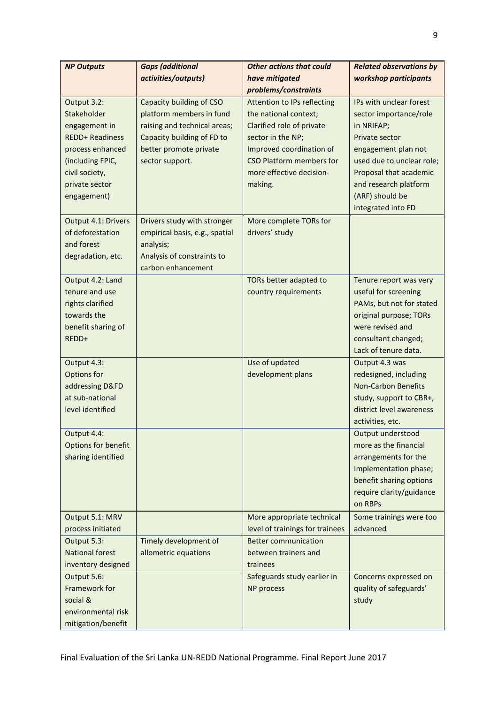| <b>NP Outputs</b>                  | <b>Gaps (additional</b>        | <b>Other actions that could</b>    | <b>Related observations by</b>                   |
|------------------------------------|--------------------------------|------------------------------------|--------------------------------------------------|
|                                    | activities/outputs)            | have mitigated                     | workshop participants                            |
|                                    |                                | problems/constraints               |                                                  |
| Output 3.2:                        | Capacity building of CSO       | <b>Attention to IPs reflecting</b> | IPs with unclear forest                          |
| Stakeholder                        | platform members in fund       | the national context;              | sector importance/role                           |
| engagement in                      | raising and technical areas;   | Clarified role of private          | in NRIFAP;                                       |
| <b>REDD+ Readiness</b>             | Capacity building of FD to     | sector in the NP;                  | Private sector                                   |
| process enhanced                   | better promote private         | Improved coordination of           | engagement plan not                              |
| (including FPIC,                   | sector support.                | <b>CSO Platform members for</b>    | used due to unclear role;                        |
| civil society,                     |                                | more effective decision-           | Proposal that academic                           |
| private sector                     |                                | making.                            | and research platform                            |
| engagement)                        |                                |                                    | (ARF) should be                                  |
|                                    |                                |                                    | integrated into FD                               |
| Output 4.1: Drivers                | Drivers study with stronger    | More complete TORs for             |                                                  |
| of deforestation                   | empirical basis, e.g., spatial | drivers' study                     |                                                  |
| and forest                         | analysis;                      |                                    |                                                  |
| degradation, etc.                  | Analysis of constraints to     |                                    |                                                  |
|                                    | carbon enhancement             |                                    |                                                  |
| Output 4.2: Land<br>tenure and use |                                | TORs better adapted to             | Tenure report was very                           |
| rights clarified                   |                                | country requirements               | useful for screening<br>PAMs, but not for stated |
| towards the                        |                                |                                    | original purpose; TORs                           |
| benefit sharing of                 |                                |                                    | were revised and                                 |
| REDD+                              |                                |                                    | consultant changed;                              |
|                                    |                                |                                    | Lack of tenure data.                             |
| Output 4.3:                        |                                | Use of updated                     | Output 4.3 was                                   |
| Options for                        |                                | development plans                  | redesigned, including                            |
| addressing D&FD                    |                                |                                    | <b>Non-Carbon Benefits</b>                       |
| at sub-national                    |                                |                                    | study, support to CBR+,                          |
| level identified                   |                                |                                    | district level awareness                         |
|                                    |                                |                                    | activities, etc.                                 |
| Output 4.4:                        |                                |                                    | Output understood                                |
| Options for benefit                |                                |                                    | more as the financial                            |
| sharing identified                 |                                |                                    | arrangements for the                             |
|                                    |                                |                                    | Implementation phase;                            |
|                                    |                                |                                    | benefit sharing options                          |
|                                    |                                |                                    | require clarity/guidance                         |
|                                    |                                |                                    | on RBPs                                          |
| Output 5.1: MRV                    |                                | More appropriate technical         | Some trainings were too                          |
| process initiated                  |                                | level of trainings for trainees    | advanced                                         |
| Output 5.3:                        | Timely development of          | <b>Better communication</b>        |                                                  |
| <b>National forest</b>             | allometric equations           | between trainers and               |                                                  |
| inventory designed                 |                                | trainees                           |                                                  |
| Output 5.6:                        |                                | Safeguards study earlier in        | Concerns expressed on                            |
| Framework for                      |                                | NP process                         | quality of safeguards'                           |
| social &                           |                                |                                    | study                                            |
| environmental risk                 |                                |                                    |                                                  |
| mitigation/benefit                 |                                |                                    |                                                  |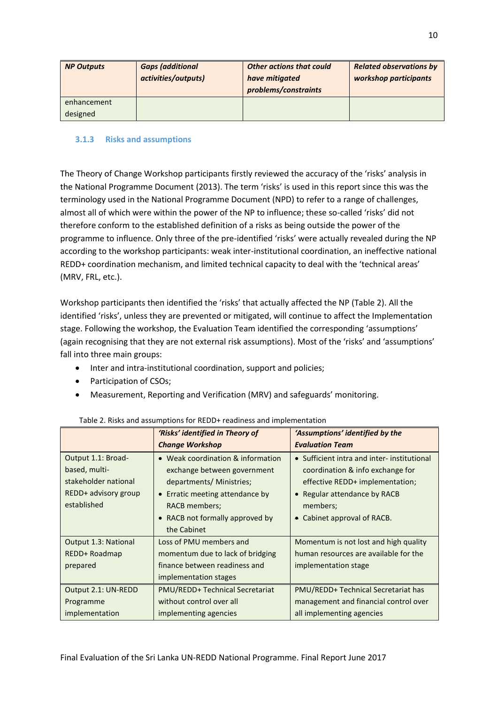| <b>NP Outputs</b> | <b>Gaps (additional</b><br>activities/outputs) | <b>Other actions that could</b><br>have mitigated<br>problems/constraints | <b>Related observations by</b><br>workshop participants |
|-------------------|------------------------------------------------|---------------------------------------------------------------------------|---------------------------------------------------------|
| enhancement       |                                                |                                                                           |                                                         |
| designed          |                                                |                                                                           |                                                         |

### <span id="page-19-0"></span>**3.1.3 Risks and assumptions**

The Theory of Change Workshop participants firstly reviewed the accuracy of the 'risks' analysis in the National Programme Document (2013). The term 'risks' is used in this report since this was the terminology used in the National Programme Document (NPD) to refer to a range of challenges, almost all of which were within the power of the NP to influence; these so-called 'risks' did not therefore conform to the established definition of a risks as being outside the power of the programme to influence. Only three of the pre-identified 'risks' were actually revealed during the NP according to the workshop participants: weak inter-institutional coordination, an ineffective national REDD+ coordination mechanism, and limited technical capacity to deal with the 'technical areas' (MRV, FRL, etc.).

Workshop participants then identified the 'risks' that actually affected the NP (Table 2). All the identified 'risks', unless they are prevented or mitigated, will continue to affect the Implementation stage. Following the workshop, the Evaluation Team identified the corresponding 'assumptions' (again recognising that they are not external risk assumptions). Most of the 'risks' and 'assumptions' fall into three main groups:

- Inter and intra-institutional coordination, support and policies;
- Participation of CSOs;
- Measurement, Reporting and Verification (MRV) and safeguards' monitoring.

|                      | 'Risks' identified in Theory of        | 'Assumptions' identified by the             |
|----------------------|----------------------------------------|---------------------------------------------|
|                      | <b>Change Workshop</b>                 | <b>Evaluation Team</b>                      |
| Output 1.1: Broad-   | • Weak coordination & information      | • Sufficient intra and inter- institutional |
| based, multi-        | exchange between government            | coordination & info exchange for            |
| stakeholder national | departments/ Ministries;               | effective REDD+ implementation;             |
| REDD+ advisory group | • Erratic meeting attendance by        | • Regular attendance by RACB                |
| established          | RACB members;                          | members;                                    |
|                      | • RACB not formally approved by        | • Cabinet approval of RACB.                 |
|                      | the Cabinet                            |                                             |
| Output 1.3: National | Loss of PMU members and                | Momentum is not lost and high quality       |
| REDD+ Roadmap        | momentum due to lack of bridging       | human resources are available for the       |
| prepared             | finance between readiness and          | implementation stage                        |
|                      | implementation stages                  |                                             |
| Output 2.1: UN-REDD  | <b>PMU/REDD+ Technical Secretariat</b> | PMU/REDD+ Technical Secretariat has         |
| Programme            | without control over all               | management and financial control over       |
| implementation       | implementing agencies                  | all implementing agencies                   |

#### Table 2. Risks and assumptions for REDD+ readiness and implementation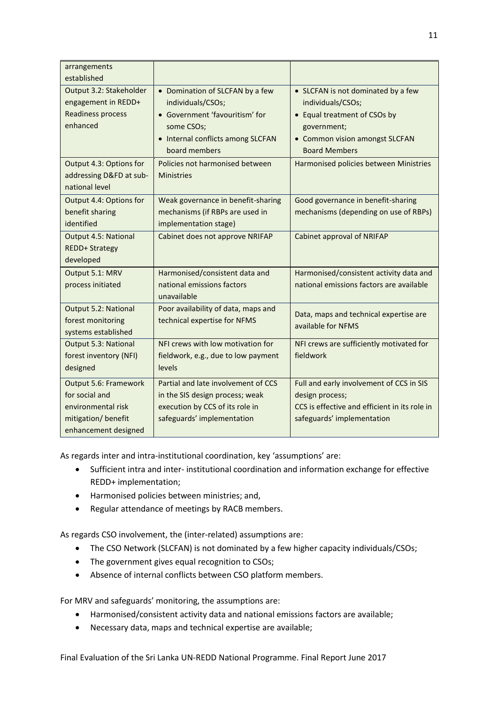| arrangements                |                                     |                                               |
|-----------------------------|-------------------------------------|-----------------------------------------------|
| established                 |                                     |                                               |
| Output 3.2: Stakeholder     | • Domination of SLCFAN by a few     | • SLCFAN is not dominated by a few            |
| engagement in REDD+         | individuals/CSOs;                   | individuals/CSOs;                             |
| <b>Readiness process</b>    | • Government 'favouritism' for      | • Equal treatment of CSOs by                  |
| enhanced                    | some CSOs;                          | government;                                   |
|                             | • Internal conflicts among SLCFAN   | • Common vision amongst SLCFAN                |
|                             | board members                       | <b>Board Members</b>                          |
| Output 4.3: Options for     | Policies not harmonised between     | Harmonised policies between Ministries        |
| addressing D&FD at sub-     | <b>Ministries</b>                   |                                               |
| national level              |                                     |                                               |
| Output 4.4: Options for     | Weak governance in benefit-sharing  | Good governance in benefit-sharing            |
| benefit sharing             | mechanisms (if RBPs are used in     | mechanisms (depending on use of RBPs)         |
| identified                  | implementation stage)               |                                               |
| <b>Output 4.5: National</b> | Cabinet does not approve NRIFAP     | Cabinet approval of NRIFAP                    |
| <b>REDD+ Strategy</b>       |                                     |                                               |
| developed                   |                                     |                                               |
| Output 5.1: MRV             | Harmonised/consistent data and      | Harmonised/consistent activity data and       |
| process initiated           | national emissions factors          | national emissions factors are available      |
|                             | unavailable                         |                                               |
| <b>Output 5.2: National</b> | Poor availability of data, maps and | Data, maps and technical expertise are        |
| forest monitoring           | technical expertise for NFMS        | available for NFMS                            |
| systems established         |                                     |                                               |
| <b>Output 5.3: National</b> | NFI crews with low motivation for   | NFI crews are sufficiently motivated for      |
| forest inventory (NFI)      | fieldwork, e.g., due to low payment | fieldwork                                     |
| designed                    | levels                              |                                               |
| Output 5.6: Framework       | Partial and late involvement of CCS | Full and early involvement of CCS in SIS      |
| for social and              | in the SIS design process; weak     | design process;                               |
| environmental risk          | execution by CCS of its role in     | CCS is effective and efficient in its role in |
| mitigation/ benefit         | safeguards' implementation          | safeguards' implementation                    |
| enhancement designed        |                                     |                                               |

As regards inter and intra-institutional coordination, key 'assumptions' are:

- Sufficient intra and inter- institutional coordination and information exchange for effective REDD+ implementation;
- Harmonised policies between ministries; and,
- Regular attendance of meetings by RACB members.

As regards CSO involvement, the (inter-related) assumptions are:

- The CSO Network (SLCFAN) is not dominated by a few higher capacity individuals/CSOs;
- The government gives equal recognition to CSOs;
- Absence of internal conflicts between CSO platform members.

For MRV and safeguards' monitoring, the assumptions are:

- Harmonised/consistent activity data and national emissions factors are available;
- Necessary data, maps and technical expertise are available;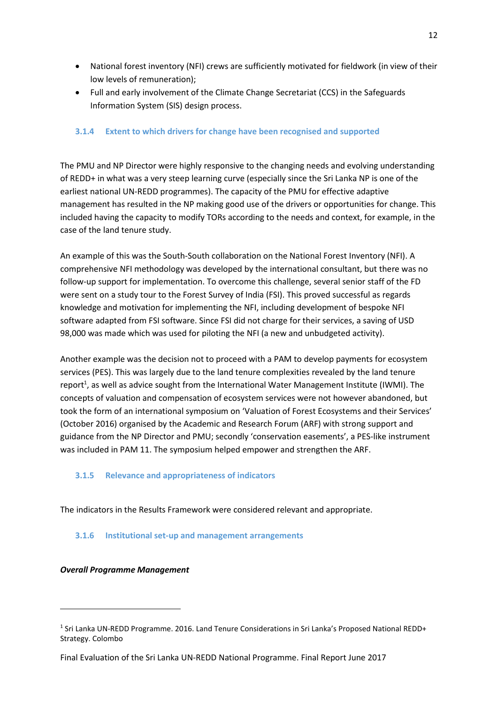- National forest inventory (NFI) crews are sufficiently motivated for fieldwork (in view of their low levels of remuneration);
- Full and early involvement of the Climate Change Secretariat (CCS) in the Safeguards Information System (SIS) design process.

## <span id="page-21-0"></span>**3.1.4 Extent to which drivers for change have been recognised and supported**

The PMU and NP Director were highly responsive to the changing needs and evolving understanding of REDD+ in what was a very steep learning curve (especially since the Sri Lanka NP is one of the earliest national UN-REDD programmes). The capacity of the PMU for effective adaptive management has resulted in the NP making good use of the drivers or opportunities for change. This included having the capacity to modify TORs according to the needs and context, for example, in the case of the land tenure study.

An example of this was the South-South collaboration on the National Forest Inventory (NFI). A comprehensive NFI methodology was developed by the international consultant, but there was no follow-up support for implementation. To overcome this challenge, several senior staff of the FD were sent on a study tour to the Forest Survey of India (FSI). This proved successful as regards knowledge and motivation for implementing the NFI, including development of bespoke NFI software adapted from FSI software. Since FSI did not charge for their services, a saving of USD 98,000 was made which was used for piloting the NFI (a new and unbudgeted activity).

Another example was the decision not to proceed with a PAM to develop payments for ecosystem services (PES). This was largely due to the land tenure complexities revealed by the land tenure report<sup>1</sup>, as well as advice sought from the International Water Management Institute (IWMI). The concepts of valuation and compensation of ecosystem services were not however abandoned, but took the form of an international symposium on 'Valuation of Forest Ecosystems and their Services' (October 2016) organised by the Academic and Research Forum (ARF) with strong support and guidance from the NP Director and PMU; secondly 'conservation easements', a PES-like instrument was included in PAM 11. The symposium helped empower and strengthen the ARF.

#### <span id="page-21-1"></span>**3.1.5 Relevance and appropriateness of indicators**

The indicators in the Results Framework were considered relevant and appropriate.

#### <span id="page-21-2"></span>**3.1.6 Institutional set-up and management arrangements**

#### *Overall Programme Management*

1

<sup>&</sup>lt;sup>1</sup> Sri Lanka UN-REDD Programme. 2016. Land Tenure Considerations in Sri Lanka's Proposed National REDD+ Strategy. Colombo

Final Evaluation of the Sri Lanka UN-REDD National Programme. Final Report June 2017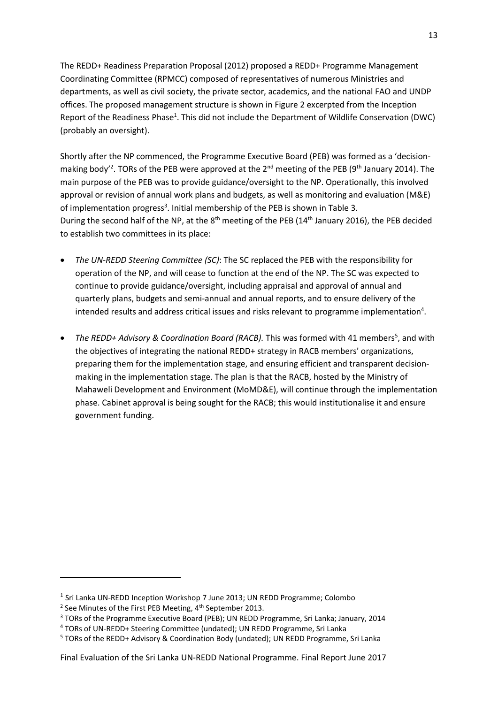The REDD+ Readiness Preparation Proposal (2012) proposed a REDD+ Programme Management Coordinating Committee (RPMCC) composed of representatives of numerous Ministries and departments, as well as civil society, the private sector, academics, and the national FAO and UNDP offices. The proposed management structure is shown in Figure 2 excerpted from the Inception Report of the Readiness Phase<sup>1</sup>. This did not include the Department of Wildlife Conservation (DWC) (probably an oversight).

Shortly after the NP commenced, the Programme Executive Board (PEB) was formed as a 'decisionmaking body<sup>'2</sup>. TORs of the PEB were approved at the 2<sup>nd</sup> meeting of the PEB (9<sup>th</sup> January 2014). The main purpose of the PEB was to provide guidance/oversight to the NP. Operationally, this involved approval or revision of annual work plans and budgets, as well as monitoring and evaluation (M&E) of implementation progress<sup>3</sup>. Initial membership of the PEB is shown in Table 3. During the second half of the NP, at the  $8<sup>th</sup>$  meeting of the PEB (14<sup>th</sup> January 2016), the PEB decided to establish two committees in its place:

- *The UN-REDD Steering Committee (SC)*: The SC replaced the PEB with the responsibility for operation of the NP, and will cease to function at the end of the NP. The SC was expected to continue to provide guidance/oversight, including appraisal and approval of annual and quarterly plans, budgets and semi‐annual and annual reports, and to ensure delivery of the intended results and address critical issues and risks relevant to programme implementation<sup>4</sup>.
- The REDD+ Advisory & Coordination Board (RACB). This was formed with 41 members<sup>5</sup>, and with the objectives of integrating the national REDD+ strategy in RACB members' organizations, preparing them for the implementation stage, and ensuring efficient and transparent decisionmaking in the implementation stage. The plan is that the RACB, hosted by the Ministry of Mahaweli Development and Environment (MoMD&E), will continue through the implementation phase. Cabinet approval is being sought for the RACB; this would institutionalise it and ensure government funding.

 $\overline{a}$ 

<sup>&</sup>lt;sup>1</sup> Sri Lanka UN-REDD Inception Workshop 7 June 2013; UN REDD Programme; Colombo

<sup>&</sup>lt;sup>2</sup> See Minutes of the First PEB Meeting, 4<sup>th</sup> September 2013.

<sup>3</sup> TORs of the Programme Executive Board (PEB); UN REDD Programme, Sri Lanka; January, 2014

<sup>4</sup> TORs of UN-REDD+ Steering Committee (undated); UN REDD Programme, Sri Lanka

<sup>5</sup> TORs of the REDD+ Advisory & Coordination Body (undated); UN REDD Programme, Sri Lanka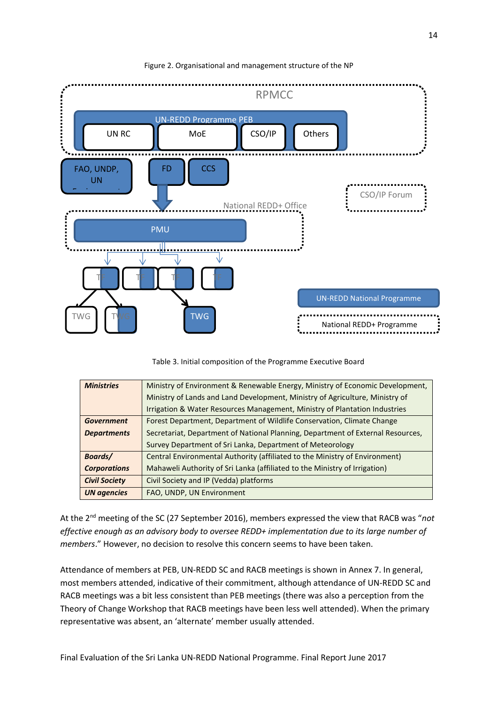

#### Figure 2. Organisational and management structure of the NP



| <b>Ministries</b><br>Ministry of Environment & Renewable Energy, Ministry of Economic Development, |                                                                                 |  |
|----------------------------------------------------------------------------------------------------|---------------------------------------------------------------------------------|--|
|                                                                                                    | Ministry of Lands and Land Development, Ministry of Agriculture, Ministry of    |  |
|                                                                                                    | Irrigation & Water Resources Management, Ministry of Plantation Industries      |  |
| Forest Department, Department of Wildlife Conservation, Climate Change<br><b>Government</b>        |                                                                                 |  |
| <b>Departments</b>                                                                                 | Secretariat, Department of National Planning, Department of External Resources, |  |
|                                                                                                    | Survey Department of Sri Lanka, Department of Meteorology                       |  |
| Boards/                                                                                            | Central Environmental Authority (affiliated to the Ministry of Environment)     |  |
| <b>Corporations</b>                                                                                | Mahaweli Authority of Sri Lanka (affiliated to the Ministry of Irrigation)      |  |
| <b>Civil Society</b>                                                                               | Civil Society and IP (Vedda) platforms                                          |  |
| <b>UN</b> agencies                                                                                 | FAO, UNDP, UN Environment                                                       |  |

At the 2nd meeting of the SC (27 September 2016), members expressed the view that RACB was "*not effective enough as an advisory body to oversee REDD+ implementation due to its large number of members*." However, no decision to resolve this concern seems to have been taken.

Attendance of members at PEB, UN-REDD SC and RACB meetings is shown in Annex 7. In general, most members attended, indicative of their commitment, although attendance of UN-REDD SC and RACB meetings was a bit less consistent than PEB meetings (there was also a perception from the Theory of Change Workshop that RACB meetings have been less well attended). When the primary representative was absent, an 'alternate' member usually attended.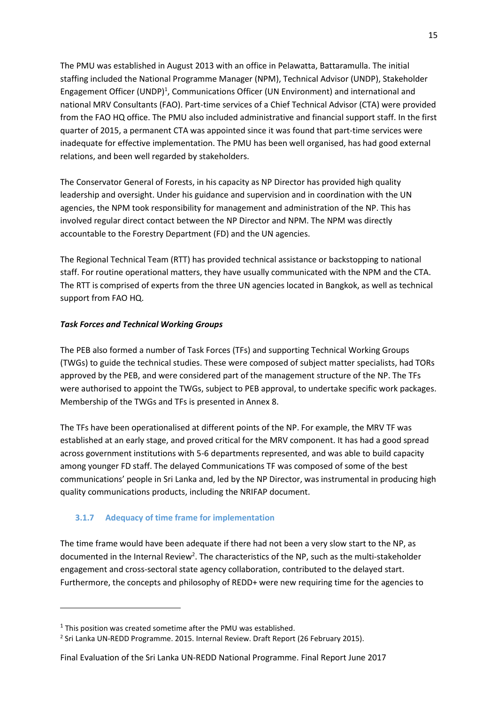The PMU was established in August 2013 with an office in Pelawatta, Battaramulla. The initial staffing included the National Programme Manager (NPM), Technical Advisor (UNDP), Stakeholder Engagement Officer (UNDP)<sup>1</sup>, Communications Officer (UN Environment) and international and national MRV Consultants (FAO). Part-time services of a Chief Technical Advisor (CTA) were provided from the FAO HQ office. The PMU also included administrative and financial support staff. In the first quarter of 2015, a permanent CTA was appointed since it was found that part-time services were inadequate for effective implementation. The PMU has been well organised, has had good external relations, and been well regarded by stakeholders.

The Conservator General of Forests, in his capacity as NP Director has provided high quality leadership and oversight. Under his guidance and supervision and in coordination with the UN agencies, the NPM took responsibility for management and administration of the NP. This has involved regular direct contact between the NP Director and NPM. The NPM was directly accountable to the Forestry Department (FD) and the UN agencies.

The Regional Technical Team (RTT) has provided technical assistance or backstopping to national staff. For routine operational matters, they have usually communicated with the NPM and the CTA. The RTT is comprised of experts from the three UN agencies located in Bangkok, as well as technical support from FAO HQ.

# *Task Forces and Technical Working Groups*

The PEB also formed a number of Task Forces (TFs) and supporting Technical Working Groups (TWGs) to guide the technical studies. These were composed of subject matter specialists, had TORs approved by the PEB, and were considered part of the management structure of the NP. The TFs were authorised to appoint the TWGs, subject to PEB approval, to undertake specific work packages. Membership of the TWGs and TFs is presented in Annex 8.

The TFs have been operationalised at different points of the NP. For example, the MRV TF was established at an early stage, and proved critical for the MRV component. It has had a good spread across government institutions with 5-6 departments represented, and was able to build capacity among younger FD staff. The delayed Communications TF was composed of some of the best communications' people in Sri Lanka and, led by the NP Director, was instrumental in producing high quality communications products, including the NRIFAP document.

# **3.1.7 Adequacy of time frame for implementation**

The time frame would have been adequate if there had not been a very slow start to the NP, as documented in the Internal Review<sup>2</sup>. The characteristics of the NP, such as the multi-stakeholder engagement and cross-sectoral state agency collaboration, contributed to the delayed start. Furthermore, the concepts and philosophy of REDD+ were new requiring time for the agencies to

1

 $1$  This position was created sometime after the PMU was established.

<sup>&</sup>lt;sup>2</sup> Sri Lanka UN-REDD Programme. 2015. Internal Review. Draft Report (26 February 2015).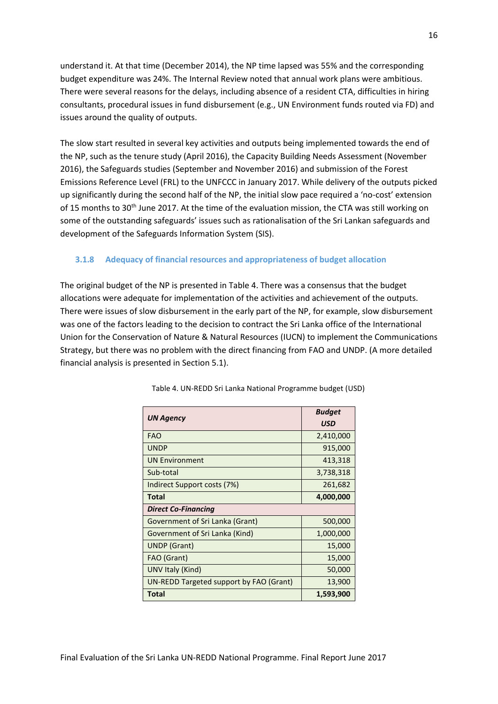understand it. At that time (December 2014), the NP time lapsed was 55% and the corresponding budget expenditure was 24%. The Internal Review noted that annual work plans were ambitious. There were several reasons for the delays, including absence of a resident CTA, difficulties in hiring consultants, procedural issues in fund disbursement (e.g., UN Environment funds routed via FD) and issues around the quality of outputs.

The slow start resulted in several key activities and outputs being implemented towards the end of the NP, such as the tenure study (April 2016), the Capacity Building Needs Assessment (November 2016), the Safeguards studies (September and November 2016) and submission of the Forest Emissions Reference Level (FRL) to the UNFCCC in January 2017. While delivery of the outputs picked up significantly during the second half of the NP, the initial slow pace required a 'no-cost' extension of 15 months to 30<sup>th</sup> June 2017. At the time of the evaluation mission, the CTA was still working on some of the outstanding safeguards' issues such as rationalisation of the Sri Lankan safeguards and development of the Safeguards Information System (SIS).

# **3.1.8 Adequacy of financial resources and appropriateness of budget allocation**

The original budget of the NP is presented in Table 4. There was a consensus that the budget allocations were adequate for implementation of the activities and achievement of the outputs. There were issues of slow disbursement in the early part of the NP, for example, slow disbursement was one of the factors leading to the decision to contract the Sri Lanka office of the International Union for the Conservation of Nature & Natural Resources (IUCN) to implement the Communications Strategy, but there was no problem with the direct financing from FAO and UNDP. (A more detailed financial analysis is presented in Section 5.1).

<span id="page-25-0"></span>

| <b>UN Agency</b>                        | <b>Budget</b><br><b>USD</b> |  |
|-----------------------------------------|-----------------------------|--|
| <b>FAO</b>                              | 2,410,000                   |  |
| <b>UNDP</b>                             | 915,000                     |  |
| <b>UN Environment</b>                   | 413,318                     |  |
| Sub-total                               | 3,738,318                   |  |
| Indirect Support costs (7%)             | 261,682                     |  |
| Total                                   | 4,000,000                   |  |
| <b>Direct Co-Financing</b>              |                             |  |
| Government of Sri Lanka (Grant)         | 500,000                     |  |
| Government of Sri Lanka (Kind)          | 1,000,000                   |  |
| <b>UNDP</b> (Grant)                     | 15,000                      |  |
| FAO (Grant)                             | 15,000                      |  |
| UNV Italy (Kind)                        | 50,000                      |  |
| UN-REDD Targeted support by FAO (Grant) | 13,900                      |  |
| Total                                   | 1,593,900                   |  |

Table 4. UN-REDD Sri Lanka National Programme budget (USD)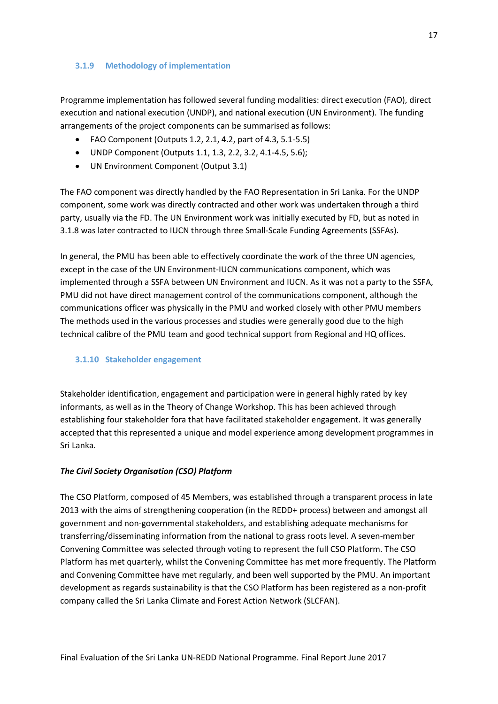#### **3.1.9 Methodology of implementation**

Programme implementation has followed several funding modalities: direct execution (FAO), direct execution and national execution (UNDP), and national execution (UN Environment). The funding arrangements of the project components can be summarised as follows:

- FAO Component (Outputs 1.2, 2.1, 4.2, part of 4.3, 5.1-5.5)
- UNDP Component (Outputs 1.1, 1.3, 2.2, 3.2, 4.1-4.5, 5.6);
- UN Environment Component (Output 3.1)

The FAO component was directly handled by the FAO Representation in Sri Lanka. For the UNDP component, some work was directly contracted and other work was undertaken through a third party, usually via the FD. The UN Environment work was initially executed by FD, but as noted in 3.1.8 was later contracted to IUCN through three Small-Scale Funding Agreements (SSFAs).

In general, the PMU has been able to effectively coordinate the work of the three UN agencies, except in the case of the UN Environment-IUCN communications component, which was implemented through a SSFA between UN Environment and IUCN. As it was not a party to the SSFA, PMU did not have direct management control of the communications component, although the communications officer was physically in the PMU and worked closely with other PMU members The methods used in the various processes and studies were generally good due to the high technical calibre of the PMU team and good technical support from Regional and HQ offices.

# <span id="page-26-0"></span>**3.1.10 Stakeholder engagement**

Stakeholder identification, engagement and participation were in general highly rated by key informants, as well as in the Theory of Change Workshop. This has been achieved through establishing four stakeholder fora that have facilitated stakeholder engagement. It was generally accepted that this represented a unique and model experience among development programmes in Sri Lanka.

# *The Civil Society Organisation (CSO) Platform*

The CSO Platform, composed of 45 Members, was established through a transparent process in late 2013 with the aims of strengthening cooperation (in the REDD+ process) between and amongst all government and non-governmental stakeholders, and establishing adequate mechanisms for transferring/disseminating information from the national to grass roots level. A seven-member Convening Committee was selected through voting to represent the full CSO Platform. The CSO Platform has met quarterly, whilst the Convening Committee has met more frequently. The Platform and Convening Committee have met regularly, and been well supported by the PMU. An important development as regards sustainability is that the CSO Platform has been registered as a non-profit company called the Sri Lanka Climate and Forest Action Network (SLCFAN).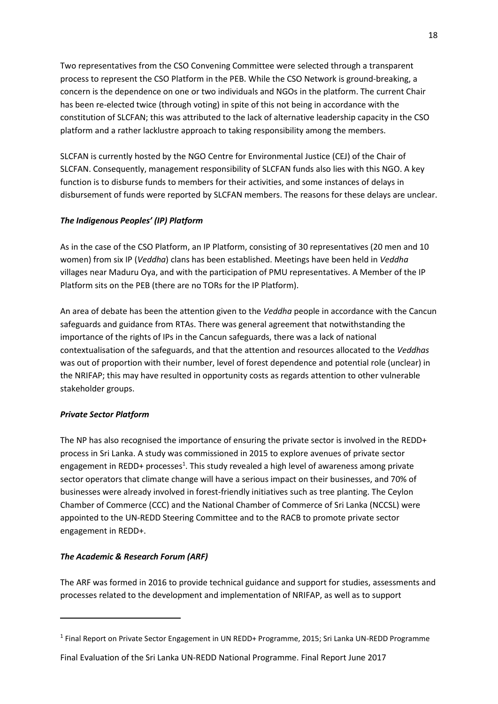Two representatives from the CSO Convening Committee were selected through a transparent process to represent the CSO Platform in the PEB. While the CSO Network is ground-breaking, a concern is the dependence on one or two individuals and NGOs in the platform. The current Chair has been re-elected twice (through voting) in spite of this not being in accordance with the constitution of SLCFAN; this was attributed to the lack of alternative leadership capacity in the CSO platform and a rather lacklustre approach to taking responsibility among the members.

SLCFAN is currently hosted by the NGO Centre for Environmental Justice (CEJ) of the Chair of SLCFAN. Consequently, management responsibility of SLCFAN funds also lies with this NGO. A key function is to disburse funds to members for their activities, and some instances of delays in disbursement of funds were reported by SLCFAN members. The reasons for these delays are unclear.

# *The Indigenous Peoples' (IP) Platform*

As in the case of the CSO Platform, an IP Platform, consisting of 30 representatives (20 men and 10 women) from six IP (*Veddha*) clans has been established. Meetings have been held in *Veddha* villages near Maduru Oya, and with the participation of PMU representatives. A Member of the IP Platform sits on the PEB (there are no TORs for the IP Platform).

An area of debate has been the attention given to the *Veddha* people in accordance with the Cancun safeguards and guidance from RTAs. There was general agreement that notwithstanding the importance of the rights of IPs in the Cancun safeguards, there was a lack of national contextualisation of the safeguards, and that the attention and resources allocated to the *Veddhas* was out of proportion with their number, level of forest dependence and potential role (unclear) in the NRIFAP; this may have resulted in opportunity costs as regards attention to other vulnerable stakeholder groups.

# *Private Sector Platform*

**.** 

The NP has also recognised the importance of ensuring the private sector is involved in the REDD+ process in Sri Lanka. A study was commissioned in 2015 to explore avenues of private sector engagement in REDD+ processes<sup>1</sup>. This study revealed a high level of awareness among private sector operators that climate change will have a serious impact on their businesses, and 70% of businesses were already involved in forest-friendly initiatives such as tree planting. The Ceylon Chamber of Commerce (CCC) and the National Chamber of Commerce of Sri Lanka (NCCSL) were appointed to the UN-REDD Steering Committee and to the RACB to promote private sector engagement in REDD+.

# *The Academic & Research Forum (ARF)*

The ARF was formed in 2016 to provide technical guidance and support for studies, assessments and processes related to the development and implementation of NRIFAP, as well as to support

<sup>&</sup>lt;sup>1</sup> Final Report on Private Sector Engagement in UN REDD+ Programme, 2015; Sri Lanka UN-REDD Programme

Final Evaluation of the Sri Lanka UN-REDD National Programme. Final Report June 2017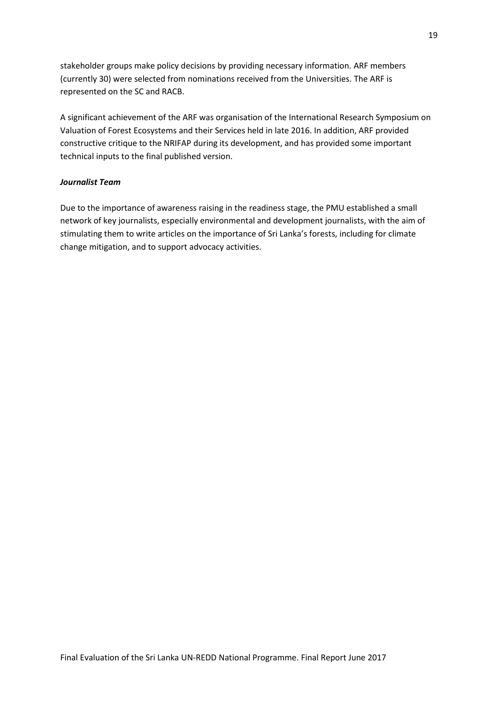stakeholder groups make policy decisions by providing necessary information. ARF members (currently 30) were selected from nominations received from the Universities. The ARF is represented on the SC and RACB.

A significant achievement of the ARF was organisation of the International Research Symposium on Valuation of Forest Ecosystems and their Services held in late 2016. In addition, ARF provided constructive critique to the NRIFAP during its development, and has provided some important technical inputs to the final published version.

#### *Journalist Team*

Due to the importance of awareness raising in the readiness stage, the PMU established a small network of key journalists, especially environmental and development journalists, with the aim of stimulating them to write articles on the importance of Sri Lanka's forests, including for climate change mitigation, and to support advocacy activities.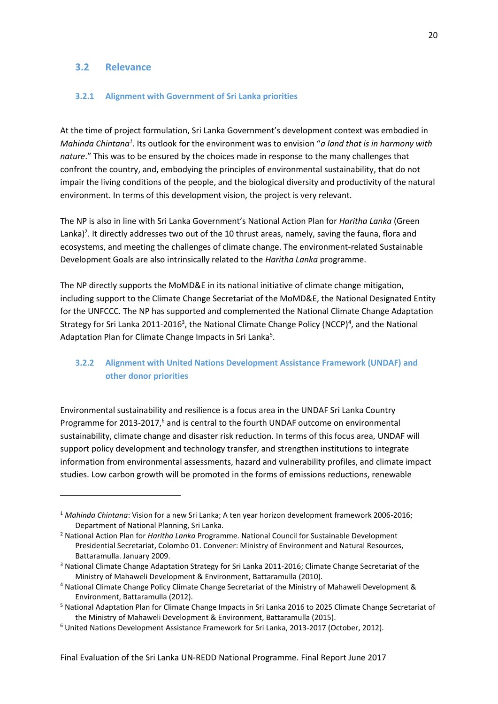#### <span id="page-29-0"></span>**3.2 Relevance**

**.** 

#### <span id="page-29-1"></span>**3.2.1 Alignment with Government of Sri Lanka priorities**

At the time of project formulation, Sri Lanka Government's development context was embodied in *Mahinda Chintana<sup>1</sup>*. Its outlook for the environment was to envision "*a land that is in harmony with nature*." This was to be ensured by the choices made in response to the many challenges that confront the country, and, embodying the principles of environmental sustainability, that do not impair the living conditions of the people, and the biological diversity and productivity of the natural environment. In terms of this development vision, the project is very relevant.

The NP is also in line with Sri Lanka Government's National Action Plan for *[Haritha Lanka](http://www.environmentmin.gov.lk/web/pdf/Harita_Lanka_Book_small.pdf)* (Green Lanka)<sup>2</sup>. It directly addresses two out of the 10 thrust areas, namely, saving the fauna, flora and ecosystems, and meeting the challenges of climate change. The environment-related Sustainable Development Goals are also intrinsically related to the *Haritha Lanka* programme.

The NP directly supports the MoMD&E in its national initiative of climate change mitigation, including support to the Climate Change Secretariat of the MoMD&E, the National Designated Entity for the UNFCCC. The NP has supported and complemented the National Climate Change Adaptation Strategy for Sri Lanka 2011-2016<sup>3</sup>, the National Climate Change Policy (NCCP)<sup>4</sup>, and the National Adaptation Plan for Climate Change Impacts in Sri Lanka<sup>5</sup>.

# <span id="page-29-2"></span>**3.2.2 Alignment with United Nations Development Assistance Framework (UNDAF) and other donor priorities**

Environmental sustainability and resilience is a focus area in the UNDAF Sri Lanka Country Programme for 2013-2017,<sup>6</sup> and is central to the fourth UNDAF outcome on environmental sustainability, climate change and disaster risk reduction. In terms of this focus area, UNDAF will support policy development and technology transfer, and strengthen institutions to integrate information from environmental assessments, hazard and vulnerability profiles, and climate impact studies. Low carbon growth will be promoted in the forms of emissions reductions, renewable

<sup>1</sup> *Mahinda Chintana*: Vision for a new Sri Lanka; A ten year horizon development framework 2006-2016; Department of National Planning, Sri Lanka.

<sup>2</sup> National Action Plan for *Haritha Lanka* Programme. National Council for Sustainable Development Presidential Secretariat, Colombo 01. Convener: Ministry of Environment and Natural Resources, Battaramulla. January 2009.

<sup>&</sup>lt;sup>3</sup> National Climate Change Adaptation Strategy for Sri Lanka 2011-2016; Climate Change Secretariat of the Ministry of Mahaweli Development & Environment, Battaramulla (2010).

<sup>4</sup> National Climate Change Policy Climate Change Secretariat of the Ministry of Mahaweli Development & Environment, Battaramulla (2012).

<sup>5</sup> National Adaptation Plan for Climate Change Impacts in Sri Lanka 2016 to 2025 Climate Change Secretariat of the Ministry of Mahaweli Development & Environment, Battaramulla (2015).

<sup>6</sup> United Nations Development Assistance Framework for Sri Lanka, 2013-2017 (October, 2012).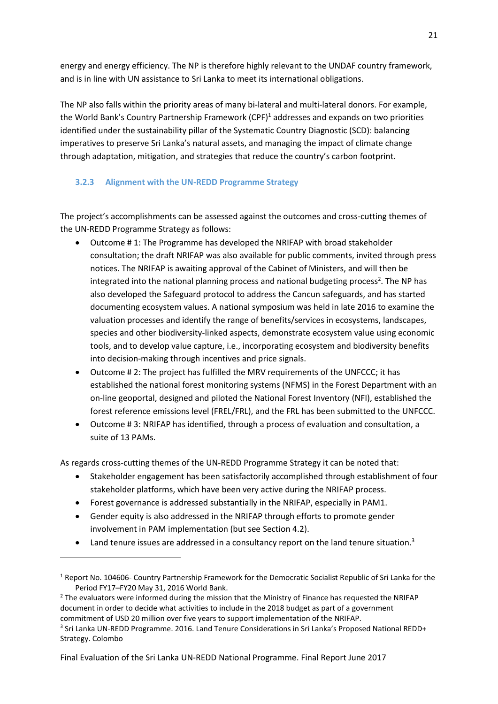energy and energy efficiency. The NP is therefore highly relevant to the UNDAF country framework, and is in line with UN assistance to Sri Lanka to meet its international obligations.

The NP also falls within the priority areas of many bi-lateral and multi-lateral donors. For example, the World Bank's Country Partnership Framework (CPF)<sup>1</sup> addresses and expands on two priorities identified under the sustainability pillar of the Systematic Country Diagnostic (SCD): balancing imperatives to preserve Sri Lanka's natural assets, and managing the impact of climate change through adaptation, mitigation, and strategies that reduce the country's carbon footprint.

# <span id="page-30-0"></span>**3.2.3 Alignment with the UN-REDD Programme Strategy**

The project's accomplishments can be assessed against the outcomes and cross-cutting themes of the UN-REDD Programme Strategy as follows:

- Outcome # 1: The Programme has developed the NRIFAP with broad stakeholder consultation; the draft NRIFAP was also available for public comments, invited through press notices. The NRIFAP is awaiting approval of the Cabinet of Ministers, and will then be integrated into the national planning process and national budgeting process<sup>2</sup>. The NP has also developed the Safeguard protocol to address the Cancun safeguards, and has started documenting ecosystem values. A national symposium was held in late 2016 to examine the valuation processes and identify the range of benefits/services in ecosystems, landscapes, species and other biodiversity-linked aspects, demonstrate ecosystem value using economic tools, and to develop value capture, i.e., incorporating ecosystem and biodiversity benefits into decision-making through incentives and price signals.
- Outcome # 2: The project has fulfilled the MRV requirements of the UNFCCC; it has established the national forest monitoring systems (NFMS) in the Forest Department with an on-line geoportal, designed and piloted the National Forest Inventory (NFI), established the forest reference emissions level (FREL/FRL), and the FRL has been submitted to the UNFCCC.
- Outcome # 3: NRIFAP has identified, through a process of evaluation and consultation, a suite of 13 PAMs.

As regards cross-cutting themes of the UN-REDD Programme Strategy it can be noted that:

- Stakeholder engagement has been satisfactorily accomplished through establishment of four stakeholder platforms, which have been very active during the NRIFAP process.
- Forest governance is addressed substantially in the NRIFAP, especially in PAM1.

**.** 

- Gender equity is also addressed in the NRIFAP through efforts to promote gender involvement in PAM implementation (but see Section 4.2).
- Land tenure issues are addressed in a consultancy report on the land tenure situation.<sup>3</sup>

<sup>2</sup> The evaluators were informed during the mission that the Ministry of Finance has requested the NRIFAP document in order to decide what activities to include in the 2018 budget as part of a government commitment of USD 20 million over five years to support implementation of the NRIFAP.

<sup>&</sup>lt;sup>1</sup> Report No. 104606- Country Partnership Framework for the Democratic Socialist Republic of Sri Lanka for the Period FY17–FY20 May 31, 2016 World Bank.

<sup>&</sup>lt;sup>3</sup> Sri Lanka UN-REDD Programme. 2016. Land Tenure Considerations in Sri Lanka's Proposed National REDD+ Strategy. Colombo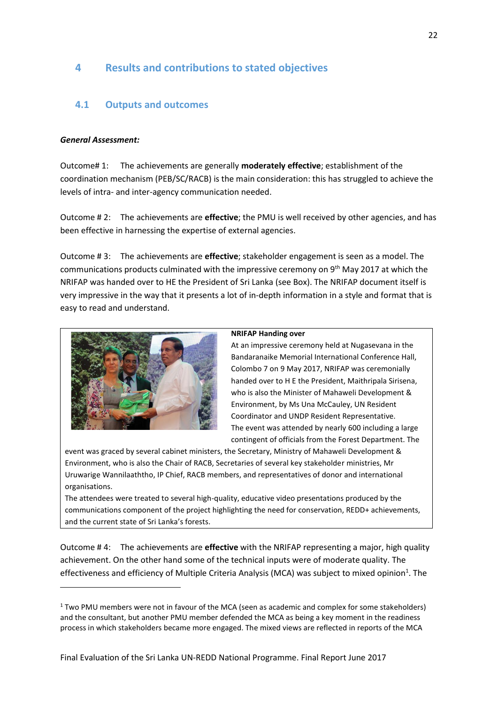# <span id="page-31-0"></span>**4 Results and contributions to stated objectives**

# <span id="page-31-1"></span>**4.1 Outputs and outcomes**

#### *General Assessment:*

Outcome# 1: The achievements are generally **moderately effective**; establishment of the coordination mechanism (PEB/SC/RACB) is the main consideration: this has struggled to achieve the levels of intra- and inter-agency communication needed.

Outcome # 2: The achievements are **effective**; the PMU is well received by other agencies, and has been effective in harnessing the expertise of external agencies.

Outcome # 3: The achievements are **effective**; stakeholder engagement is seen as a model. The communications products culminated with the impressive ceremony on 9th May 2017 at which the NRIFAP was handed over to HE the President of Sri Lanka (see Box). The NRIFAP document itself is very impressive in the way that it presents a lot of in-depth information in a style and format that is easy to read and understand.



1

#### **NRIFAP Handing over**

At an impressive ceremony held at Nugasevana in the Bandaranaike Memorial International Conference Hall, Colombo 7 on 9 May 2017, NRIFAP was ceremonially handed over to H E the President, Maithripala Sirisena, who is also the Minister of Mahaweli Development & Environment, by Ms Una McCauley, UN Resident Coordinator and UNDP Resident Representative. The event was attended by nearly 600 including a large contingent of officials from the Forest Department. The

event was graced by several cabinet ministers, the Secretary, Ministry of Mahaweli Development & Environment, who is also the Chair of RACB, Secretaries of several key stakeholder ministries, Mr Uruwarige Wannilaaththo, IP Chief, RACB members, and representatives of donor and international organisations.

The attendees were treated to several high-quality, educative video presentations produced by the communications component of the project highlighting the need for conservation, REDD+ achievements, and the current state of Sri Lanka's forests.

Outcome # 4: The achievements are **effective** with the NRIFAP representing a major, high quality achievement. On the other hand some of the technical inputs were of moderate quality. The effectiveness and efficiency of Multiple Criteria Analysis (MCA) was subject to mixed opinion<sup>1</sup>. The

 $1$  Two PMU members were not in favour of the MCA (seen as academic and complex for some stakeholders) and the consultant, but another PMU member defended the MCA as being a key moment in the readiness process in which stakeholders became more engaged. The mixed views are reflected in reports of the MCA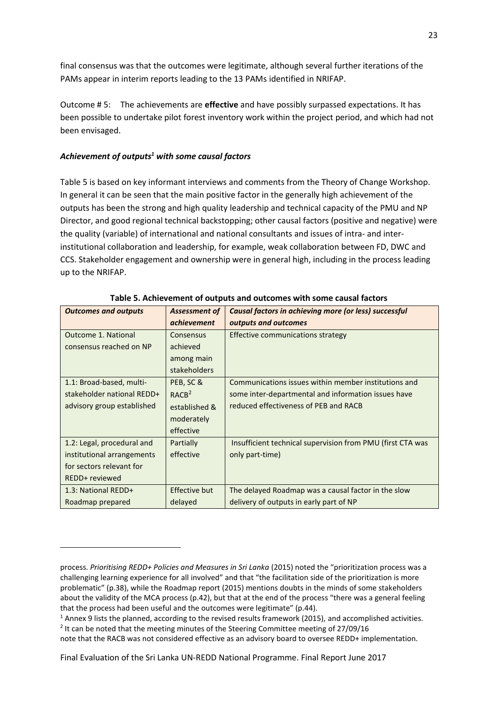final consensus was that the outcomes were legitimate, although several further iterations of the PAMs appear in interim reports leading to the 13 PAMs identified in NRIFAP.

Outcome # 5: The achievements are **effective** and have possibly surpassed expectations. It has been possible to undertake pilot forest inventory work within the project period, and which had not been envisaged.

#### *Achievement of outputs<sup>1</sup> with some causal factors*

**.** 

Table 5 is based on key informant interviews and comments from the Theory of Change Workshop. In general it can be seen that the main positive factor in the generally high achievement of the outputs has been the strong and high quality leadership and technical capacity of the PMU and NP Director, and good regional technical backstopping; other causal factors (positive and negative) were the quality (variable) of international and national consultants and issues of intra- and interinstitutional collaboration and leadership, for example, weak collaboration between FD, DWC and CCS. Stakeholder engagement and ownership were in general high, including in the process leading up to the NRIFAP.

| <b>Outcomes and outputs</b> | <b>Assessment of</b> | Causal factors in achieving more (or less) successful      |
|-----------------------------|----------------------|------------------------------------------------------------|
|                             | <i>achievement</i>   | outputs and outcomes                                       |
| Outcome 1. National         | Consensus            | Effective communications strategy                          |
| consensus reached on NP     | achieved             |                                                            |
|                             | among main           |                                                            |
|                             | <b>stakeholders</b>  |                                                            |
| 1.1: Broad-based, multi-    | PEB, SC &            | Communications issues within member institutions and       |
| stakeholder national REDD+  | RACB <sup>2</sup>    | some inter-departmental and information issues have        |
| advisory group established  | established &        | reduced effectiveness of PEB and RACB                      |
|                             | moderately           |                                                            |
|                             | effective            |                                                            |
| 1.2: Legal, procedural and  | Partially            | Insufficient technical supervision from PMU (first CTA was |
| institutional arrangements  | effective            | only part-time)                                            |
| for sectors relevant for    |                      |                                                            |
| REDD+ reviewed              |                      |                                                            |
| 1.3: National REDD+         | <b>Effective but</b> | The delayed Roadmap was a causal factor in the slow        |
| Roadmap prepared            | delayed              | delivery of outputs in early part of NP                    |

**Table 5. Achievement of outputs and outcomes with some causal factors**

process. *Prioritising REDD+ Policies and Measures in Sri Lanka* (2015) noted the "prioritization process was a challenging learning experience for all involved" and that "the facilitation side of the prioritization is more problematic" (p.38), while the Roadmap report (2015) mentions doubts in the minds of some stakeholders about the validity of the MCA process (p.42), but that at the end of the process "there was a general feeling that the process had been useful and the outcomes were legitimate" (p.44).

<sup>1</sup> Annex 9 lists the planned, according to the revised results framework (2015), and accomplished activities. <sup>2</sup> It can be noted that the meeting minutes of the Steering Committee meeting of 27/09/16

note that the RACB was not considered effective as an advisory board to oversee REDD+ implementation.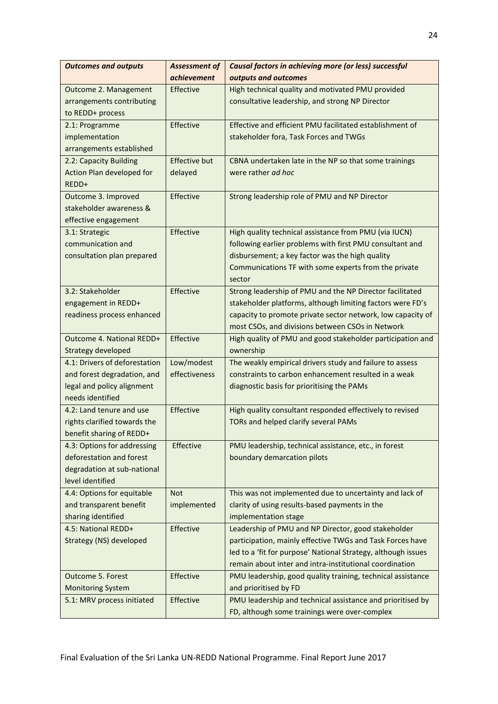| <b>Outcomes and outputs</b>   | <b>Assessment of</b> | Causal factors in achieving more (or less) successful         |
|-------------------------------|----------------------|---------------------------------------------------------------|
|                               | achievement          | outputs and outcomes                                          |
| Outcome 2. Management         | Effective            | High technical quality and motivated PMU provided             |
| arrangements contributing     |                      | consultative leadership, and strong NP Director               |
| to REDD+ process              |                      |                                                               |
| 2.1: Programme                | Effective            | Effective and efficient PMU facilitated establishment of      |
| implementation                |                      | stakeholder fora, Task Forces and TWGs                        |
| arrangements established      |                      |                                                               |
| 2.2: Capacity Building        | <b>Effective but</b> | CBNA undertaken late in the NP so that some trainings         |
| Action Plan developed for     | delayed              | were rather ad hoc                                            |
| REDD+                         |                      |                                                               |
| Outcome 3. Improved           | Effective            | Strong leadership role of PMU and NP Director                 |
| stakeholder awareness &       |                      |                                                               |
| effective engagement          |                      |                                                               |
| 3.1: Strategic                | Effective            | High quality technical assistance from PMU (via IUCN)         |
| communication and             |                      | following earlier problems with first PMU consultant and      |
| consultation plan prepared    |                      | disbursement; a key factor was the high quality               |
|                               |                      | Communications TF with some experts from the private          |
|                               |                      | sector                                                        |
| 3.2: Stakeholder              | Effective            | Strong leadership of PMU and the NP Director facilitated      |
| engagement in REDD+           |                      | stakeholder platforms, although limiting factors were FD's    |
| readiness process enhanced    |                      | capacity to promote private sector network, low capacity of   |
|                               |                      | most CSOs, and divisions between CSOs in Network              |
| Outcome 4. National REDD+     | Effective            | High quality of PMU and good stakeholder participation and    |
| <b>Strategy developed</b>     |                      | ownership                                                     |
| 4.1: Drivers of deforestation | Low/modest           | The weakly empirical drivers study and failure to assess      |
| and forest degradation, and   | effectiveness        | constraints to carbon enhancement resulted in a weak          |
| legal and policy alignment    |                      | diagnostic basis for prioritising the PAMs                    |
| needs identified              |                      |                                                               |
| 4.2: Land tenure and use      | Effective            | High quality consultant responded effectively to revised      |
| rights clarified towards the  |                      | TORs and helped clarify several PAMs                          |
| benefit sharing of REDD+      |                      |                                                               |
| 4.3: Options for addressing   | Effective            | PMU leadership, technical assistance, etc., in forest         |
| deforestation and forest      |                      | boundary demarcation pilots                                   |
| degradation at sub-national   |                      |                                                               |
| level identified              |                      |                                                               |
| 4.4: Options for equitable    | <b>Not</b>           | This was not implemented due to uncertainty and lack of       |
| and transparent benefit       | implemented          | clarity of using results-based payments in the                |
| sharing identified            |                      | implementation stage                                          |
| 4.5: National REDD+           | Effective            | Leadership of PMU and NP Director, good stakeholder           |
| Strategy (NS) developed       |                      | participation, mainly effective TWGs and Task Forces have     |
|                               |                      | led to a 'fit for purpose' National Strategy, although issues |
|                               |                      | remain about inter and intra-institutional coordination       |
| <b>Outcome 5. Forest</b>      | Effective            | PMU leadership, good quality training, technical assistance   |
| <b>Monitoring System</b>      |                      | and prioritised by FD                                         |
| 5.1: MRV process initiated    | Effective            | PMU leadership and technical assistance and prioritised by    |
|                               |                      | FD, although some trainings were over-complex                 |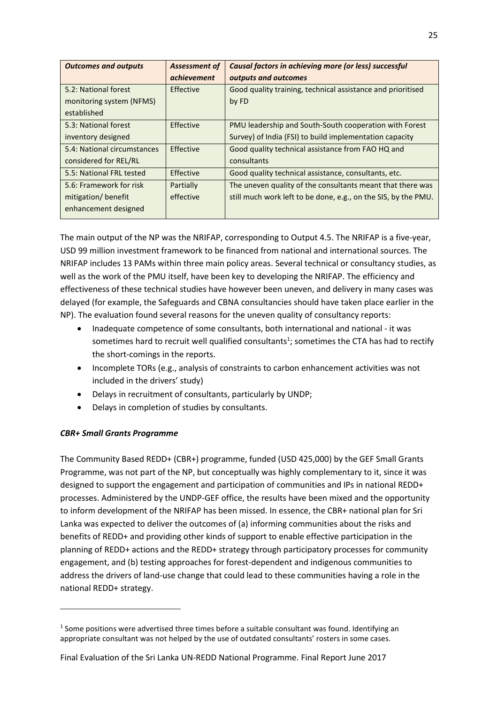| <b>Outcomes and outputs</b> | <b>Assessment of</b> | <b>Causal factors in achieving more (or less) successful</b>   |
|-----------------------------|----------------------|----------------------------------------------------------------|
|                             | <i>achievement</i>   | outputs and outcomes                                           |
| 5.2: National forest        | Effective            | Good quality training, technical assistance and prioritised    |
| monitoring system (NFMS)    |                      | by FD                                                          |
| established                 |                      |                                                                |
| 5.3: National forest        | Effective            | PMU leadership and South-South cooperation with Forest         |
| inventory designed          |                      | Survey) of India (FSI) to build implementation capacity        |
| 5.4: National circumstances | Effective            | Good quality technical assistance from FAO HQ and              |
| considered for REL/RL       |                      | consultants                                                    |
| 5.5: National FRL tested    | Effective            | Good quality technical assistance, consultants, etc.           |
| 5.6: Framework for risk     | Partially            | The uneven quality of the consultants meant that there was     |
| mitigation/benefit          | effective            | still much work left to be done, e.g., on the SIS, by the PMU. |
| enhancement designed        |                      |                                                                |

The main output of the NP was the NRIFAP, corresponding to Output 4.5. The NRIFAP is a five-year, USD 99 million investment framework to be financed from national and international sources. The NRIFAP includes 13 PAMs within three main policy areas. Several technical or consultancy studies, as well as the work of the PMU itself, have been key to developing the NRIFAP. The efficiency and effectiveness of these technical studies have however been uneven, and delivery in many cases was delayed (for example, the Safeguards and CBNA consultancies should have taken place earlier in the NP). The evaluation found several reasons for the uneven quality of consultancy reports:

- Inadequate competence of some consultants, both international and national it was sometimes hard to recruit well qualified consultants<sup>1</sup>; sometimes the CTA has had to rectify the short-comings in the reports.
- Incomplete TORs (e.g., analysis of constraints to carbon enhancement activities was not included in the drivers' study)
- Delays in recruitment of consultants, particularly by UNDP;
- Delays in completion of studies by consultants.

# *CBR+ Small Grants Programme*

1

The Community Based REDD+ (CBR+) programme, funded (USD 425,000) by the GEF Small Grants Programme, was not part of the NP, but conceptually was highly complementary to it, since it was designed to support the engagement and participation of communities and IPs in national REDD+ processes. Administered by the UNDP-GEF office, the results have been mixed and the opportunity to inform development of the NRIFAP has been missed. In essence, the CBR+ national plan for Sri Lanka was expected to deliver the outcomes of (a) informing communities about the risks and benefits of REDD+ and providing other kinds of support to enable effective participation in the planning of REDD+ actions and the REDD+ strategy through participatory processes for community engagement, and (b) testing approaches for forest-dependent and indigenous communities to address the drivers of land-use change that could lead to these communities having a role in the national REDD+ strategy.

 $<sup>1</sup>$  Some positions were advertised three times before a suitable consultant was found. Identifying an</sup> appropriate consultant was not helped by the use of outdated consultants' rosters in some cases.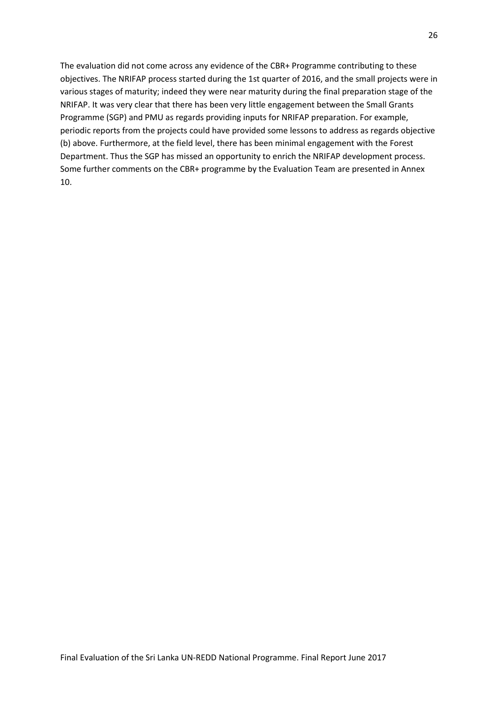<span id="page-35-0"></span>The evaluation did not come across any evidence of the CBR+ Programme contributing to these objectives. The NRIFAP process started during the 1st quarter of 2016, and the small projects were in various stages of maturity; indeed they were near maturity during the final preparation stage of the NRIFAP. It was very clear that there has been very little engagement between the Small Grants Programme (SGP) and PMU as regards providing inputs for NRIFAP preparation. For example, periodic reports from the projects could have provided some lessons to address as regards objective (b) above. Furthermore, at the field level, there has been minimal engagement with the Forest Department. Thus the SGP has missed an opportunity to enrich the NRIFAP development process. Some further comments on the CBR+ programme by the Evaluation Team are presented in Annex 10.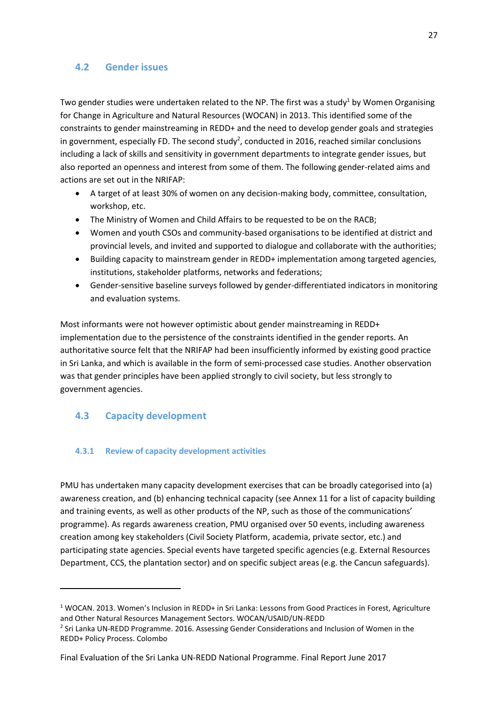## **4.2 Gender issues**

Two gender studies were undertaken related to the NP. The first was a study<sup>1</sup> by Women Organising for Change in Agriculture and Natural Resources (WOCAN) in 2013. This identified some of the constraints to gender mainstreaming in REDD+ and the need to develop gender goals and strategies in government, especially FD. The second study<sup>2</sup>, conducted in 2016, reached similar conclusions including a lack of skills and sensitivity in government departments to integrate gender issues, but also reported an openness and interest from some of them. The following gender-related aims and actions are set out in the NRIFAP:

- A target of at least 30% of women on any decision-making body, committee, consultation, workshop, etc.
- The Ministry of Women and Child Affairs to be requested to be on the RACB;
- Women and youth CSOs and community-based organisations to be identified at district and provincial levels, and invited and supported to dialogue and collaborate with the authorities;
- Building capacity to mainstream gender in REDD+ implementation among targeted agencies, institutions, stakeholder platforms, networks and federations;
- Gender-sensitive baseline surveys followed by gender-differentiated indicators in monitoring and evaluation systems.

Most informants were not however optimistic about gender mainstreaming in REDD+ implementation due to the persistence of the constraints identified in the gender reports. An authoritative source felt that the NRIFAP had been insufficiently informed by existing good practice in Sri Lanka, and which is available in the form of semi-processed case studies. Another observation was that gender principles have been applied strongly to civil society, but less strongly to government agencies.

## **4.3 Capacity development**

1

### **4.3.1 Review of capacity development activities**

PMU has undertaken many capacity development exercises that can be broadly categorised into (a) awareness creation, and (b) enhancing technical capacity (see Annex 11 for a list of capacity building and training events, as well as other products of the NP, such as those of the communications' programme). As regards awareness creation, PMU organised over 50 events, including awareness creation among key stakeholders (Civil Society Platform, academia, private sector, etc.) and participating state agencies. Special events have targeted specific agencies (e.g. External Resources Department, CCS, the plantation sector) and on specific subject areas (e.g. the Cancun safeguards).

<sup>1</sup> WOCAN. 2013. Women's Inclusion in REDD+ in Sri Lanka: Lessons from Good Practices in Forest, Agriculture and Other Natural Resources Management Sectors. WOCAN/USAID/UN-REDD

<sup>&</sup>lt;sup>2</sup> Sri Lanka UN-REDD Programme. 2016. Assessing Gender Considerations and Inclusion of Women in the REDD+ Policy Process. Colombo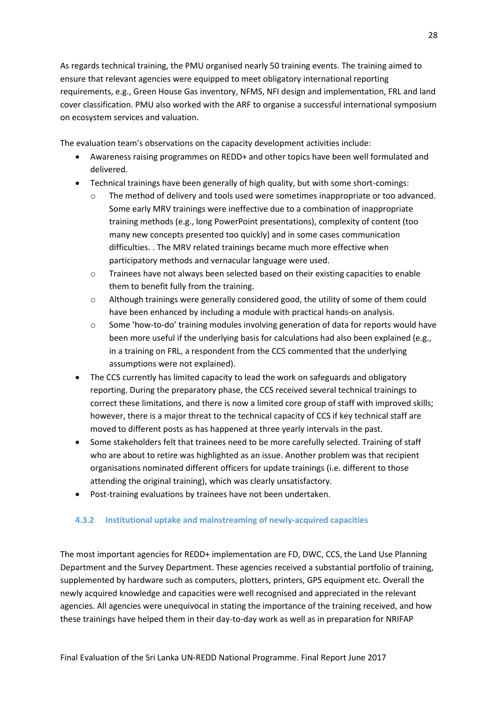As regards technical training, the PMU organised nearly 50 training events. The training aimed to ensure that relevant agencies were equipped to meet obligatory international reporting requirements, e.g., Green House Gas inventory, NFMS, NFI design and implementation, FRL and land cover classification. PMU also worked with the ARF to organise a successful international symposium on ecosystem services and valuation.

The evaluation team's observations on the capacity development activities include:

- Awareness raising programmes on REDD+ and other topics have been well formulated and delivered.
- Technical trainings have been generally of high quality, but with some short-comings:
	- The method of delivery and tools used were sometimes inappropriate or too advanced. Some early MRV trainings were ineffective due to a combination of inappropriate training methods (e.g., long PowerPoint presentations), complexity of content (too many new concepts presented too quickly) and in some cases communication difficulties. . The MRV related trainings became much more effective when participatory methods and vernacular language were used.
	- o Trainees have not always been selected based on their existing capacities to enable them to benefit fully from the training.
	- o Although trainings were generally considered good, the utility of some of them could have been enhanced by including a module with practical hands-on analysis.
	- $\circ$  Some 'how-to-do' training modules involving generation of data for reports would have been more useful if the underlying basis for calculations had also been explained (e.g., in a training on FRL, a respondent from the CCS commented that the underlying assumptions were not explained).
- The CCS currently has limited capacity to lead the work on safeguards and obligatory reporting. During the preparatory phase, the CCS received several technical trainings to correct these limitations, and there is now a limited core group of staff with improved skills; however, there is a major threat to the technical capacity of CCS if key technical staff are moved to different posts as has happened at three yearly intervals in the past.
- Some stakeholders felt that trainees need to be more carefully selected. Training of staff who are about to retire was highlighted as an issue. Another problem was that recipient organisations nominated different officers for update trainings (i.e. different to those attending the original training), which was clearly unsatisfactory.
- Post-training evaluations by trainees have not been undertaken.

### **4.3.2 Institutional uptake and mainstreaming of newly-acquired capacities**

The most important agencies for REDD+ implementation are FD, DWC, CCS, the Land Use Planning Department and the Survey Department. These agencies received a substantial portfolio of training, supplemented by hardware such as computers, plotters, printers, GPS equipment etc. Overall the newly acquired knowledge and capacities were well recognised and appreciated in the relevant agencies. All agencies were unequivocal in stating the importance of the training received, and how these trainings have helped them in their day-to-day work as well as in preparation for NRIFAP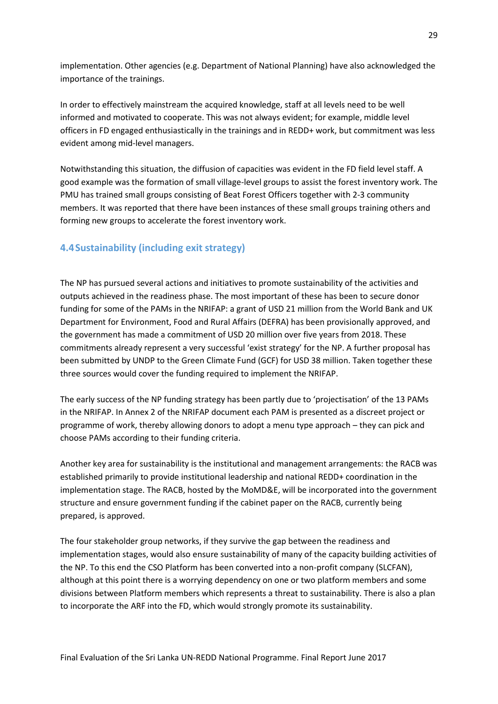implementation. Other agencies (e.g. Department of National Planning) have also acknowledged the importance of the trainings.

In order to effectively mainstream the acquired knowledge, staff at all levels need to be well informed and motivated to cooperate. This was not always evident; for example, middle level officers in FD engaged enthusiastically in the trainings and in REDD+ work, but commitment was less evident among mid-level managers.

Notwithstanding this situation, the diffusion of capacities was evident in the FD field level staff. A good example was the formation of small village-level groups to assist the forest inventory work. The PMU has trained small groups consisting of Beat Forest Officers together with 2-3 community members. It was reported that there have been instances of these small groups training others and forming new groups to accelerate the forest inventory work.

## **4.4Sustainability (including exit strategy)**

The NP has pursued several actions and initiatives to promote sustainability of the activities and outputs achieved in the readiness phase. The most important of these has been to secure donor funding for some of the PAMs in the NRIFAP: a grant of USD 21 million from the World Bank and UK Department for Environment, Food and Rural Affairs (DEFRA) has been provisionally approved, and the government has made a commitment of USD 20 million over five years from 2018. These commitments already represent a very successful 'exist strategy' for the NP. A further proposal has been submitted by UNDP to the Green Climate Fund (GCF) for USD 38 million. Taken together these three sources would cover the funding required to implement the NRIFAP.

The early success of the NP funding strategy has been partly due to 'projectisation' of the 13 PAMs in the NRIFAP. In Annex 2 of the NRIFAP document each PAM is presented as a discreet project or programme of work, thereby allowing donors to adopt a menu type approach – they can pick and choose PAMs according to their funding criteria.

Another key area for sustainability is the institutional and management arrangements: the RACB was established primarily to provide institutional leadership and national REDD+ coordination in the implementation stage. The RACB, hosted by the MoMD&E, will be incorporated into the government structure and ensure government funding if the cabinet paper on the RACB, currently being prepared, is approved.

The four stakeholder group networks, if they survive the gap between the readiness and implementation stages, would also ensure sustainability of many of the capacity building activities of the NP. To this end the CSO Platform has been converted into a non-profit company (SLCFAN), although at this point there is a worrying dependency on one or two platform members and some divisions between Platform members which represents a threat to sustainability. There is also a plan to incorporate the ARF into the FD, which would strongly promote its sustainability.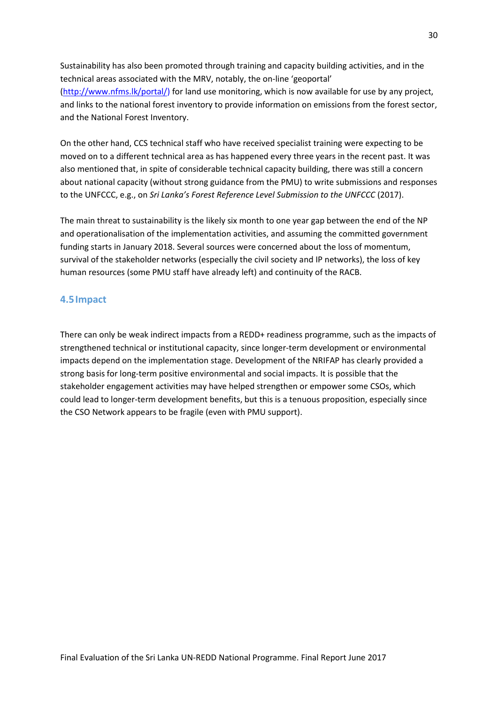Sustainability has also been promoted through training and capacity building activities, and in the technical areas associated with the MRV, notably, the on-line 'geoportal' (http://www.nfms.lk/portal/) for land use monitoring, which is now available for use by any project, and links to the national forest inventory to provide information on emissions from the forest sector, and the National Forest Inventory.

On the other hand, CCS technical staff who have received specialist training were expecting to be moved on to a different technical area as has happened every three years in the recent past. It was also mentioned that, in spite of considerable technical capacity building, there was still a concern about national capacity (without strong guidance from the PMU) to write submissions and responses to the UNFCCC, e.g., on *Sri Lanka's Forest Reference Level Submission to the UNFCCC* (2017).

The main threat to sustainability is the likely six month to one year gap between the end of the NP and operationalisation of the implementation activities, and assuming the committed government funding starts in January 2018. Several sources were concerned about the loss of momentum, survival of the stakeholder networks (especially the civil society and IP networks), the loss of key human resources (some PMU staff have already left) and continuity of the RACB.

### **4.5Impact**

There can only be weak indirect impacts from a REDD+ readiness programme, such as the impacts of strengthened technical or institutional capacity, since longer-term development or environmental impacts depend on the implementation stage. Development of the NRIFAP has clearly provided a strong basis for long-term positive environmental and social impacts. It is possible that the stakeholder engagement activities may have helped strengthen or empower some CSOs, which could lead to longer-term development benefits, but this is a tenuous proposition, especially since the CSO Network appears to be fragile (even with PMU support).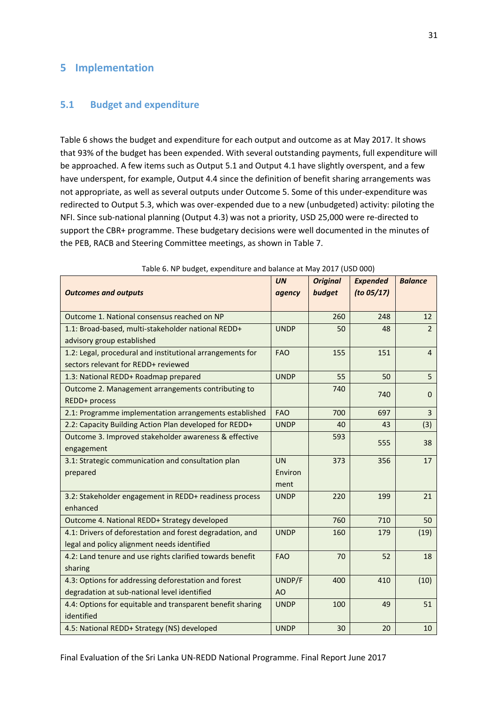## **5 Implementation**

### **5.1 Budget and expenditure**

Table 6 shows the budget and expenditure for each output and outcome as at May 2017. It shows that 93% of the budget has been expended. With several outstanding payments, full expenditure will be approached. A few items such as Output 5.1 and Output 4.1 have slightly overspent, and a few have underspent, for example, Output 4.4 since the definition of benefit sharing arrangements was not appropriate, as well as several outputs under Outcome 5. Some of this under-expenditure was redirected to Output 5.3, which was over-expended due to a new (unbudgeted) activity: piloting the NFI. Since sub-national planning (Output 4.3) was not a priority, USD 25,000 were re-directed to support the CBR+ programme. These budgetary decisions were well documented in the minutes of the PEB, RACB and Steering Committee meetings, as shown in Table 7.

|                                                            | <b>UN</b>   | <b>Original</b> | <b>Expended</b> | <b>Balance</b> |
|------------------------------------------------------------|-------------|-----------------|-----------------|----------------|
| <b>Outcomes and outputs</b>                                | agency      | budget          | (to 05/17)      |                |
| Outcome 1. National consensus reached on NP                |             | 260             | 248             | 12             |
| 1.1: Broad-based, multi-stakeholder national REDD+         | <b>UNDP</b> | 50              | 48              | $\overline{2}$ |
| advisory group established                                 |             |                 |                 |                |
| 1.2: Legal, procedural and institutional arrangements for  | <b>FAO</b>  | 155             | 151             | 4              |
| sectors relevant for REDD+ reviewed                        |             |                 |                 |                |
| 1.3: National REDD+ Roadmap prepared                       | <b>UNDP</b> | 55              | 50              | 5              |
| Outcome 2. Management arrangements contributing to         |             | 740             | 740             | $\Omega$       |
| REDD+ process                                              |             |                 |                 |                |
| 2.1: Programme implementation arrangements established     | <b>FAO</b>  | 700             | 697             | $\overline{3}$ |
| 2.2: Capacity Building Action Plan developed for REDD+     | <b>UNDP</b> | 40              | 43              | (3)            |
| Outcome 3. Improved stakeholder awareness & effective      |             | 593             | 555             | 38             |
| engagement                                                 |             |                 |                 |                |
| 3.1: Strategic communication and consultation plan         | <b>UN</b>   | 373             | 356             | 17             |
| prepared                                                   | Environ     |                 |                 |                |
|                                                            | ment        |                 |                 |                |
| 3.2: Stakeholder engagement in REDD+ readiness process     | <b>UNDP</b> | 220             | 199             | 21             |
| enhanced                                                   |             |                 |                 |                |
| Outcome 4. National REDD+ Strategy developed               |             | 760             | 710             | 50             |
| 4.1: Drivers of deforestation and forest degradation, and  | <b>UNDP</b> | 160             | 179             | (19)           |
| legal and policy alignment needs identified                |             |                 |                 |                |
| 4.2: Land tenure and use rights clarified towards benefit  | <b>FAO</b>  | 70              | 52              | 18             |
| sharing                                                    |             |                 |                 |                |
| 4.3: Options for addressing deforestation and forest       | UNDP/F      | 400             | 410             | (10)           |
| degradation at sub-national level identified               | AO          |                 |                 |                |
| 4.4: Options for equitable and transparent benefit sharing | <b>UNDP</b> | 100             | 49              | 51             |
| identified                                                 |             |                 |                 |                |
| 4.5: National REDD+ Strategy (NS) developed                | <b>UNDP</b> | 30              | 20              | 10             |

Table 6. NP budget, expenditure and balance at May 2017 (USD 000)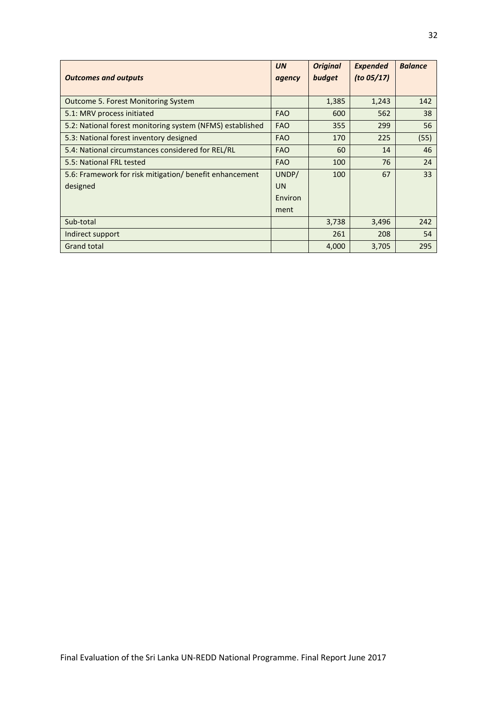|                                                           | <b>UN</b>  | <b>Original</b> | <b>Expended</b> | <b>Balance</b> |
|-----------------------------------------------------------|------------|-----------------|-----------------|----------------|
| <b>Outcomes and outputs</b>                               | agency     | budget          | (to $05/17$ )   |                |
| <b>Outcome 5. Forest Monitoring System</b>                |            | 1,385           | 1,243           | 142            |
| 5.1: MRV process initiated                                | <b>FAO</b> | 600             | 562             | 38             |
| 5.2: National forest monitoring system (NFMS) established | <b>FAO</b> | 355             | 299             | 56             |
| 5.3: National forest inventory designed                   | <b>FAO</b> | 170             | 225             | (55)           |
| 5.4: National circumstances considered for REL/RL         | <b>FAO</b> | 60              | 14              | 46             |
| 5.5: National FRL tested                                  | <b>FAO</b> | 100             | 76              | 24             |
| 5.6: Framework for risk mitigation/ benefit enhancement   | UNDP/      | 100             | 67              | 33             |
| designed                                                  | <b>UN</b>  |                 |                 |                |
|                                                           | Environ    |                 |                 |                |
|                                                           | ment       |                 |                 |                |
| Sub-total                                                 |            | 3,738           | 3,496           | 242            |
| Indirect support                                          |            | 261             | 208             | 54             |
| <b>Grand total</b>                                        |            | 4,000           | 3,705           | 295            |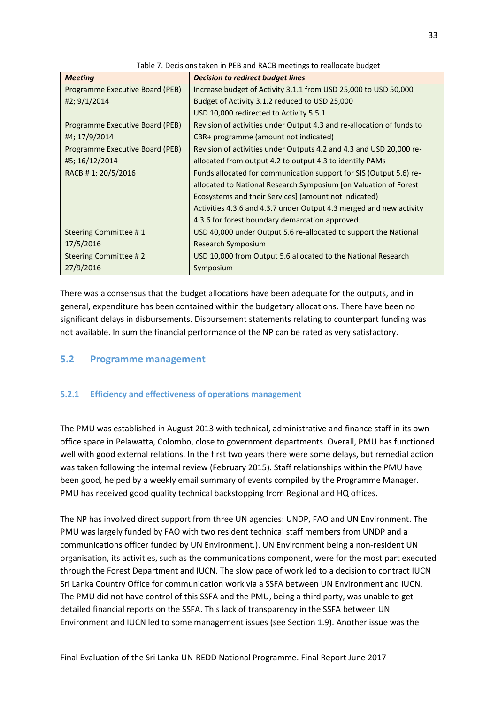| <b>Meeting</b>                  | <b>Decision to redirect budget lines</b>                              |
|---------------------------------|-----------------------------------------------------------------------|
| Programme Executive Board (PEB) | Increase budget of Activity 3.1.1 from USD 25,000 to USD 50,000       |
| #2; 9/1/2014                    | Budget of Activity 3.1.2 reduced to USD 25,000                        |
|                                 | USD 10,000 redirected to Activity 5.5.1                               |
| Programme Executive Board (PEB) | Revision of activities under Output 4.3 and re-allocation of funds to |
| #4; 17/9/2014                   | CBR+ programme (amount not indicated)                                 |
| Programme Executive Board (PEB) | Revision of activities under Outputs 4.2 and 4.3 and USD 20,000 re-   |
| #5; 16/12/2014                  | allocated from output 4.2 to output 4.3 to identify PAMs              |
| RACB #1; 20/5/2016              | Funds allocated for communication support for SIS (Output 5.6) re-    |
|                                 | allocated to National Research Symposium [on Valuation of Forest      |
|                                 | Ecosystems and their Services] (amount not indicated)                 |
|                                 | Activities 4.3.6 and 4.3.7 under Output 4.3 merged and new activity   |
|                                 | 4.3.6 for forest boundary demarcation approved.                       |
| Steering Committee #1           | USD 40,000 under Output 5.6 re-allocated to support the National      |
| 17/5/2016                       | Research Symposium                                                    |
| Steering Committee #2           | USD 10,000 from Output 5.6 allocated to the National Research         |
| 27/9/2016                       | Symposium                                                             |

Table 7. Decisions taken in PEB and RACB meetings to reallocate budget

There was a consensus that the budget allocations have been adequate for the outputs, and in general, expenditure has been contained within the budgetary allocations. There have been no significant delays in disbursements. Disbursement statements relating to counterpart funding was not available. In sum the financial performance of the NP can be rated as very satisfactory.

### **5.2 Programme management**

### **5.2.1 Efficiency and effectiveness of operations management**

The PMU was established in August 2013 with technical, administrative and finance staff in its own office space in Pelawatta, Colombo, close to government departments. Overall, PMU has functioned well with good external relations. In the first two years there were some delays, but remedial action was taken following the internal review (February 2015). Staff relationships within the PMU have been good, helped by a weekly email summary of events compiled by the Programme Manager. PMU has received good quality technical backstopping from Regional and HQ offices.

The NP has involved direct support from three UN agencies: UNDP, FAO and UN Environment. The PMU was largely funded by FAO with two resident technical staff members from UNDP and a communications officer funded by UN Environment.). UN Environment being a non-resident UN organisation, its activities, such as the communications component, were for the most part executed through the Forest Department and IUCN. The slow pace of work led to a decision to contract IUCN Sri Lanka Country Office for communication work via a SSFA between UN Environment and IUCN. The PMU did not have control of this SSFA and the PMU, being a third party, was unable to get detailed financial reports on the SSFA. This lack of transparency in the SSFA between UN Environment and IUCN led to some management issues (see Section 1.9). Another issue was the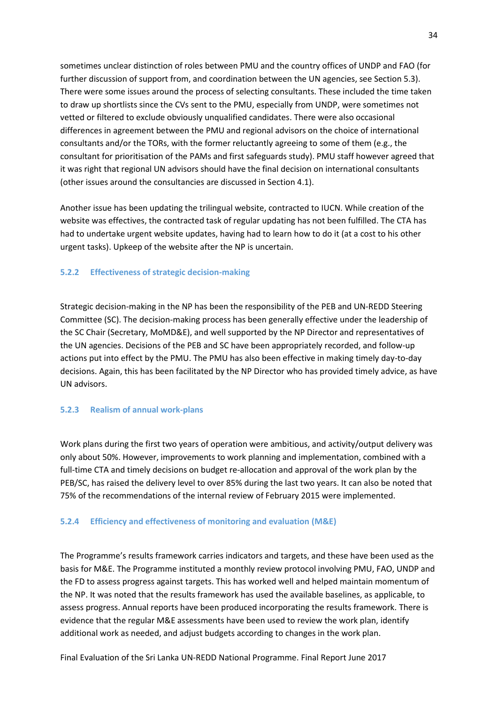sometimes unclear distinction of roles between PMU and the country offices of UNDP and FAO (for further discussion of support from, and coordination between the UN agencies, see Section 5.3). There were some issues around the process of selecting consultants. These included the time taken to draw up shortlists since the CVs sent to the PMU, especially from UNDP, were sometimes not vetted or filtered to exclude obviously unqualified candidates. There were also occasional differences in agreement between the PMU and regional advisors on the choice of international consultants and/or the TORs, with the former reluctantly agreeing to some of them (e.g., the consultant for prioritisation of the PAMs and first safeguards study). PMU staff however agreed that it was right that regional UN advisors should have the final decision on international consultants (other issues around the consultancies are discussed in Section 4.1).

Another issue has been updating the trilingual website, contracted to IUCN. While creation of the website was effectives, the contracted task of regular updating has not been fulfilled. The CTA has had to undertake urgent website updates, having had to learn how to do it (at a cost to his other urgent tasks). Upkeep of the website after the NP is uncertain.

### **5.2.2 Effectiveness of strategic decision-making**

Strategic decision-making in the NP has been the responsibility of the PEB and UN-REDD Steering Committee (SC). The decision-making process has been generally effective under the leadership of the SC Chair (Secretary, MoMD&E), and well supported by the NP Director and representatives of the UN agencies. Decisions of the PEB and SC have been appropriately recorded, and follow-up actions put into effect by the PMU. The PMU has also been effective in making timely day-to-day decisions. Again, this has been facilitated by the NP Director who has provided timely advice, as have UN advisors.

#### **5.2.3 Realism of annual work-plans**

Work plans during the first two years of operation were ambitious, and activity/output delivery was only about 50%. However, improvements to work planning and implementation, combined with a full-time CTA and timely decisions on budget re-allocation and approval of the work plan by the PEB/SC, has raised the delivery level to over 85% during the last two years. It can also be noted that 75% of the recommendations of the internal review of February 2015 were implemented.

#### **5.2.4 Efficiency and effectiveness of monitoring and evaluation (M&E)**

The Programme's results framework carries indicators and targets, and these have been used as the basis for M&E. The Programme instituted a monthly review protocol involving PMU, FAO, UNDP and the FD to assess progress against targets. This has worked well and helped maintain momentum of the NP. It was noted that the results framework has used the available baselines, as applicable, to assess progress. Annual reports have been produced incorporating the results framework. There is evidence that the regular M&E assessments have been used to review the work plan, identify additional work as needed, and adjust budgets according to changes in the work plan.

Final Evaluation of the Sri Lanka UN-REDD National Programme. Final Report June 2017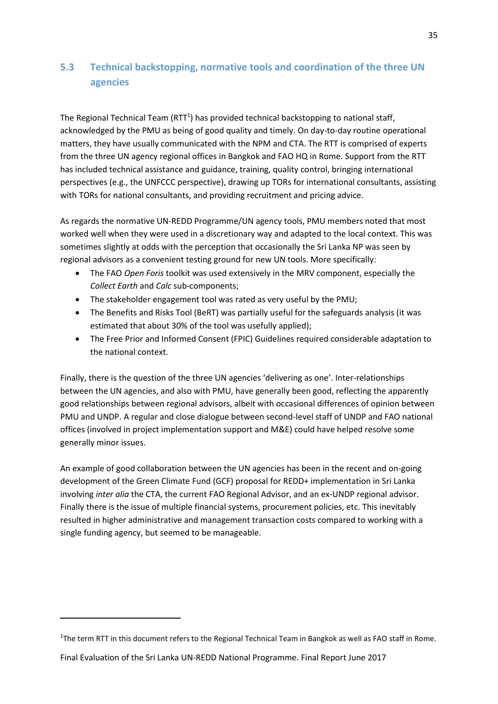## **5.3 Technical backstopping, normative tools and coordination of the three UN agencies**

The Regional Technical Team (RTT<sup>1</sup>) has provided technical backstopping to national staff, acknowledged by the PMU as being of good quality and timely. On day-to-day routine operational matters, they have usually communicated with the NPM and CTA. The RTT is comprised of experts from the three UN agency regional offices in Bangkok and FAO HQ in Rome. Support from the RTT has included technical assistance and guidance, training, quality control, bringing international perspectives (e.g., the UNFCCC perspective), drawing up TORs for international consultants, assisting with TORs for national consultants, and providing recruitment and pricing advice.

As regards the normative UN-REDD Programme/UN agency tools, PMU members noted that most worked well when they were used in a discretionary way and adapted to the local context. This was sometimes slightly at odds with the perception that occasionally the Sri Lanka NP was seen by regional advisors as a convenient testing ground for new UN tools. More specifically:

- The FAO *Open Foris* toolkit was used extensively in the MRV component, especially the *Collect Earth* and *Calc* sub-components;
- The stakeholder engagement tool was rated as very useful by the PMU;
- The Benefits and Risks Tool (BeRT) was partially useful for the safeguards analysis (it was estimated that about 30% of the tool was usefully applied);
- The Free Prior and Informed Consent (FPIC) Guidelines required considerable adaptation to the national context.

Finally, there is the question of the three UN agencies 'delivering as one'. Inter-relationships between the UN agencies, and also with PMU, have generally been good, reflecting the apparently good relationships between regional advisors, albeit with occasional differences of opinion between PMU and UNDP. A regular and close dialogue between second-level staff of UNDP and FAO national offices (involved in project implementation support and M&E) could have helped resolve some generally minor issues.

An example of good collaboration between the UN agencies has been in the recent and on-going development of the Green Climate Fund (GCF) proposal for REDD+ implementation in Sri Lanka involving *inter alia* the CTA, the current FAO Regional Advisor, and an ex-UNDP regional advisor. Finally there is the issue of multiple financial systems, procurement policies, etc. This inevitably resulted in higher administrative and management transaction costs compared to working with a single funding agency, but seemed to be manageable.

**.** 

<sup>&</sup>lt;sup>1</sup>The term RTT in this document refers to the Regional Technical Team in Bangkok as well as FAO staff in Rome.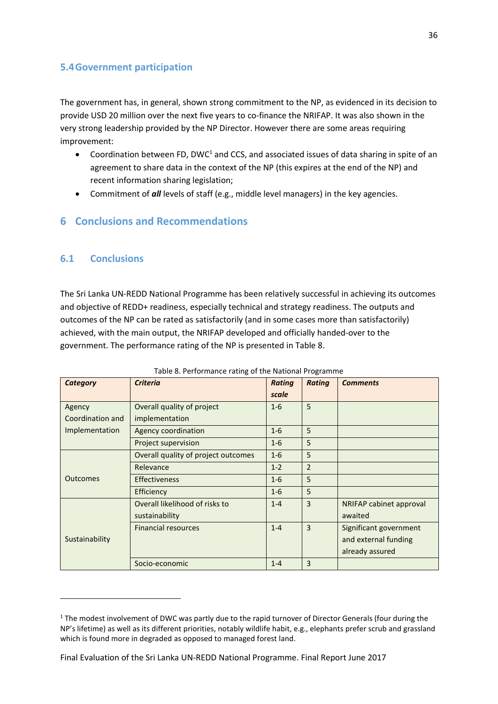## **5.4Government participation**

The government has, in general, shown strong commitment to the NP, as evidenced in its decision to provide USD 20 million over the next five years to co-finance the NRIFAP. It was also shown in the very strong leadership provided by the NP Director. However there are some areas requiring improvement:

- Coordination between FD, DWC<sup>1</sup> and CCS, and associated issues of data sharing in spite of an agreement to share data in the context of the NP (this expires at the end of the NP) and recent information sharing legislation;
- Commitment of *all* levels of staff (e.g., middle level managers) in the key agencies.

## **6 Conclusions and Recommendations**

## **6.1 Conclusions**

**.** 

The Sri Lanka UN-REDD National Programme has been relatively successful in achieving its outcomes and objective of REDD+ readiness, especially technical and strategy readiness. The outputs and outcomes of the NP can be rated as satisfactorily (and in some cases more than satisfactorily) achieved, with the main output, the NRIFAP developed and officially handed-over to the government. The performance rating of the NP is presented in Table 8.

| Category         | <b>Criteria</b>                     | <b>Rating</b> | <b>Rating</b>  | <b>Comments</b>         |
|------------------|-------------------------------------|---------------|----------------|-------------------------|
|                  |                                     | scale         |                |                         |
| Agency           | Overall quality of project          | $1 - 6$       | 5              |                         |
| Coordination and | implementation                      |               |                |                         |
| Implementation   | Agency coordination                 | $1 - 6$       | 5              |                         |
|                  | Project supervision                 | $1-6$         | 5              |                         |
|                  | Overall quality of project outcomes | $1 - 6$       | 5              |                         |
|                  | Relevance                           | $1 - 2$       | $\overline{2}$ |                         |
| <b>Outcomes</b>  | <b>Effectiveness</b>                | $1-6$         | 5              |                         |
|                  | Efficiency                          | $1 - 6$       | 5              |                         |
|                  | Overall likelihood of risks to      | $1 - 4$       | 3              | NRIFAP cabinet approval |
|                  | sustainability                      |               |                | awaited                 |
|                  | <b>Financial resources</b>          | $1 - 4$       | $\overline{3}$ | Significant government  |
| Sustainability   |                                     |               |                | and external funding    |
|                  |                                     |               |                | already assured         |
|                  | Socio-economic                      | $1 - 4$       | 3              |                         |

#### Table 8. Performance rating of the National Programme

<sup>&</sup>lt;sup>1</sup> The modest involvement of DWC was partly due to the rapid turnover of Director Generals (four during the NP's lifetime) as well as its different priorities, notably wildlife habit, e.g., elephants prefer scrub and grassland which is found more in degraded as opposed to managed forest land.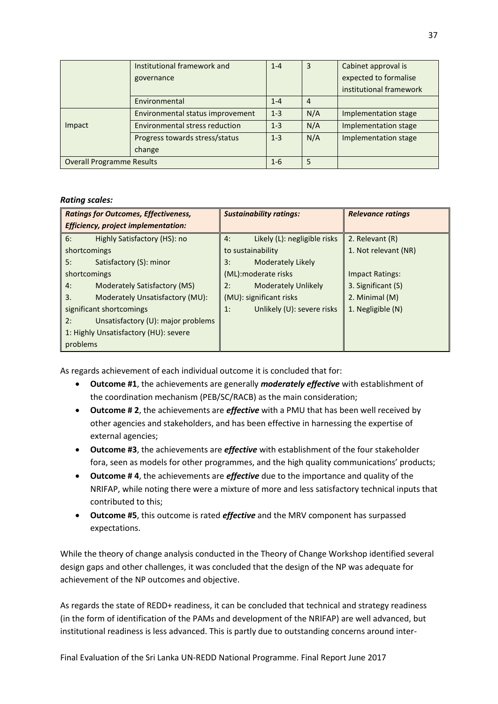|                                  | Institutional framework and           | $1 - 4$ | 3   | Cabinet approval is     |
|----------------------------------|---------------------------------------|---------|-----|-------------------------|
|                                  | governance                            |         |     | expected to formalise   |
|                                  |                                       |         |     | institutional framework |
|                                  | Environmental                         | $1 - 4$ | 4   |                         |
|                                  | Environmental status improvement      | $1 - 3$ | N/A | Implementation stage    |
| Impact                           | <b>Environmental stress reduction</b> | $1 - 3$ | N/A | Implementation stage    |
|                                  | Progress towards stress/status        | $1 - 3$ | N/A | Implementation stage    |
|                                  | change                                |         |     |                         |
| <b>Overall Programme Results</b> |                                       | $1 - 6$ | 5   |                         |

### *Rating scales:*

| <b>Ratings for Outcomes, Effectiveness,</b> | <b>Sustainability ratings:</b>     | <b>Relevance ratings</b> |  |  |
|---------------------------------------------|------------------------------------|--------------------------|--|--|
| <b>Efficiency, project implementation:</b>  |                                    |                          |  |  |
| Highly Satisfactory (HS): no<br>6:          | Likely (L): negligible risks<br>4: | 2. Relevant (R)          |  |  |
| shortcomings                                | to sustainability                  | 1. Not relevant (NR)     |  |  |
| Satisfactory (S): minor<br>5:               | Moderately Likely<br>3:            |                          |  |  |
| shortcomings                                | (ML):moderate risks                | <b>Impact Ratings:</b>   |  |  |
| Moderately Satisfactory (MS)<br>4:          | <b>Moderately Unlikely</b><br>2:   | 3. Significant (S)       |  |  |
| Moderately Unsatisfactory (MU):<br>3.       | (MU): significant risks            | 2. Minimal (M)           |  |  |
| significant shortcomings                    | Unlikely (U): severe risks<br>1:   | 1. Negligible (N)        |  |  |
| Unsatisfactory (U): major problems<br>2:    |                                    |                          |  |  |
| 1: Highly Unsatisfactory (HU): severe       |                                    |                          |  |  |
| problems                                    |                                    |                          |  |  |

As regards achievement of each individual outcome it is concluded that for:

- **Outcome #1**, the achievements are generally *moderately effective* with establishment of the coordination mechanism (PEB/SC/RACB) as the main consideration;
- **Outcome # 2**, the achievements are *effective* with a PMU that has been well received by other agencies and stakeholders, and has been effective in harnessing the expertise of external agencies;
- **Outcome #3**, the achievements are *effective* with establishment of the four stakeholder fora, seen as models for other programmes, and the high quality communications' products;
- **Outcome # 4**, the achievements are *effective* due to the importance and quality of the NRIFAP, while noting there were a mixture of more and less satisfactory technical inputs that contributed to this;
- **Outcome #5**, this outcome is rated *effective* and the MRV component has surpassed expectations.

While the theory of change analysis conducted in the Theory of Change Workshop identified several design gaps and other challenges, it was concluded that the design of the NP was adequate for achievement of the NP outcomes and objective.

As regards the state of REDD+ readiness, it can be concluded that technical and strategy readiness (in the form of identification of the PAMs and development of the NRIFAP) are well advanced, but institutional readiness is less advanced. This is partly due to outstanding concerns around inter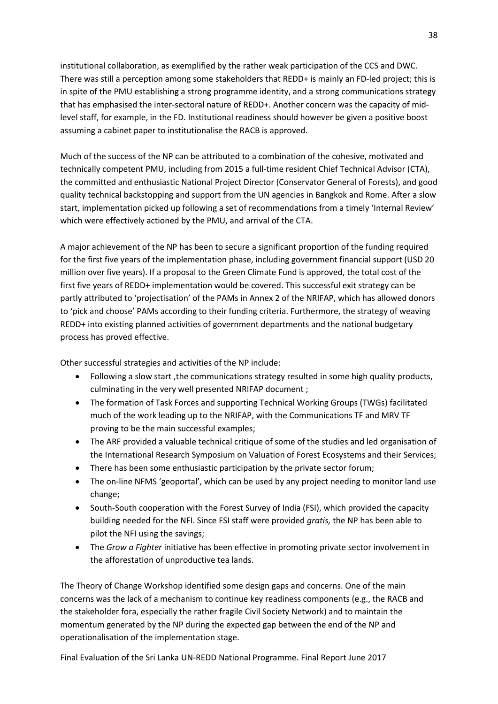institutional collaboration, as exemplified by the rather weak participation of the CCS and DWC. There was still a perception among some stakeholders that REDD+ is mainly an FD-led project; this is in spite of the PMU establishing a strong programme identity, and a strong communications strategy that has emphasised the inter-sectoral nature of REDD+. Another concern was the capacity of midlevel staff, for example, in the FD. Institutional readiness should however be given a positive boost assuming a cabinet paper to institutionalise the RACB is approved.

Much of the success of the NP can be attributed to a combination of the cohesive, motivated and technically competent PMU, including from 2015 a full-time resident Chief Technical Advisor (CTA), the committed and enthusiastic National Project Director (Conservator General of Forests), and good quality technical backstopping and support from the UN agencies in Bangkok and Rome. After a slow start, implementation picked up following a set of recommendations from a timely 'Internal Review' which were effectively actioned by the PMU, and arrival of the CTA.

A major achievement of the NP has been to secure a significant proportion of the funding required for the first five years of the implementation phase, including government financial support (USD 20 million over five years). If a proposal to the Green Climate Fund is approved, the total cost of the first five years of REDD+ implementation would be covered. This successful exit strategy can be partly attributed to 'projectisation' of the PAMs in Annex 2 of the NRIFAP, which has allowed donors to 'pick and choose' PAMs according to their funding criteria. Furthermore, the strategy of weaving REDD+ into existing planned activities of government departments and the national budgetary process has proved effective.

Other successful strategies and activities of the NP include:

- Following a slow start, the communications strategy resulted in some high quality products, culminating in the very well presented NRIFAP document ;
- The formation of Task Forces and supporting Technical Working Groups (TWGs) facilitated much of the work leading up to the NRIFAP, with the Communications TF and MRV TF proving to be the main successful examples;
- The ARF provided a valuable technical critique of some of the studies and led organisation of the International Research Symposium on Valuation of Forest Ecosystems and their Services;
- There has been some enthusiastic participation by the private sector forum;
- The on-line NFMS 'geoportal', which can be used by any project needing to monitor land use change;
- South-South cooperation with the Forest Survey of India (FSI), which provided the capacity building needed for the NFI. Since FSI staff were provided *gratis,* the NP has been able to pilot the NFI using the savings;
- The *Grow a Fighter* initiative has been effective in promoting private sector involvement in the afforestation of unproductive tea lands.

The Theory of Change Workshop identified some design gaps and concerns. One of the main concerns was the lack of a mechanism to continue key readiness components (e.g., the RACB and the stakeholder fora, especially the rather fragile Civil Society Network) and to maintain the momentum generated by the NP during the expected gap between the end of the NP and operationalisation of the implementation stage.

Final Evaluation of the Sri Lanka UN-REDD National Programme. Final Report June 2017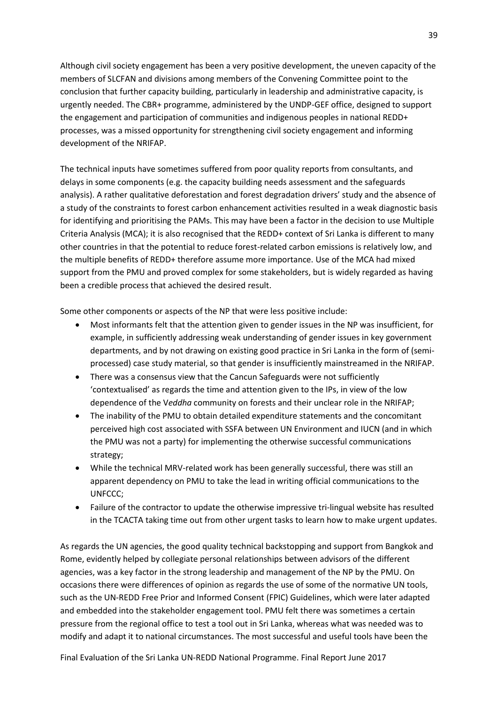Although civil society engagement has been a very positive development, the uneven capacity of the members of SLCFAN and divisions among members of the Convening Committee point to the conclusion that further capacity building, particularly in leadership and administrative capacity, is urgently needed. The CBR+ programme, administered by the UNDP-GEF office, designed to support the engagement and participation of communities and indigenous peoples in national REDD+ processes, was a missed opportunity for strengthening civil society engagement and informing development of the NRIFAP.

The technical inputs have sometimes suffered from poor quality reports from consultants, and delays in some components (e.g. the capacity building needs assessment and the safeguards analysis). A rather qualitative deforestation and forest degradation drivers' study and the absence of a study of the constraints to forest carbon enhancement activities resulted in a weak diagnostic basis for identifying and prioritising the PAMs. This may have been a factor in the decision to use Multiple Criteria Analysis (MCA); it is also recognised that the REDD+ context of Sri Lanka is different to many other countries in that the potential to reduce forest-related carbon emissions is relatively low, and the multiple benefits of REDD+ therefore assume more importance. Use of the MCA had mixed support from the PMU and proved complex for some stakeholders, but is widely regarded as having been a credible process that achieved the desired result.

Some other components or aspects of the NP that were less positive include:

- Most informants felt that the attention given to gender issues in the NP was insufficient, for example, in sufficiently addressing weak understanding of gender issues in key government departments, and by not drawing on existing good practice in Sri Lanka in the form of (semiprocessed) case study material, so that gender is insufficiently mainstreamed in the NRIFAP.
- There was a consensus view that the Cancun Safeguards were not sufficiently 'contextualised' as regards the time and attention given to the IPs, in view of the low dependence of the V*eddha* community on forests and their unclear role in the NRIFAP;
- The inability of the PMU to obtain detailed expenditure statements and the concomitant perceived high cost associated with SSFA between UN Environment and IUCN (and in which the PMU was not a party) for implementing the otherwise successful communications strategy;
- While the technical MRV-related work has been generally successful, there was still an apparent dependency on PMU to take the lead in writing official communications to the UNFCCC;
- Failure of the contractor to update the otherwise impressive tri-lingual website has resulted in the TCACTA taking time out from other urgent tasks to learn how to make urgent updates.

As regards the UN agencies, the good quality technical backstopping and support from Bangkok and Rome, evidently helped by collegiate personal relationships between advisors of the different agencies, was a key factor in the strong leadership and management of the NP by the PMU. On occasions there were differences of opinion as regards the use of some of the normative UN tools, such as the UN-REDD Free Prior and Informed Consent (FPIC) Guidelines, which were later adapted and embedded into the stakeholder engagement tool. PMU felt there was sometimes a certain pressure from the regional office to test a tool out in Sri Lanka, whereas what was needed was to modify and adapt it to national circumstances. The most successful and useful tools have been the

Final Evaluation of the Sri Lanka UN-REDD National Programme. Final Report June 2017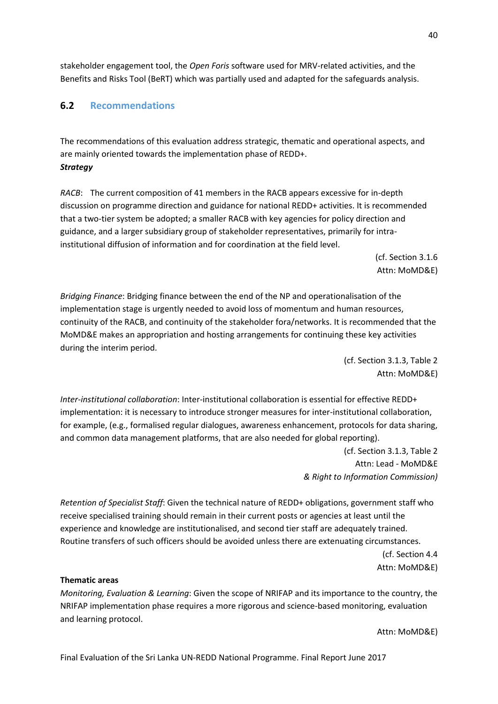stakeholder engagement tool, the *Open Foris* software used for MRV-related activities, and the Benefits and Risks Tool (BeRT) which was partially used and adapted for the safeguards analysis.

## **6.2 Recommendations**

The recommendations of this evaluation address strategic, thematic and operational aspects, and are mainly oriented towards the implementation phase of REDD+. *Strategy*

*RACB*: The current composition of 41 members in the RACB appears excessive for in-depth discussion on programme direction and guidance for national REDD+ activities. It is recommended that a two-tier system be adopted; a smaller RACB with key agencies for policy direction and guidance, and a larger subsidiary group of stakeholder representatives, primarily for intrainstitutional diffusion of information and for coordination at the field level.

> (cf. Section 3.1.6 Attn: MoMD&E)

*Bridging Finance*: Bridging finance between the end of the NP and operationalisation of the implementation stage is urgently needed to avoid loss of momentum and human resources, continuity of the RACB, and continuity of the stakeholder fora/networks. It is recommended that the MoMD&E makes an appropriation and hosting arrangements for continuing these key activities during the interim period.

> (cf. Section 3.1.3, Table 2 Attn: MoMD&E)

*Inter-institutional collaboration*: Inter-institutional collaboration is essential for effective REDD+ implementation: it is necessary to introduce stronger measures for inter-institutional collaboration, for example, (e.g., formalised regular dialogues, awareness enhancement, protocols for data sharing, and common data management platforms, that are also needed for global reporting).

> (cf. Section 3.1.3, Table 2 Attn: Lead - MoMD&E *& Right to Information Commission)*

*Retention of Specialist Staff*: Given the technical nature of REDD+ obligations, government staff who receive specialised training should remain in their current posts or agencies at least until the experience and knowledge are institutionalised, and second tier staff are adequately trained. Routine transfers of such officers should be avoided unless there are extenuating circumstances. (cf. Section 4.4 Attn: MoMD&E)

### **Thematic areas**

*Monitoring, Evaluation & Learning*: Given the scope of NRIFAP and its importance to the country, the NRIFAP implementation phase requires a more rigorous and science-based monitoring, evaluation and learning protocol.

Attn: MoMD&E)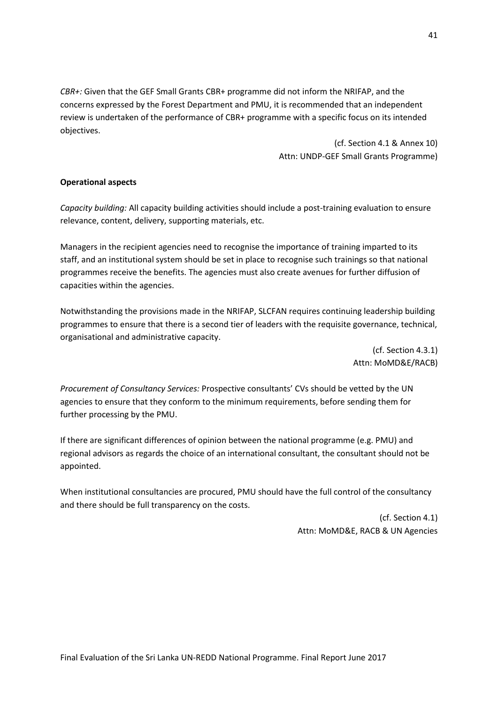*CBR+:* Given that the GEF Small Grants CBR+ programme did not inform the NRIFAP, and the concerns expressed by the Forest Department and PMU, it is recommended that an independent review is undertaken of the performance of CBR+ programme with a specific focus on its intended objectives.

> (cf. Section 4.1 & Annex 10) Attn: UNDP-GEF Small Grants Programme)

### **Operational aspects**

*Capacity building:* All capacity building activities should include a post-training evaluation to ensure relevance, content, delivery, supporting materials, etc.

Managers in the recipient agencies need to recognise the importance of training imparted to its staff, and an institutional system should be set in place to recognise such trainings so that national programmes receive the benefits. The agencies must also create avenues for further diffusion of capacities within the agencies.

Notwithstanding the provisions made in the NRIFAP, SLCFAN requires continuing leadership building programmes to ensure that there is a second tier of leaders with the requisite governance, technical, organisational and administrative capacity.

> (cf. Section 4.3.1) Attn: MoMD&E/RACB)

*Procurement of Consultancy Services:* Prospective consultants' CVs should be vetted by the UN agencies to ensure that they conform to the minimum requirements, before sending them for further processing by the PMU.

If there are significant differences of opinion between the national programme (e.g. PMU) and regional advisors as regards the choice of an international consultant, the consultant should not be appointed.

When institutional consultancies are procured, PMU should have the full control of the consultancy and there should be full transparency on the costs.

> (cf. Section 4.1) Attn: MoMD&E, RACB & UN Agencies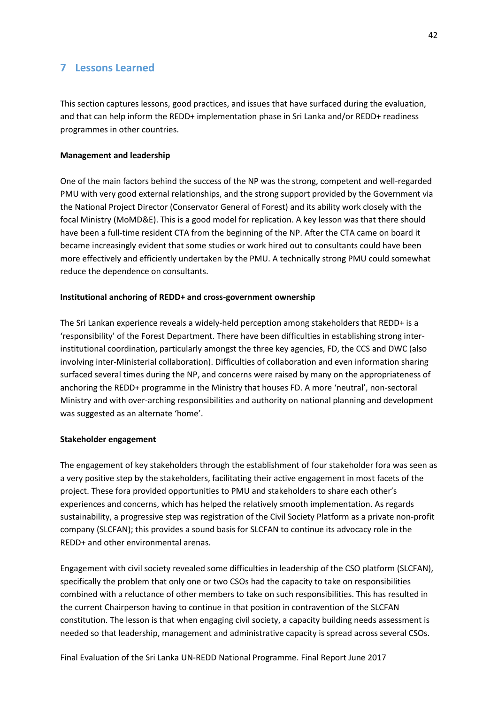## **7 Lessons Learned**

This section captures lessons, good practices, and issues that have surfaced during the evaluation, and that can help inform the REDD+ implementation phase in Sri Lanka and/or REDD+ readiness programmes in other countries.

### **Management and leadership**

One of the main factors behind the success of the NP was the strong, competent and well-regarded PMU with very good external relationships, and the strong support provided by the Government via the National Project Director (Conservator General of Forest) and its ability work closely with the focal Ministry (MoMD&E). This is a good model for replication. A key lesson was that there should have been a full-time resident CTA from the beginning of the NP. After the CTA came on board it became increasingly evident that some studies or work hired out to consultants could have been more effectively and efficiently undertaken by the PMU. A technically strong PMU could somewhat reduce the dependence on consultants.

#### **Institutional anchoring of REDD+ and cross-government ownership**

The Sri Lankan experience reveals a widely-held perception among stakeholders that REDD+ is a 'responsibility' of the Forest Department. There have been difficulties in establishing strong interinstitutional coordination, particularly amongst the three key agencies, FD, the CCS and DWC (also involving inter-Ministerial collaboration). Difficulties of collaboration and even information sharing surfaced several times during the NP, and concerns were raised by many on the appropriateness of anchoring the REDD+ programme in the Ministry that houses FD. A more 'neutral', non-sectoral Ministry and with over-arching responsibilities and authority on national planning and development was suggested as an alternate 'home'.

#### **Stakeholder engagement**

The engagement of key stakeholders through the establishment of four stakeholder fora was seen as a very positive step by the stakeholders, facilitating their active engagement in most facets of the project. These fora provided opportunities to PMU and stakeholders to share each other's experiences and concerns, which has helped the relatively smooth implementation. As regards sustainability, a progressive step was registration of the Civil Society Platform as a private non-profit company (SLCFAN); this provides a sound basis for SLCFAN to continue its advocacy role in the REDD+ and other environmental arenas.

Engagement with civil society revealed some difficulties in leadership of the CSO platform (SLCFAN), specifically the problem that only one or two CSOs had the capacity to take on responsibilities combined with a reluctance of other members to take on such responsibilities. This has resulted in the current Chairperson having to continue in that position in contravention of the SLCFAN constitution. The lesson is that when engaging civil society, a capacity building needs assessment is needed so that leadership, management and administrative capacity is spread across several CSOs.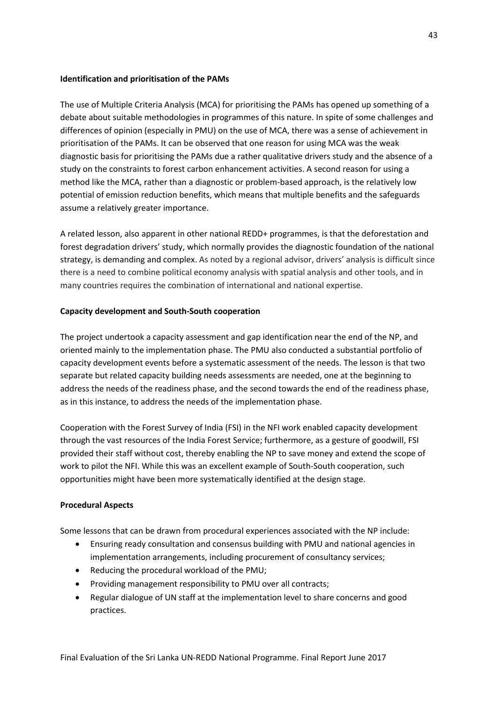### **Identification and prioritisation of the PAMs**

The use of Multiple Criteria Analysis (MCA) for prioritising the PAMs has opened up something of a debate about suitable methodologies in programmes of this nature. In spite of some challenges and differences of opinion (especially in PMU) on the use of MCA, there was a sense of achievement in prioritisation of the PAMs. It can be observed that one reason for using MCA was the weak diagnostic basis for prioritising the PAMs due a rather qualitative drivers study and the absence of a study on the constraints to forest carbon enhancement activities. A second reason for using a method like the MCA, rather than a diagnostic or problem-based approach, is the relatively low potential of emission reduction benefits, which means that multiple benefits and the safeguards assume a relatively greater importance.

A related lesson, also apparent in other national REDD+ programmes, is that the deforestation and forest degradation drivers' study, which normally provides the diagnostic foundation of the national strategy, is demanding and complex. As noted by a regional advisor, drivers' analysis is difficult since there is a need to combine political economy analysis with spatial analysis and other tools, and in many countries requires the combination of international and national expertise.

### **Capacity development and South-South cooperation**

The project undertook a capacity assessment and gap identification near the end of the NP, and oriented mainly to the implementation phase. The PMU also conducted a substantial portfolio of capacity development events before a systematic assessment of the needs. The lesson is that two separate but related capacity building needs assessments are needed, one at the beginning to address the needs of the readiness phase, and the second towards the end of the readiness phase, as in this instance, to address the needs of the implementation phase.

Cooperation with the Forest Survey of India (FSI) in the NFI work enabled capacity development through the vast resources of the India Forest Service; furthermore, as a gesture of goodwill, FSI provided their staff without cost, thereby enabling the NP to save money and extend the scope of work to pilot the NFI. While this was an excellent example of South-South cooperation, such opportunities might have been more systematically identified at the design stage.

#### **Procedural Aspects**

Some lessons that can be drawn from procedural experiences associated with the NP include:

- Ensuring ready consultation and consensus building with PMU and national agencies in implementation arrangements, including procurement of consultancy services;
- Reducing the procedural workload of the PMU;
- Providing management responsibility to PMU over all contracts;
- Regular dialogue of UN staff at the implementation level to share concerns and good practices.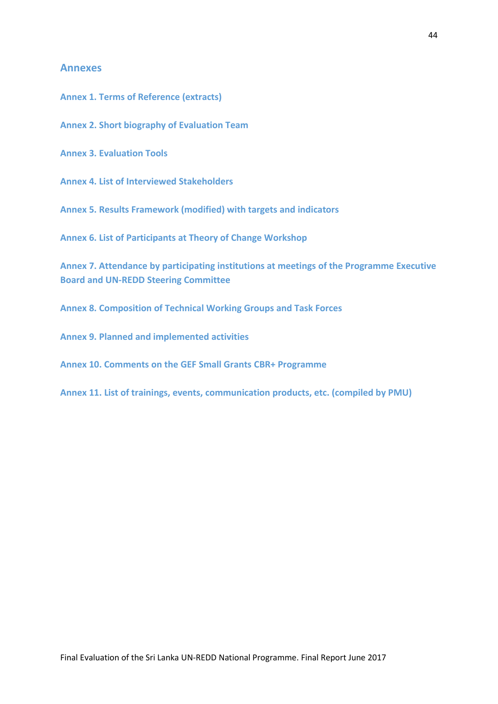### **Annexes**

**Annex 1. Terms of Reference (extracts)**

**Annex 2. Short biography of Evaluation Team**

**Annex 3. Evaluation Tools**

**Annex 4. List of Interviewed Stakeholders**

**Annex 5. Results Framework (modified) with targets and indicators**

**Annex 6. List of Participants at Theory of Change Workshop**

**Annex 7. Attendance by participating institutions at meetings of the Programme Executive Board and UN-REDD Steering Committee**

**Annex 8. Composition of Technical Working Groups and Task Forces**

**Annex 9. Planned and implemented activities**

**Annex 10. Comments on the GEF Small Grants CBR+ Programme**

**Annex 11. List of trainings, events, communication products, etc. (compiled by PMU)**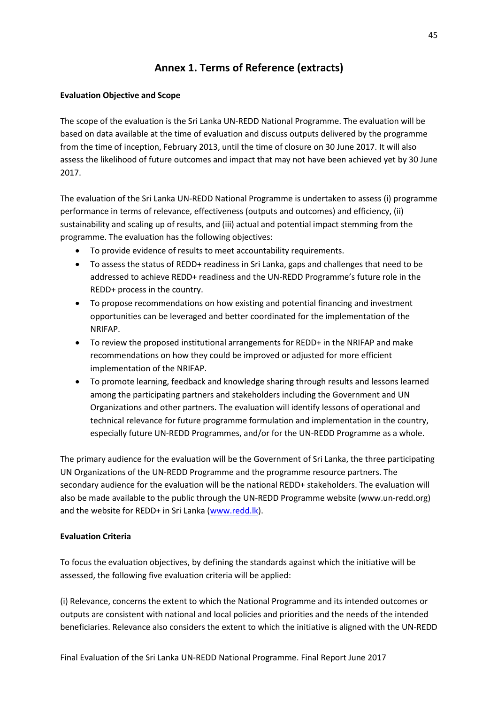## **Annex 1. Terms of Reference (extracts)**

### **Evaluation Objective and Scope**

The scope of the evaluation is the Sri Lanka UN-REDD National Programme. The evaluation will be based on data available at the time of evaluation and discuss outputs delivered by the programme from the time of inception, February 2013, until the time of closure on 30 June 2017. It will also assess the likelihood of future outcomes and impact that may not have been achieved yet by 30 June 2017.

The evaluation of the Sri Lanka UN-REDD National Programme is undertaken to assess (i) programme performance in terms of relevance, effectiveness (outputs and outcomes) and efficiency, (ii) sustainability and scaling up of results, and (iii) actual and potential impact stemming from the programme. The evaluation has the following objectives:

- To provide evidence of results to meet accountability requirements.
- To assess the status of REDD+ readiness in Sri Lanka, gaps and challenges that need to be addressed to achieve REDD+ readiness and the UN-REDD Programme's future role in the REDD+ process in the country.
- To propose recommendations on how existing and potential financing and investment opportunities can be leveraged and better coordinated for the implementation of the NRIFAP.
- To review the proposed institutional arrangements for REDD+ in the NRIFAP and make recommendations on how they could be improved or adjusted for more efficient implementation of the NRIFAP.
- To promote learning, feedback and knowledge sharing through results and lessons learned among the participating partners and stakeholders including the Government and UN Organizations and other partners. The evaluation will identify lessons of operational and technical relevance for future programme formulation and implementation in the country, especially future UN-REDD Programmes, and/or for the UN-REDD Programme as a whole.

The primary audience for the evaluation will be the Government of Sri Lanka, the three participating UN Organizations of the UN-REDD Programme and the programme resource partners. The secondary audience for the evaluation will be the national REDD+ stakeholders. The evaluation will also be made available to the public through the UN-REDD Programme website (www.un-redd.org) and the website for REDD+ in Sri Lanka [\(www.redd.lk\)](http://www.redd.lk/).

## **Evaluation Criteria**

To focus the evaluation objectives, by defining the standards against which the initiative will be assessed, the following five evaluation criteria will be applied:

(i) Relevance, concerns the extent to which the National Programme and its intended outcomes or outputs are consistent with national and local policies and priorities and the needs of the intended beneficiaries. Relevance also considers the extent to which the initiative is aligned with the UN-REDD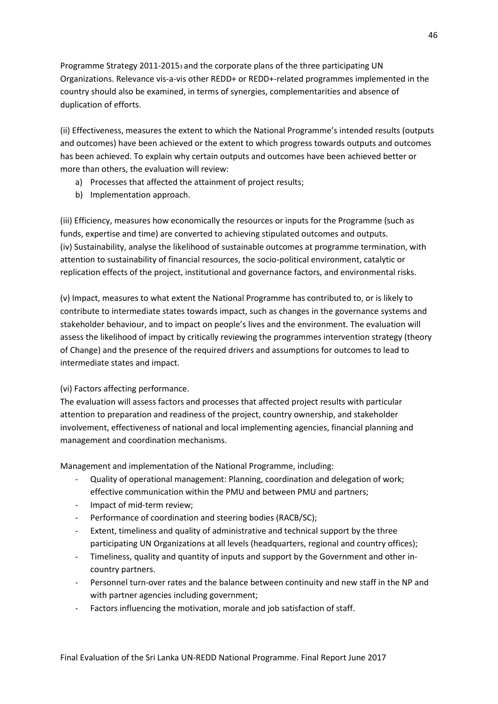Programme Strategy 2011-20153 and the corporate plans of the three participating UN Organizations. Relevance vis-a-vis other REDD+ or REDD+-related programmes implemented in the country should also be examined, in terms of synergies, complementarities and absence of duplication of efforts.

(ii) Effectiveness, measures the extent to which the National Programme's intended results (outputs and outcomes) have been achieved or the extent to which progress towards outputs and outcomes has been achieved. To explain why certain outputs and outcomes have been achieved better or more than others, the evaluation will review:

- a) Processes that affected the attainment of project results;
- b) Implementation approach.

(iii) Efficiency, measures how economically the resources or inputs for the Programme (such as funds, expertise and time) are converted to achieving stipulated outcomes and outputs. (iv) Sustainability, analyse the likelihood of sustainable outcomes at programme termination, with attention to sustainability of financial resources, the socio-political environment, catalytic or replication effects of the project, institutional and governance factors, and environmental risks.

(v) Impact, measures to what extent the National Programme has contributed to, or is likely to contribute to intermediate states towards impact, such as changes in the governance systems and stakeholder behaviour, and to impact on people's lives and the environment. The evaluation will assess the likelihood of impact by critically reviewing the programmes intervention strategy (theory of Change) and the presence of the required drivers and assumptions for outcomes to lead to intermediate states and impact.

### (vi) Factors affecting performance.

The evaluation will assess factors and processes that affected project results with particular attention to preparation and readiness of the project, country ownership, and stakeholder involvement, effectiveness of national and local implementing agencies, financial planning and management and coordination mechanisms.

Management and implementation of the National Programme, including:

- Quality of operational management: Planning, coordination and delegation of work; effective communication within the PMU and between PMU and partners;
- Impact of mid-term review;
- Performance of coordination and steering bodies (RACB/SC);
- Extent, timeliness and quality of administrative and technical support by the three participating UN Organizations at all levels (headquarters, regional and country offices);
- Timeliness, quality and quantity of inputs and support by the Government and other incountry partners.
- Personnel turn-over rates and the balance between continuity and new staff in the NP and with partner agencies including government;
- Factors influencing the motivation, morale and job satisfaction of staff.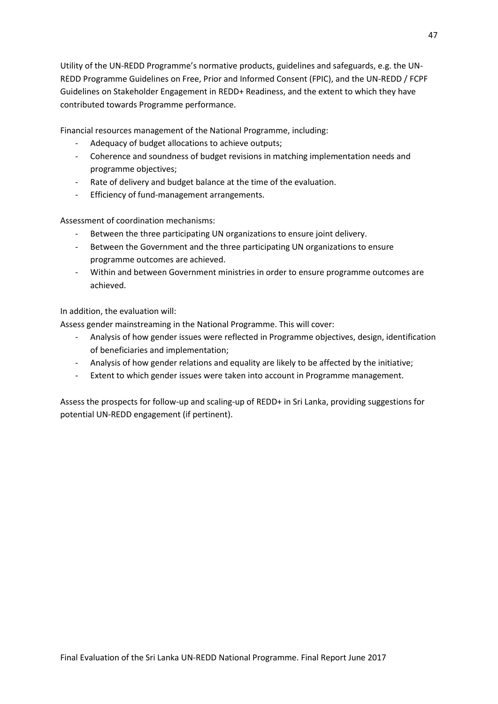Utility of the UN-REDD Programme's normative products, guidelines and safeguards, e.g. the UN-REDD Programme Guidelines on Free, Prior and Informed Consent (FPIC), and the UN-REDD / FCPF Guidelines on Stakeholder Engagement in REDD+ Readiness, and the extent to which they have contributed towards Programme performance.

Financial resources management of the National Programme, including:

- Adequacy of budget allocations to achieve outputs:
- Coherence and soundness of budget revisions in matching implementation needs and programme objectives;
- Rate of delivery and budget balance at the time of the evaluation.
- Efficiency of fund-management arrangements.

Assessment of coordination mechanisms:

- Between the three participating UN organizations to ensure joint delivery.
- Between the Government and the three participating UN organizations to ensure programme outcomes are achieved.
- Within and between Government ministries in order to ensure programme outcomes are achieved.

In addition, the evaluation will:

Assess gender mainstreaming in the National Programme. This will cover:

- Analysis of how gender issues were reflected in Programme objectives, design, identification of beneficiaries and implementation;
- Analysis of how gender relations and equality are likely to be affected by the initiative;
- Extent to which gender issues were taken into account in Programme management.

Assess the prospects for follow-up and scaling-up of REDD+ in Sri Lanka, providing suggestions for potential UN-REDD engagement (if pertinent).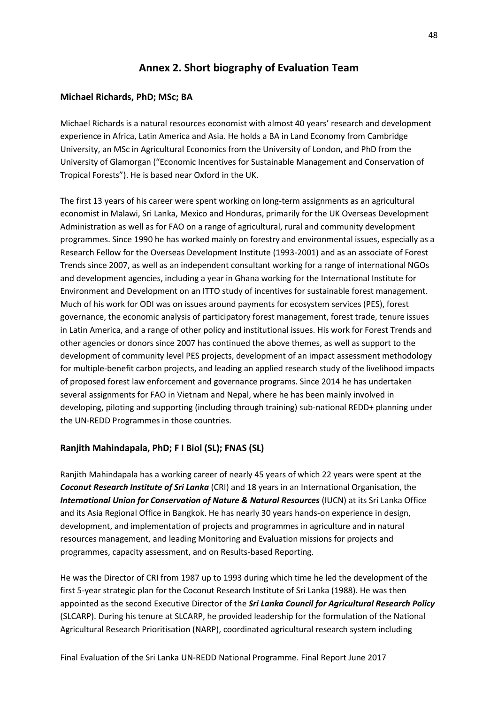## **Annex 2. Short biography of Evaluation Team**

### **Michael Richards, PhD; MSc; BA**

Michael Richards is a natural resources economist with almost 40 years' research and development experience in Africa, Latin America and Asia. He holds a BA in Land Economy from Cambridge University, an MSc in Agricultural Economics from the University of London, and PhD from the University of Glamorgan ("Economic Incentives for Sustainable Management and Conservation of Tropical Forests"). He is based near Oxford in the UK.

The first 13 years of his career were spent working on long-term assignments as an agricultural economist in Malawi, Sri Lanka, Mexico and Honduras, primarily for the UK Overseas Development Administration as well as for FAO on a range of agricultural, rural and community development programmes. Since 1990 he has worked mainly on forestry and environmental issues, especially as a Research Fellow for the Overseas Development Institute (1993-2001) and as an associate of Forest Trends since 2007, as well as an independent consultant working for a range of international NGOs and development agencies, including a year in Ghana working for the International Institute for Environment and Development on an ITTO study of incentives for sustainable forest management. Much of his work for ODI was on issues around payments for ecosystem services (PES), forest governance, the economic analysis of participatory forest management, forest trade, tenure issues in Latin America, and a range of other policy and institutional issues. His work for Forest Trends and other agencies or donors since 2007 has continued the above themes, as well as support to the development of community level PES projects, development of an impact assessment methodology for multiple-benefit carbon projects, and leading an applied research study of the livelihood impacts of proposed forest law enforcement and governance programs. Since 2014 he has undertaken several assignments for FAO in Vietnam and Nepal, where he has been mainly involved in developing, piloting and supporting (including through training) sub-national REDD+ planning under the UN-REDD Programmes in those countries.

### **Ranjith Mahindapala, PhD; F I Biol (SL); FNAS (SL)**

Ranjith Mahindapala has a working career of nearly 45 years of which 22 years were spent at the *Coconut Research Institute of Sri Lanka* (CRI) and 18 years in an International Organisation, the *International Union for Conservation of Nature & Natural Resources* (IUCN) at its Sri Lanka Office and its Asia Regional Office in Bangkok. He has nearly 30 years hands-on experience in design, development, and implementation of projects and programmes in agriculture and in natural resources management, and leading Monitoring and Evaluation missions for projects and programmes, capacity assessment, and on Results-based Reporting.

He was the Director of CRI from 1987 up to 1993 during which time he led the development of the first 5-year strategic plan for the Coconut Research Institute of Sri Lanka (1988). He was then appointed as the second Executive Director of the *Sri Lanka Council for Agricultural Research Policy* (SLCARP). During his tenure at SLCARP, he provided leadership for the formulation of the National Agricultural Research Prioritisation (NARP), coordinated agricultural research system including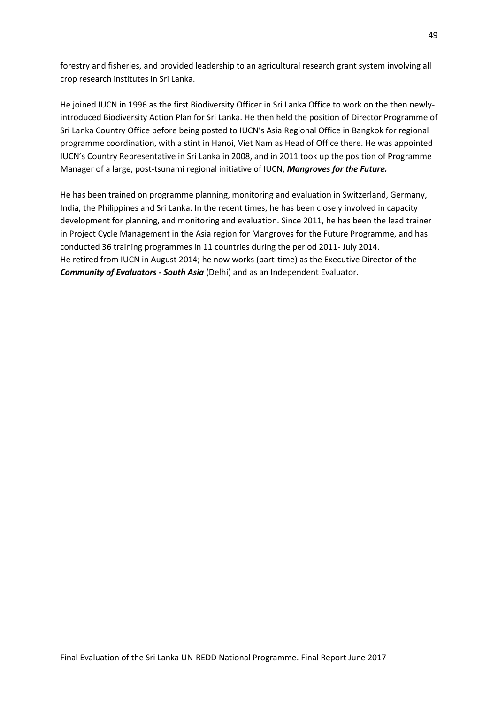forestry and fisheries, and provided leadership to an agricultural research grant system involving all crop research institutes in Sri Lanka.

He joined IUCN in 1996 as the first Biodiversity Officer in Sri Lanka Office to work on the then newlyintroduced Biodiversity Action Plan for Sri Lanka. He then held the position of Director Programme of Sri Lanka Country Office before being posted to IUCN's Asia Regional Office in Bangkok for regional programme coordination, with a stint in Hanoi, Viet Nam as Head of Office there. He was appointed IUCN's Country Representative in Sri Lanka in 2008, and in 2011 took up the position of Programme Manager of a large, post-tsunami regional initiative of IUCN, *Mangroves for the Future.* 

He has been trained on programme planning, monitoring and evaluation in Switzerland, Germany, India, the Philippines and Sri Lanka. In the recent times, he has been closely involved in capacity development for planning, and monitoring and evaluation. Since 2011, he has been the lead trainer in Project Cycle Management in the Asia region for Mangroves for the Future Programme, and has conducted 36 training programmes in 11 countries during the period 2011- July 2014. He retired from IUCN in August 2014; he now works (part-time) as the Executive Director of the *Community of Evaluators - South Asia* (Delhi) and as an Independent Evaluator.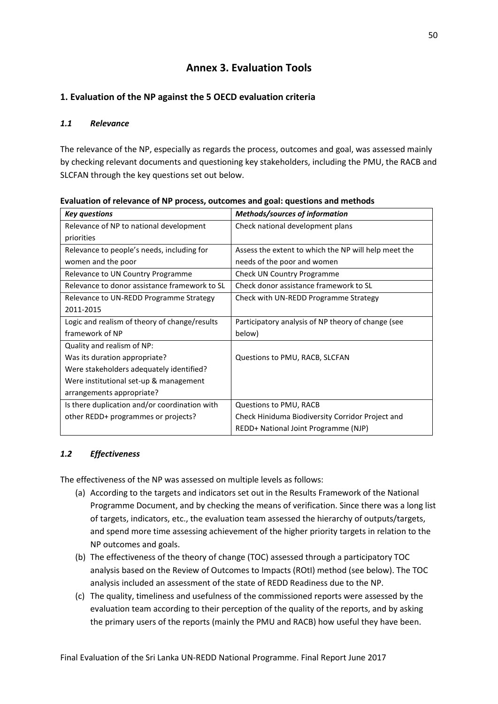## **Annex 3. Evaluation Tools**

## **1. Evaluation of the NP against the 5 OECD evaluation criteria**

### *1.1 Relevance*

The relevance of the NP, especially as regards the process, outcomes and goal, was assessed mainly by checking relevant documents and questioning key stakeholders, including the PMU, the RACB and SLCFAN through the key questions set out below.

| <b>Key questions</b>                          | Methods/sources of information                       |
|-----------------------------------------------|------------------------------------------------------|
| Relevance of NP to national development       | Check national development plans                     |
| priorities                                    |                                                      |
| Relevance to people's needs, including for    | Assess the extent to which the NP will help meet the |
| women and the poor                            | needs of the poor and women                          |
| Relevance to UN Country Programme             | Check UN Country Programme                           |
| Relevance to donor assistance framework to SL | Check donor assistance framework to SL               |
| Relevance to UN-REDD Programme Strategy       | Check with UN-REDD Programme Strategy                |
| 2011-2015                                     |                                                      |
| Logic and realism of theory of change/results | Participatory analysis of NP theory of change (see   |
| framework of NP                               | below)                                               |
| Quality and realism of NP:                    |                                                      |
| Was its duration appropriate?                 | Questions to PMU, RACB, SLCFAN                       |
| Were stakeholders adequately identified?      |                                                      |
| Were institutional set-up & management        |                                                      |
| arrangements appropriate?                     |                                                      |
| Is there duplication and/or coordination with | Questions to PMU, RACB                               |
| other REDD+ programmes or projects?           | Check Hiniduma Biodiversity Corridor Project and     |
|                                               | REDD+ National Joint Programme (NJP)                 |

**Evaluation of relevance of NP process, outcomes and goal: questions and methods**

## *1.2 Effectiveness*

The effectiveness of the NP was assessed on multiple levels as follows:

- (a) According to the targets and indicators set out in the Results Framework of the National Programme Document, and by checking the means of verification. Since there was a long list of targets, indicators, etc., the evaluation team assessed the hierarchy of outputs/targets, and spend more time assessing achievement of the higher priority targets in relation to the NP outcomes and goals.
- (b) The effectiveness of the theory of change (TOC) assessed through a participatory TOC analysis based on the Review of Outcomes to Impacts (ROtI) method (see below). The TOC analysis included an assessment of the state of REDD Readiness due to the NP.
- (c) The quality, timeliness and usefulness of the commissioned reports were assessed by the evaluation team according to their perception of the quality of the reports, and by asking the primary users of the reports (mainly the PMU and RACB) how useful they have been.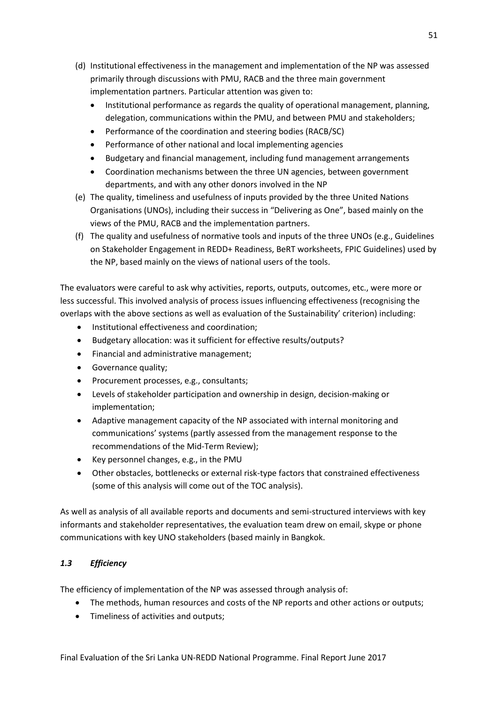- (d) Institutional effectiveness in the management and implementation of the NP was assessed primarily through discussions with PMU, RACB and the three main government implementation partners. Particular attention was given to:
	- Institutional performance as regards the quality of operational management, planning, delegation, communications within the PMU, and between PMU and stakeholders;
	- Performance of the coordination and steering bodies (RACB/SC)
	- Performance of other national and local implementing agencies
	- Budgetary and financial management, including fund management arrangements
	- Coordination mechanisms between the three UN agencies, between government departments, and with any other donors involved in the NP
- (e) The quality, timeliness and usefulness of inputs provided by the three United Nations Organisations (UNOs), including their success in "Delivering as One", based mainly on the views of the PMU, RACB and the implementation partners.
- (f) The quality and usefulness of normative tools and inputs of the three UNOs (e.g., Guidelines on Stakeholder Engagement in REDD+ Readiness, BeRT worksheets, FPIC Guidelines) used by the NP, based mainly on the views of national users of the tools.

The evaluators were careful to ask why activities, reports, outputs, outcomes, etc., were more or less successful. This involved analysis of process issues influencing effectiveness (recognising the overlaps with the above sections as well as evaluation of the Sustainability' criterion) including:

- Institutional effectiveness and coordination;
- Budgetary allocation: was it sufficient for effective results/outputs?
- Financial and administrative management;
- Governance quality;
- Procurement processes, e.g., consultants;
- Levels of stakeholder participation and ownership in design, decision-making or implementation;
- Adaptive management capacity of the NP associated with internal monitoring and communications' systems (partly assessed from the management response to the recommendations of the Mid-Term Review);
- Key personnel changes, e.g., in the PMU
- Other obstacles, bottlenecks or external risk-type factors that constrained effectiveness (some of this analysis will come out of the TOC analysis).

As well as analysis of all available reports and documents and semi-structured interviews with key informants and stakeholder representatives, the evaluation team drew on email, skype or phone communications with key UNO stakeholders (based mainly in Bangkok.

### *1.3 Efficiency*

The efficiency of implementation of the NP was assessed through analysis of:

- The methods, human resources and costs of the NP reports and other actions or outputs;
- Timeliness of activities and outputs;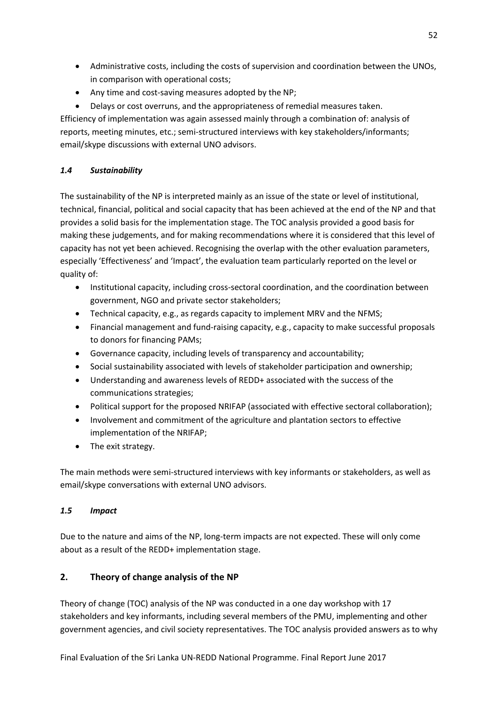- Administrative costs, including the costs of supervision and coordination between the UNOs, in comparison with operational costs;
- Any time and cost-saving measures adopted by the NP;
- Delays or cost overruns, and the appropriateness of remedial measures taken.

Efficiency of implementation was again assessed mainly through a combination of: analysis of reports, meeting minutes, etc.; semi-structured interviews with key stakeholders/informants; email/skype discussions with external UNO advisors.

## *1.4 Sustainability*

The sustainability of the NP is interpreted mainly as an issue of the state or level of institutional, technical, financial, political and social capacity that has been achieved at the end of the NP and that provides a solid basis for the implementation stage. The TOC analysis provided a good basis for making these judgements, and for making recommendations where it is considered that this level of capacity has not yet been achieved. Recognising the overlap with the other evaluation parameters, especially 'Effectiveness' and 'Impact', the evaluation team particularly reported on the level or quality of:

- Institutional capacity, including cross-sectoral coordination, and the coordination between government, NGO and private sector stakeholders;
- Technical capacity, e.g., as regards capacity to implement MRV and the NFMS;
- Financial management and fund-raising capacity, e.g., capacity to make successful proposals to donors for financing PAMs;
- Governance capacity, including levels of transparency and accountability;
- Social sustainability associated with levels of stakeholder participation and ownership;
- Understanding and awareness levels of REDD+ associated with the success of the communications strategies;
- Political support for the proposed NRIFAP (associated with effective sectoral collaboration);
- Involvement and commitment of the agriculture and plantation sectors to effective implementation of the NRIFAP;
- The exit strategy.

The main methods were semi-structured interviews with key informants or stakeholders, as well as email/skype conversations with external UNO advisors.

## *1.5 Impact*

Due to the nature and aims of the NP, long-term impacts are not expected. These will only come about as a result of the REDD+ implementation stage.

## **2. Theory of change analysis of the NP**

Theory of change (TOC) analysis of the NP was conducted in a one day workshop with 17 stakeholders and key informants, including several members of the PMU, implementing and other government agencies, and civil society representatives. The TOC analysis provided answers as to why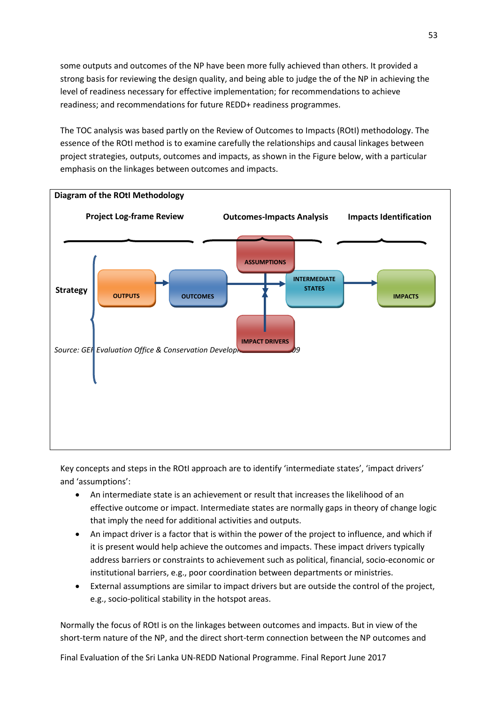some outputs and outcomes of the NP have been more fully achieved than others. It provided a strong basis for reviewing the design quality, and being able to judge the of the NP in achieving the level of readiness necessary for effective implementation; for recommendations to achieve readiness; and recommendations for future REDD+ readiness programmes.

The TOC analysis was based partly on the Review of Outcomes to Impacts (ROtI) methodology. The essence of the ROtI method is to examine carefully the relationships and causal linkages between project strategies, outputs, outcomes and impacts, as shown in the Figure below, with a particular emphasis on the linkages between outcomes and impacts.



Key concepts and steps in the ROtI approach are to identify 'intermediate states', 'impact drivers' and 'assumptions':

- An intermediate state is an achievement or result that increases the likelihood of an effective outcome or impact. Intermediate states are normally gaps in theory of change logic that imply the need for additional activities and outputs.
- An impact driver is a factor that is within the power of the project to influence, and which if it is present would help achieve the outcomes and impacts. These impact drivers typically address barriers or constraints to achievement such as political, financial, socio-economic or institutional barriers, e.g., poor coordination between departments or ministries.
- External assumptions are similar to impact drivers but are outside the control of the project, e.g., socio-political stability in the hotspot areas.

Normally the focus of ROtI is on the linkages between outcomes and impacts. But in view of the short-term nature of the NP, and the direct short-term connection between the NP outcomes and

Final Evaluation of the Sri Lanka UN-REDD National Programme. Final Report June 2017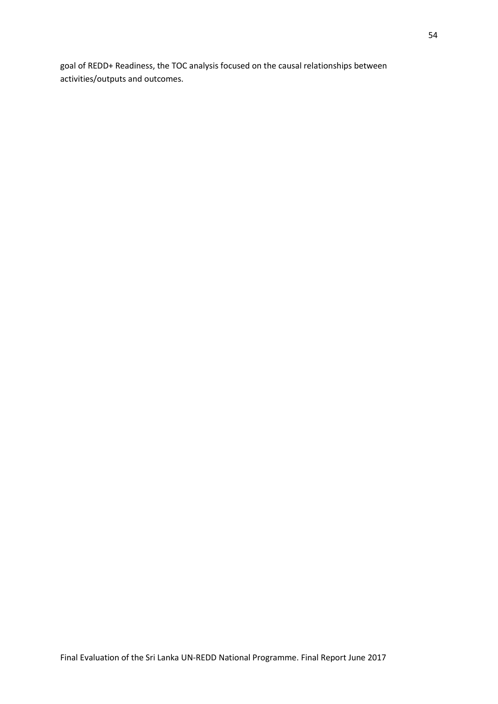goal of REDD+ Readiness, the TOC analysis focused on the causal relationships between activities/outputs and outcomes.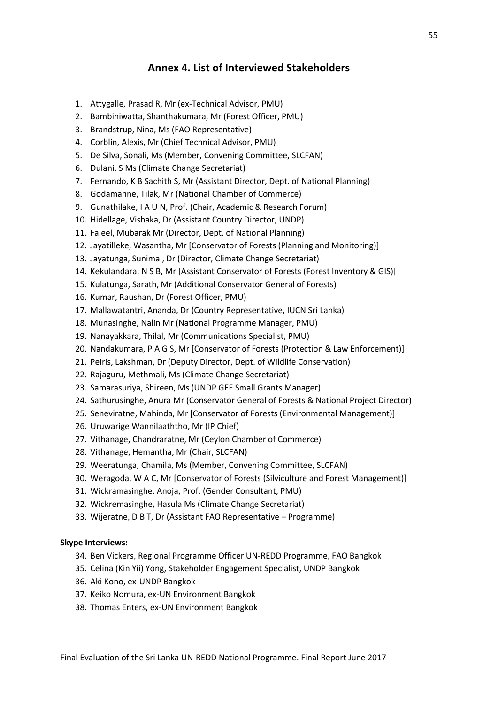## **Annex 4. List of Interviewed Stakeholders**

- 1. Attygalle, Prasad R, Mr (ex-Technical Advisor, PMU)
- 2. Bambiniwatta, Shanthakumara, Mr (Forest Officer, PMU)
- 3. Brandstrup, Nina, Ms (FAO Representative)
- 4. Corblin, Alexis, Mr (Chief Technical Advisor, PMU)
- 5. De Silva, Sonali, Ms (Member, Convening Committee, SLCFAN)
- 6. Dulani, S Ms (Climate Change Secretariat)
- 7. Fernando, K B Sachith S, Mr (Assistant Director, Dept. of National Planning)
- 8. Godamanne, Tilak, Mr (National Chamber of Commerce)
- 9. Gunathilake, I A U N, Prof. (Chair, Academic & Research Forum)
- 10. Hidellage, Vishaka, Dr (Assistant Country Director, UNDP)
- 11. Faleel, Mubarak Mr (Director, Dept. of National Planning)
- 12. Jayatilleke, Wasantha, Mr [Conservator of Forests (Planning and Monitoring)]
- 13. Jayatunga, Sunimal, Dr (Director, Climate Change Secretariat)
- 14. Kekulandara, N S B, Mr [Assistant Conservator of Forests (Forest Inventory & GIS)]
- 15. Kulatunga, Sarath, Mr (Additional Conservator General of Forests)
- 16. Kumar, Raushan, Dr (Forest Officer, PMU)
- 17. Mallawatantri, Ananda, Dr (Country Representative, IUCN Sri Lanka)
- 18. Munasinghe, Nalin Mr (National Programme Manager, PMU)
- 19. Nanayakkara, Thilal, Mr (Communications Specialist, PMU)
- 20. Nandakumara, P A G S, Mr [Conservator of Forests (Protection & Law Enforcement)]
- 21. Peiris, Lakshman, Dr (Deputy Director, Dept. of Wildlife Conservation)
- 22. Rajaguru, Methmali, Ms (Climate Change Secretariat)
- 23. Samarasuriya, Shireen, Ms (UNDP GEF Small Grants Manager)
- 24. Sathurusinghe, Anura Mr (Conservator General of Forests & National Project Director)
- 25. Seneviratne, Mahinda, Mr [Conservator of Forests (Environmental Management)]
- 26. Uruwarige Wannilaaththo, Mr (IP Chief)
- 27. Vithanage, Chandraratne, Mr (Ceylon Chamber of Commerce)
- 28. Vithanage, Hemantha, Mr (Chair, SLCFAN)
- 29. Weeratunga, Chamila, Ms (Member, Convening Committee, SLCFAN)
- 30. Weragoda, W A C, Mr [Conservator of Forests (Silviculture and Forest Management)]
- 31. Wickramasinghe, Anoja, Prof. (Gender Consultant, PMU)
- 32. Wickremasinghe, Hasula Ms (Climate Change Secretariat)
- 33. Wijeratne, D B T, Dr (Assistant FAO Representative Programme)

#### **Skype Interviews:**

- 34. Ben Vickers, Regional Programme Officer UN-REDD Programme, FAO Bangkok
- 35. Celina (Kin Yii) Yong, Stakeholder Engagement Specialist, UNDP Bangkok
- 36. Aki Kono, ex-UNDP Bangkok
- 37. Keiko Nomura, ex-UN Environment Bangkok
- 38. Thomas Enters, ex-UN Environment Bangkok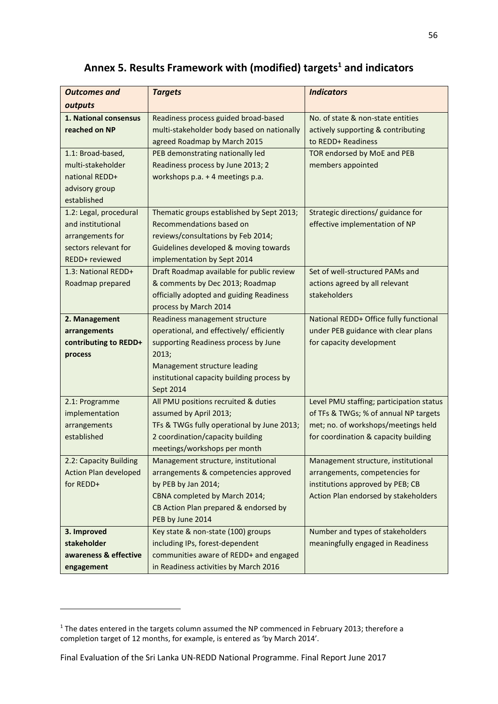# **Annex 5. Results Framework with (modified) targets<sup>1</sup> and indicators**

| <b>Outcomes and</b>          | <b>Targets</b>                                                   | <b>Indicators</b>                        |
|------------------------------|------------------------------------------------------------------|------------------------------------------|
| outputs                      |                                                                  |                                          |
| 1. National consensus        | Readiness process guided broad-based                             | No. of state & non-state entities        |
| reached on NP                | multi-stakeholder body based on nationally                       | actively supporting & contributing       |
|                              | agreed Roadmap by March 2015                                     | to REDD+ Readiness                       |
| 1.1: Broad-based,            | PEB demonstrating nationally led                                 | TOR endorsed by MoE and PEB              |
| multi-stakeholder            | Readiness process by June 2013; 2                                | members appointed                        |
| national REDD+               | workshops p.a. + 4 meetings p.a.                                 |                                          |
| advisory group               |                                                                  |                                          |
| established                  |                                                                  |                                          |
| 1.2: Legal, procedural       | Thematic groups established by Sept 2013;                        | Strategic directions/ guidance for       |
| and institutional            | Recommendations based on                                         | effective implementation of NP           |
| arrangements for             | reviews/consultations by Feb 2014;                               |                                          |
| sectors relevant for         | Guidelines developed & moving towards                            |                                          |
| REDD+ reviewed               | implementation by Sept 2014                                      |                                          |
| 1.3: National REDD+          | Draft Roadmap available for public review                        | Set of well-structured PAMs and          |
| Roadmap prepared             | & comments by Dec 2013; Roadmap                                  | actions agreed by all relevant           |
|                              | officially adopted and guiding Readiness                         | stakeholders                             |
|                              | process by March 2014                                            |                                          |
| 2. Management                | Readiness management structure                                   | National REDD+ Office fully functional   |
| arrangements                 | operational, and effectively/ efficiently                        | under PEB guidance with clear plans      |
| contributing to REDD+        | supporting Readiness process by June                             | for capacity development                 |
| process                      | 2013;                                                            |                                          |
|                              | Management structure leading                                     |                                          |
|                              | institutional capacity building process by                       |                                          |
|                              | Sept 2014                                                        |                                          |
| 2.1: Programme               | All PMU positions recruited & duties                             | Level PMU staffing; participation status |
| implementation               | assumed by April 2013;                                           | of TFs & TWGs; % of annual NP targets    |
| arrangements                 | TFs & TWGs fully operational by June 2013;                       | met; no. of workshops/meetings held      |
| established                  | 2 coordination/capacity building<br>meetings/workshops per month | for coordination & capacity building     |
| 2.2: Capacity Building       | Management structure, institutional                              | Management structure, institutional      |
| <b>Action Plan developed</b> | arrangements & competencies approved                             | arrangements, competencies for           |
| for REDD+                    | by PEB by Jan 2014;                                              | institutions approved by PEB; CB         |
|                              | CBNA completed by March 2014;                                    | Action Plan endorsed by stakeholders     |
|                              | CB Action Plan prepared & endorsed by                            |                                          |
|                              | PEB by June 2014                                                 |                                          |
| 3. Improved                  | Key state & non-state (100) groups                               | Number and types of stakeholders         |
| stakeholder                  | including IPs, forest-dependent                                  | meaningfully engaged in Readiness        |
| awareness & effective        | communities aware of REDD+ and engaged                           |                                          |
| engagement                   | in Readiness activities by March 2016                            |                                          |

1

<sup>&</sup>lt;sup>1</sup> The dates entered in the targets column assumed the NP commenced in February 2013; therefore a completion target of 12 months, for example, is entered as 'by March 2014'.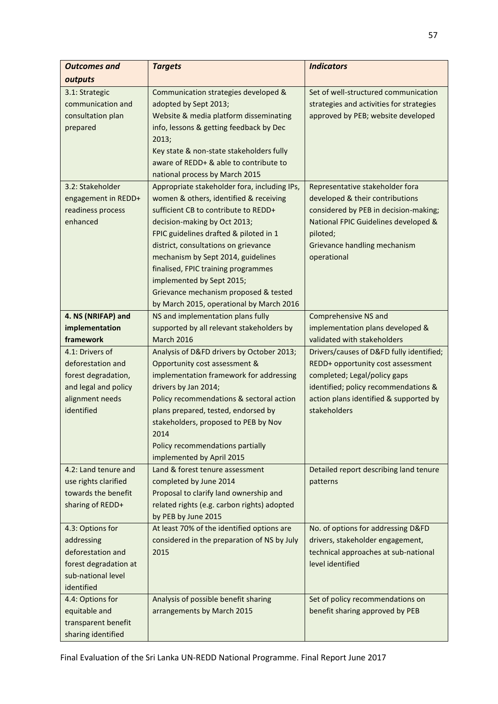| <b>Outcomes and</b>                         | <b>Targets</b>                                                  | <b>Indicators</b>                                                    |
|---------------------------------------------|-----------------------------------------------------------------|----------------------------------------------------------------------|
| outputs                                     |                                                                 |                                                                      |
| 3.1: Strategic                              | Communication strategies developed &                            | Set of well-structured communication                                 |
| communication and                           | adopted by Sept 2013;                                           | strategies and activities for strategies                             |
| consultation plan                           | Website & media platform disseminating                          | approved by PEB; website developed                                   |
| prepared                                    | info, lessons & getting feedback by Dec                         |                                                                      |
|                                             | 2013;                                                           |                                                                      |
|                                             | Key state & non-state stakeholders fully                        |                                                                      |
|                                             | aware of REDD+ & able to contribute to                          |                                                                      |
|                                             | national process by March 2015                                  |                                                                      |
| 3.2: Stakeholder                            | Appropriate stakeholder fora, including IPs,                    | Representative stakeholder fora                                      |
| engagement in REDD+                         | women & others, identified & receiving                          | developed & their contributions                                      |
| readiness process                           | sufficient CB to contribute to REDD+                            | considered by PEB in decision-making;                                |
| enhanced                                    | decision-making by Oct 2013;                                    | National FPIC Guidelines developed &                                 |
|                                             | FPIC guidelines drafted & piloted in 1                          | piloted;                                                             |
|                                             | district, consultations on grievance                            | Grievance handling mechanism                                         |
|                                             | mechanism by Sept 2014, guidelines                              | operational                                                          |
|                                             | finalised, FPIC training programmes                             |                                                                      |
|                                             | implemented by Sept 2015;                                       |                                                                      |
|                                             | Grievance mechanism proposed & tested                           |                                                                      |
|                                             | by March 2015, operational by March 2016                        |                                                                      |
| 4. NS (NRIFAP) and                          | NS and implementation plans fully                               | Comprehensive NS and                                                 |
| implementation                              | supported by all relevant stakeholders by                       | implementation plans developed &                                     |
| framework                                   | <b>March 2016</b>                                               | validated with stakeholders                                          |
| 4.1: Drivers of                             | Analysis of D&FD drivers by October 2013;                       | Drivers/causes of D&FD fully identified;                             |
| deforestation and                           | Opportunity cost assessment &                                   | REDD+ opportunity cost assessment                                    |
| forest degradation,<br>and legal and policy | implementation framework for addressing<br>drivers by Jan 2014; | completed; Legal/policy gaps<br>identified; policy recommendations & |
| alignment needs                             | Policy recommendations & sectoral action                        | action plans identified & supported by                               |
| identified                                  | plans prepared, tested, endorsed by                             | stakeholders                                                         |
|                                             | stakeholders, proposed to PEB by Nov                            |                                                                      |
|                                             | 2014                                                            |                                                                      |
|                                             | Policy recommendations partially                                |                                                                      |
|                                             | implemented by April 2015                                       |                                                                      |
| 4.2: Land tenure and                        | Land & forest tenure assessment                                 | Detailed report describing land tenure                               |
| use rights clarified                        | completed by June 2014                                          | patterns                                                             |
| towards the benefit                         | Proposal to clarify land ownership and                          |                                                                      |
| sharing of REDD+                            | related rights (e.g. carbon rights) adopted                     |                                                                      |
|                                             | by PEB by June 2015                                             |                                                                      |
| 4.3: Options for                            | At least 70% of the identified options are                      | No. of options for addressing D&FD                                   |
| addressing                                  | considered in the preparation of NS by July                     | drivers, stakeholder engagement,                                     |
| deforestation and                           | 2015                                                            | technical approaches at sub-national                                 |
| forest degradation at                       |                                                                 | level identified                                                     |
| sub-national level                          |                                                                 |                                                                      |
| identified                                  |                                                                 |                                                                      |
| 4.4: Options for                            | Analysis of possible benefit sharing                            | Set of policy recommendations on                                     |
| equitable and                               | arrangements by March 2015                                      | benefit sharing approved by PEB                                      |
| transparent benefit                         |                                                                 |                                                                      |
| sharing identified                          |                                                                 |                                                                      |

Final Evaluation of the Sri Lanka UN-REDD National Programme. Final Report June 2017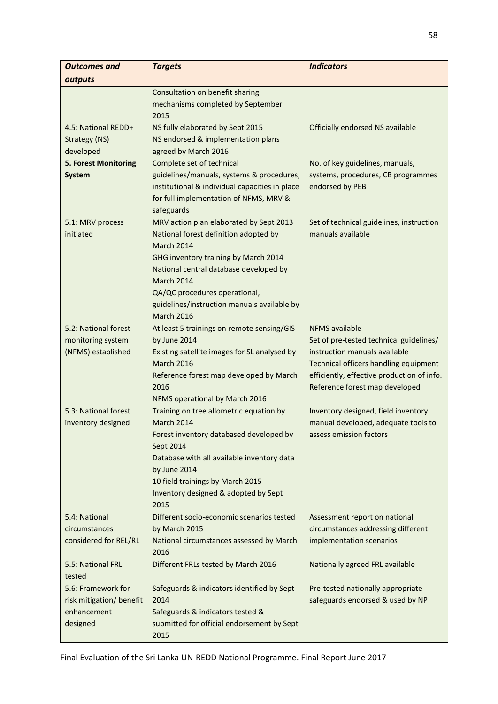| <b>Outcomes and</b>            | <b>Targets</b>                                                               | <b>Indicators</b>                                                                   |
|--------------------------------|------------------------------------------------------------------------------|-------------------------------------------------------------------------------------|
| outputs                        |                                                                              |                                                                                     |
|                                | Consultation on benefit sharing<br>mechanisms completed by September<br>2015 |                                                                                     |
| 4.5: National REDD+            | NS fully elaborated by Sept 2015                                             | Officially endorsed NS available                                                    |
| Strategy (NS)                  | NS endorsed & implementation plans                                           |                                                                                     |
| developed                      | agreed by March 2016                                                         |                                                                                     |
| 5. Forest Monitoring           | Complete set of technical                                                    | No. of key guidelines, manuals,                                                     |
| System                         | guidelines/manuals, systems & procedures,                                    | systems, procedures, CB programmes                                                  |
|                                | institutional & individual capacities in place                               | endorsed by PEB                                                                     |
|                                | for full implementation of NFMS, MRV &                                       |                                                                                     |
|                                | safeguards                                                                   |                                                                                     |
| 5.1: MRV process               | MRV action plan elaborated by Sept 2013                                      | Set of technical guidelines, instruction                                            |
| initiated                      | National forest definition adopted by<br><b>March 2014</b>                   | manuals available                                                                   |
|                                | GHG inventory training by March 2014                                         |                                                                                     |
|                                | National central database developed by                                       |                                                                                     |
|                                | <b>March 2014</b>                                                            |                                                                                     |
|                                | QA/QC procedures operational,                                                |                                                                                     |
|                                | guidelines/instruction manuals available by                                  |                                                                                     |
|                                | <b>March 2016</b>                                                            |                                                                                     |
| 5.2: National forest           | At least 5 trainings on remote sensing/GIS                                   | <b>NFMS</b> available                                                               |
| monitoring system              | by June 2014                                                                 | Set of pre-tested technical guidelines/                                             |
| (NFMS) established             | Existing satellite images for SL analysed by                                 | instruction manuals available                                                       |
|                                | <b>March 2016</b><br>Reference forest map developed by March                 | Technical officers handling equipment<br>efficiently, effective production of info. |
|                                | 2016                                                                         | Reference forest map developed                                                      |
|                                | NFMS operational by March 2016                                               |                                                                                     |
| 5.3: National forest           | Training on tree allometric equation by                                      | Inventory designed, field inventory                                                 |
| inventory designed             | March 2014                                                                   | manual developed, adequate tools to                                                 |
|                                | Forest inventory databased developed by                                      | assess emission factors                                                             |
|                                | Sept 2014                                                                    |                                                                                     |
|                                | Database with all available inventory data                                   |                                                                                     |
|                                | by June 2014                                                                 |                                                                                     |
|                                | 10 field trainings by March 2015                                             |                                                                                     |
|                                | Inventory designed & adopted by Sept                                         |                                                                                     |
|                                | 2015                                                                         |                                                                                     |
| 5.4: National<br>circumstances | Different socio-economic scenarios tested<br>by March 2015                   | Assessment report on national<br>circumstances addressing different                 |
| considered for REL/RL          | National circumstances assessed by March                                     | implementation scenarios                                                            |
|                                | 2016                                                                         |                                                                                     |
| 5.5: National FRL              | Different FRLs tested by March 2016                                          | Nationally agreed FRL available                                                     |
| tested                         |                                                                              |                                                                                     |
| 5.6: Framework for             | Safeguards & indicators identified by Sept                                   | Pre-tested nationally appropriate                                                   |
| risk mitigation/ benefit       | 2014                                                                         | safeguards endorsed & used by NP                                                    |
| enhancement                    | Safeguards & indicators tested &                                             |                                                                                     |
| designed                       | submitted for official endorsement by Sept                                   |                                                                                     |
|                                | 2015                                                                         |                                                                                     |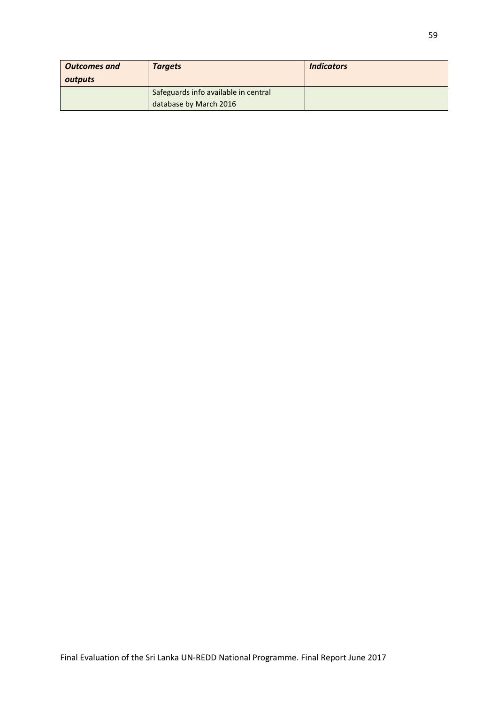| <b>Outcomes and</b><br>outputs | <b>Targets</b>                                                 | <b>Indicators</b> |
|--------------------------------|----------------------------------------------------------------|-------------------|
|                                | Safeguards info available in central<br>database by March 2016 |                   |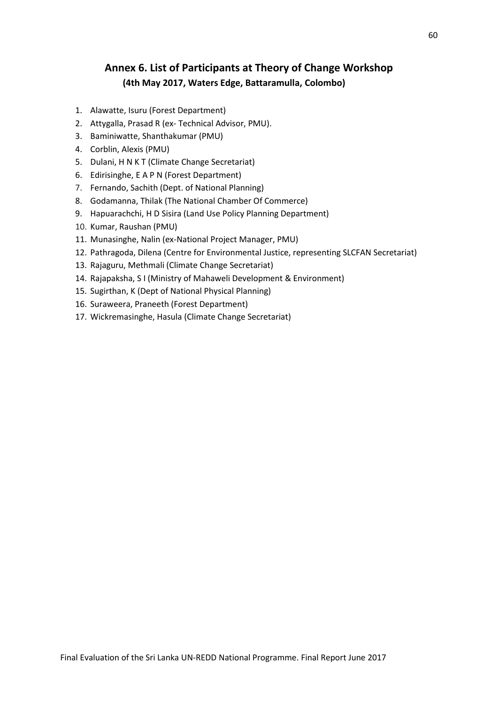## **Annex 6. List of Participants at Theory of Change Workshop (4th May 2017, Waters Edge, Battaramulla, Colombo)**

- 1. Alawatte, Isuru (Forest Department)
- 2. Attygalla, Prasad R (ex- Technical Advisor, PMU).
- 3. Baminiwatte, Shanthakumar (PMU)
- 4. Corblin, Alexis (PMU)
- 5. Dulani, H N K T (Climate Change Secretariat)
- 6. Edirisinghe, E A P N (Forest Department)
- 7. Fernando, Sachith (Dept. of National Planning)
- 8. Godamanna, Thilak (The National Chamber Of Commerce)
- 9. Hapuarachchi, H D Sisira (Land Use Policy Planning Department)
- 10. Kumar, Raushan (PMU)
- 11. Munasinghe, Nalin (ex-National Project Manager, PMU)
- 12. Pathragoda, Dilena (Centre for Environmental Justice, representing SLCFAN Secretariat)
- 13. Rajaguru, Methmali (Climate Change Secretariat)
- 14. Rajapaksha, S I (Ministry of Mahaweli Development & Environment)
- 15. Sugirthan, K (Dept of National Physical Planning)
- 16. Suraweera, Praneeth (Forest Department)
- 17. Wickremasinghe, Hasula (Climate Change Secretariat)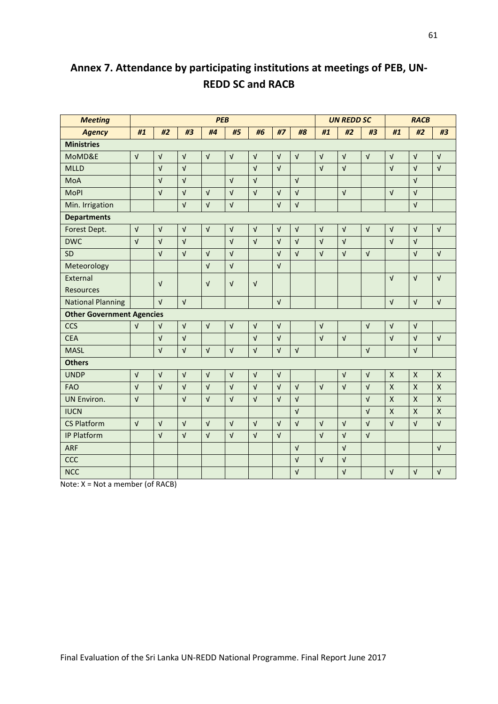| <b>Meeting</b>                   | <b>PEB</b>                |            |            | <b>UN REDD SC</b>         |                           |            | <b>RACB</b> |              |              |            |                       |                           |                         |                    |
|----------------------------------|---------------------------|------------|------------|---------------------------|---------------------------|------------|-------------|--------------|--------------|------------|-----------------------|---------------------------|-------------------------|--------------------|
| <b>Agency</b>                    | #1                        | #2         | #3         | #4                        | #5                        | #6         | #7          | #8           | #1           | #2         | #3                    | #1                        | #2                      | #3                 |
| <b>Ministries</b>                |                           |            |            |                           |                           |            |             |              |              |            |                       |                           |                         |                    |
| MoMD&E                           | $\sqrt{ }$                | $\sqrt{ }$ | $\sqrt{ }$ | $\sqrt{ }$                | $\sqrt{ }$                | $\sqrt{ }$ | $\sqrt{ }$  | $\sqrt{ }$   | $\sqrt{ }$   | $\sqrt{ }$ | $\sqrt{ }$            | $\sqrt{ }$                | $\sqrt{ }$              | $\sqrt{ }$         |
| <b>MLLD</b>                      |                           | $\sqrt{ }$ | $\sqrt{ }$ |                           |                           | $\sqrt{ }$ | $\sqrt{ }$  |              | $\sqrt{ }$   | $\sqrt{ }$ |                       | $\sqrt{ }$                | $\sqrt{ }$              | $\sqrt{ }$         |
| MoA                              |                           | $\sqrt{ }$ | $\sqrt{ }$ |                           | $\sqrt{ }$                | $\sqrt{ }$ |             | $\sqrt{ }$   |              |            |                       |                           | $\sqrt{ }$              |                    |
| <b>MoPI</b>                      |                           | $\sqrt{ }$ | $\sqrt{ }$ | $\sqrt{ }$                | $\sqrt{ }$                | $\sqrt{ }$ | $\sqrt{ }$  | $\sqrt{ }$   |              | $\sqrt{ }$ |                       | $\sqrt{ }$                | $\sqrt{ }$              |                    |
| Min. Irrigation                  |                           |            | $\sqrt{ }$ | $\sqrt{ }$                | $\sqrt{ }$                |            | $\sqrt{ }$  | $\sqrt{ }$   |              |            |                       |                           | $\sqrt{ }$              |                    |
| <b>Departments</b>               |                           |            |            |                           |                           |            |             |              |              |            |                       |                           |                         |                    |
| Forest Dept.                     | $\sqrt{ }$                | $\sqrt{ }$ | $\sqrt{ }$ | $\sqrt{ }$                | $\sqrt{ }$                | $\sqrt{ }$ | $\sqrt{ }$  | $\mathbf{v}$ | $\sqrt{ }$   | $\sqrt{ }$ | $\sqrt{ }$            | $\sqrt{ }$                | $\sqrt{ }$              | $\sqrt{ }$         |
| <b>DWC</b>                       | $\sqrt{ }$                | $\sqrt{ }$ | $\sqrt{ }$ |                           | $\sqrt{ }$                | $\sqrt{ }$ | $\sqrt{ }$  | $\sqrt{ }$   | $\sqrt{ }$   | $\sqrt{ }$ |                       | $\sqrt{ }$                | $\sqrt{ }$              |                    |
| <b>SD</b>                        |                           | $\sqrt{ }$ | $\sqrt{ }$ | $\sqrt{ }$                | $\sqrt{ }$                |            | $\sqrt{ }$  | $\sqrt{ }$   | $\sqrt{ }$   | $\sqrt{ }$ | $\sqrt{ }$            |                           | $\sqrt{ }$              | $\sqrt{ }$         |
| Meteorology                      |                           |            |            | $\sqrt{ }$                | $\sqrt{ }$                |            | $\sqrt{ }$  |              |              |            |                       |                           |                         |                    |
| External                         |                           | $\sqrt{ }$ |            | $\sqrt{ }$                | $\sqrt{ }$                | $\sqrt{ }$ |             |              |              |            |                       | $\sqrt{ }$                | $\sqrt{ }$              | $\sqrt{ }$         |
| Resources                        |                           |            |            |                           |                           |            |             |              |              |            |                       |                           |                         |                    |
| <b>National Planning</b>         |                           | $\sqrt{ }$ | $\sqrt{ }$ |                           |                           |            | $\sqrt{ }$  |              |              |            |                       | $\sqrt{ }$                | $\sqrt{ }$              | $\sqrt{ }$         |
| <b>Other Government Agencies</b> |                           |            |            |                           |                           |            |             |              |              |            |                       |                           |                         |                    |
| <b>CCS</b>                       | $\sqrt{ }$                | $\sqrt{ }$ | $\sqrt{ }$ | $\sqrt{ }$                | $\sqrt{ }$                | $\sqrt{ }$ | $\sqrt{ }$  |              | $\sqrt{ }$   |            | $\sqrt{ }$            | $\sqrt{ }$                | $\sqrt{ }$              |                    |
| <b>CEA</b>                       |                           | $\sqrt{ }$ | $\sqrt{ }$ |                           |                           | $\sqrt{ }$ | $\sqrt{ }$  |              | $\sqrt{ }$   | $\sqrt{ }$ |                       | $\sqrt{ }$                | $\sqrt{ }$              | $\sqrt{ }$         |
| <b>MASL</b>                      |                           | $\sqrt{ }$ | $\sqrt{ }$ | $\sqrt{ }$                | $\sqrt{ }$                | $\sqrt{ }$ | $\sqrt{ }$  | $\sqrt{ }$   |              |            | $\sqrt{ }$            |                           | $\sqrt{ }$              |                    |
| <b>Others</b>                    |                           |            |            |                           |                           |            |             |              |              |            |                       |                           |                         |                    |
| <b>UNDP</b>                      | $\sqrt{ }$                | $\sqrt{ }$ | $\sqrt{ }$ | $\sqrt{ }$                | $\sqrt{ }$                | $\sqrt{ }$ | $\sqrt{ }$  |              |              | $\sqrt{ }$ | $\sqrt{ }$            | $\mathsf{x}$              | X                       | $\pmb{\mathsf{X}}$ |
| <b>FAO</b>                       | $\sqrt{ }$                | $\sqrt{ }$ | $\sqrt{ }$ | $\sqrt{ }$                | $\sqrt{ }$                | $\sqrt{ }$ | $\sqrt{ }$  | $\sqrt{ }$   | $\mathbf{v}$ | $\sqrt{ }$ | $\sqrt{ }$            | $\mathsf{X}$              | $\overline{\mathsf{X}}$ | $\mathsf{X}$       |
| <b>UN Environ.</b>               | $\sqrt{ }$                |            | $\sqrt{ }$ | $\sqrt{ }$                | $\sqrt{ }$                | $\sqrt{ }$ | $\sqrt{ }$  | $\sqrt{ }$   |              |            | $\sqrt{ }$            | $\boldsymbol{\mathsf{X}}$ | $\pmb{\mathsf{X}}$      | $\pmb{\mathsf{X}}$ |
| <b>IUCN</b>                      |                           |            |            |                           |                           |            |             | $\sqrt{ }$   |              |            | $\sqrt{ }$            | $\mathsf{X}$              | $\mathsf{x}$            | $\mathsf{X}$       |
| <b>CS Platform</b>               | $\ensuremath{\mathsf{V}}$ | $\sqrt{ }$ | $\sqrt{ }$ | $\ensuremath{\mathsf{V}}$ | $\ensuremath{\mathsf{V}}$ | $\sqrt{ }$ | $\sqrt{ }$  | $\sqrt{ }$   | $\sqrt{ }$   | $\sqrt{ }$ | $\sqrt{ }$            | $\sqrt{ }$                | $\sqrt{ }$              | $\sqrt{ }$         |
| IP Platform                      |                           | $\sqrt{ }$ | $\sqrt{ }$ | $\sqrt{ }$                | $\sqrt{ }$                | $\sqrt{ }$ | $\sqrt{ }$  |              | $\sqrt{ }$   | $\sqrt{ }$ | $\overline{\sqrt{ }}$ |                           |                         |                    |
| <b>ARF</b>                       |                           |            |            |                           |                           |            |             | $\sqrt{ }$   |              | $\sqrt{ }$ |                       |                           |                         | $\sqrt{ }$         |
| <b>CCC</b>                       |                           |            |            |                           |                           |            |             | $\sqrt{ }$   | $\sqrt{ }$   | $\sqrt{ }$ |                       |                           |                         |                    |
| <b>NCC</b>                       |                           |            |            |                           |                           |            |             | $\sqrt{ }$   |              | $\sqrt{ }$ |                       | $\sqrt{ }$                | $\sqrt{ }$              | $\sqrt{ }$         |

# **Annex 7. Attendance by participating institutions at meetings of PEB, UN-REDD SC and RACB**

Note: X = Not a member (of RACB)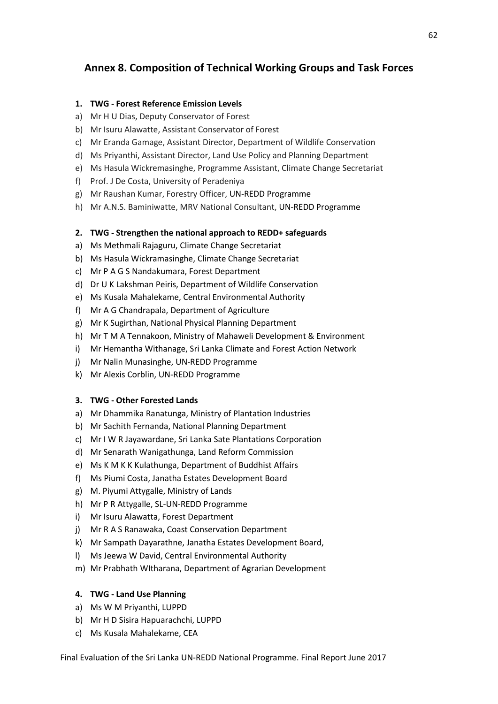## **Annex 8. Composition of Technical Working Groups and Task Forces**

### **1. TWG - [Forest Reference Emission Levels](http://redd.unfccc.int/fact-sheets/forest-reference-emission-levels.html)**

- a) Mr H U Dias, Deputy Conservator of Forest
- b) Mr Isuru Alawatte, Assistant Conservator of Forest
- c) Mr Eranda Gamage, Assistant Director, Department of Wildlife Conservation
- d) Ms Priyanthi, Assistant Director, Land Use Policy and Planning Department
- e) Ms Hasula Wickremasinghe, Programme Assistant, Climate Change Secretariat
- f) Prof. J De Costa, University of Peradeniya
- g) Mr Raushan Kumar, Forestry Officer, UN-REDD Programme
- h) Mr A.N.S. Baminiwatte, MRV National Consultant, UN-REDD Programme

### **2. TWG - Strengthen the national approach to REDD+ safeguards**

- a) Ms Methmali Rajaguru, Climate Change Secretariat
- b) Ms Hasula Wickramasinghe, Climate Change Secretariat
- c) Mr P A G S Nandakumara, Forest Department
- d) Dr U K Lakshman Peiris, Department of Wildlife Conservation
- e) Ms Kusala Mahalekame, Central Environmental Authority
- f) Mr A G Chandrapala, Department of Agriculture
- g) Mr K Sugirthan, National Physical Planning Department
- h) Mr T M A Tennakoon, Ministry of Mahaweli Development & Environment
- i) Mr Hemantha Withanage, Sri Lanka Climate and Forest Action Network
- j) Mr Nalin Munasinghe, UN-REDD Programme
- k) Mr Alexis Corblin, UN-REDD Programme

### **3. TWG - Other Forested Lands**

- a) Mr Dhammika Ranatunga, Ministry of Plantation Industries
- b) Mr Sachith Fernanda, National Planning Department
- c) Mr I W R Jayawardane, Sri Lanka Sate Plantations Corporation
- d) Mr Senarath Wanigathunga, Land Reform Commission
- e) Ms K M K K Kulathunga, Department of Buddhist Affairs
- f) Ms Piumi Costa, Janatha Estates Development Board
- g) M. Piyumi Attygalle, Ministry of Lands
- h) Mr P R Attygalle, SL-UN-REDD Programme
- i) Mr Isuru Alawatta, Forest Department
- j) Mr R A S Ranawaka, Coast Conservation Department
- k) Mr Sampath Dayarathne, Janatha Estates Development Board,
- l) Ms Jeewa W David, Central Environmental Authority
- m) Mr Prabhath WItharana, Department of Agrarian Development

### **4. TWG - Land Use Planning**

- a) Ms W M Priyanthi, LUPPD
- b) Mr H D Sisira Hapuarachchi, LUPPD
- c) Ms Kusala Mahalekame, CEA

Final Evaluation of the Sri Lanka UN-REDD National Programme. Final Report June 2017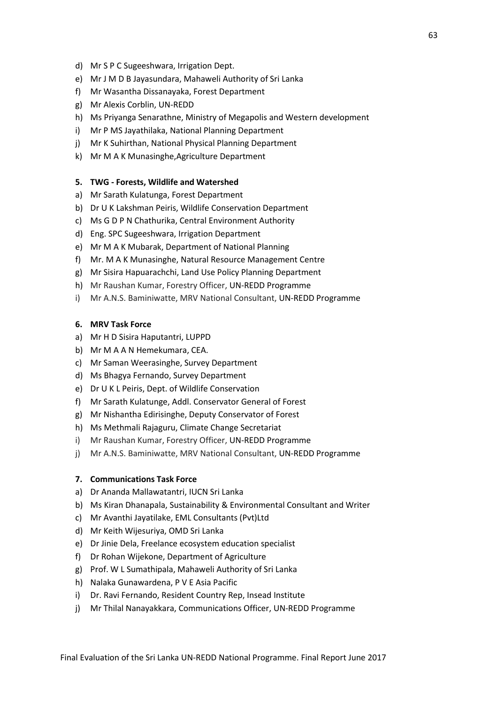- d) Mr S P C Sugeeshwara, Irrigation Dept.
- e) Mr J M D B Jayasundara, Mahaweli Authority of Sri Lanka
- f) Mr Wasantha Dissanayaka, Forest Department
- g) Mr Alexis Corblin, UN-REDD
- h) Ms Priyanga Senarathne, Ministry of Megapolis and Western development
- i) Mr P MS Jayathilaka, National Planning Department
- j) Mr K Suhirthan, National Physical Planning Department
- k) Mr M A K Munasinghe,Agriculture Department

# **5. TWG - Forests, Wildlife and Watershed**

- a) Mr Sarath Kulatunga, Forest Department
- b) Dr U K Lakshman Peiris, Wildlife Conservation Department
- c) Ms G D P N Chathurika, Central Environment Authority
- d) Eng. SPC Sugeeshwara, Irrigation Department
- e) Mr M A K Mubarak, Department of National Planning
- f) Mr. M A K Munasinghe, Natural Resource Management Centre
- g) Mr Sisira Hapuarachchi, Land Use Policy Planning Department
- h) Mr Raushan Kumar, Forestry Officer, UN-REDD Programme
- i) Mr A.N.S. Baminiwatte, MRV National Consultant, UN-REDD Programme

## **6. MRV Task Force**

- a) Mr H D Sisira Haputantri, LUPPD
- b) Mr M A A N Hemekumara, CEA.
- c) Mr Saman Weerasinghe, Survey Department
- d) Ms Bhagya Fernando, Survey Department
- e) Dr U K L Peiris, Dept. of Wildlife Conservation
- f) Mr Sarath Kulatunge, Addl. Conservator General of Forest
- g) Mr Nishantha Edirisinghe, Deputy Conservator of Forest
- h) Ms Methmali Rajaguru, Climate Change Secretariat
- i) Mr Raushan Kumar, Forestry Officer, UN-REDD Programme
- j) Mr A.N.S. Baminiwatte, MRV National Consultant, UN-REDD Programme

#### **7. Communications Task Force**

- a) Dr Ananda Mallawatantri, IUCN Sri Lanka
- b) Ms Kiran Dhanapala, Sustainability & Environmental Consultant and Writer
- c) Mr Avanthi Jayatilake, EML Consultants (Pvt)Ltd
- d) Mr Keith Wijesuriya, OMD Sri Lanka
- e) Dr Jinie Dela, Freelance ecosystem education specialist
- f) Dr Rohan Wijekone, Department of Agriculture
- g) Prof. W L Sumathipala, Mahaweli Authority of Sri Lanka
- h) Nalaka Gunawardena, P V E Asia Pacific
- i) Dr. Ravi Fernando, Resident Country Rep, Insead Institute
- j) Mr Thilal Nanayakkara, Communications Officer, UN-REDD Programme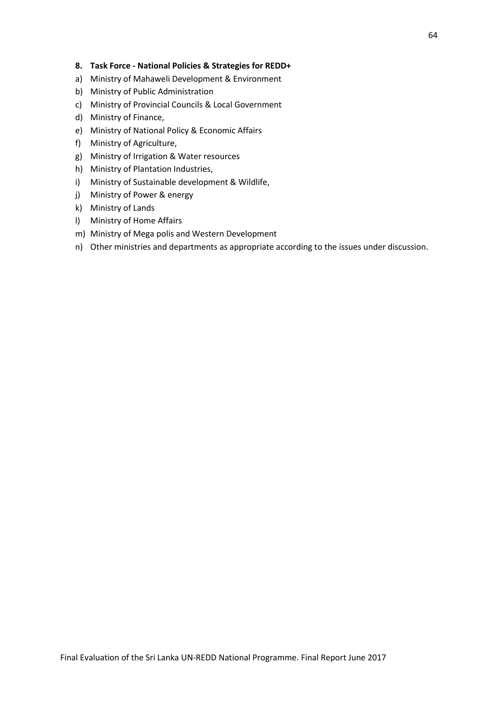#### **8. Task Force - National Policies & Strategies for REDD+**

- a) Ministry of Mahaweli Development & Environment
- b) Ministry of Public Administration
- c) Ministry of Provincial Councils & Local Government
- d) Ministry of Finance,
- e) Ministry of National Policy & Economic Affairs
- f) Ministry of Agriculture,
- g) Ministry of Irrigation & Water resources
- h) Ministry of Plantation Industries,
- i) Ministry of Sustainable development & Wildlife,
- j) Ministry of Power & energy
- k) Ministry of Lands
- l) Ministry of Home Affairs
- m) Ministry of Mega polis and Western Development
- n) Other ministries and departments as appropriate according to the issues under discussion.

64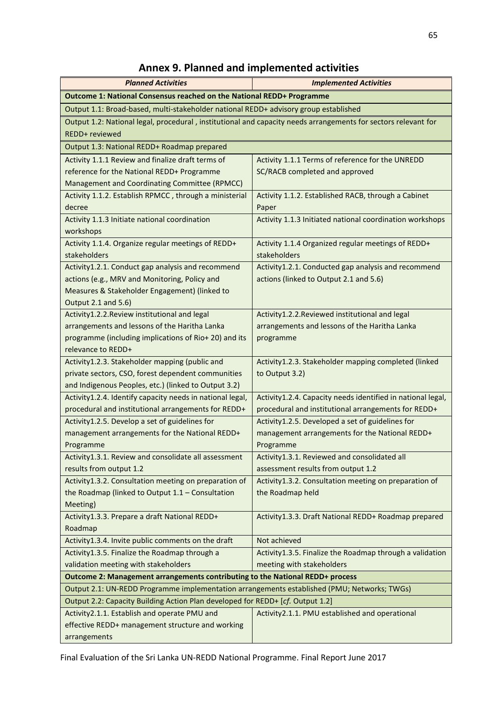# **Annex 9. Planned and implemented activities**

| <b>Planned Activities</b>                                                                                      | <b>Implemented Activities</b>                                             |
|----------------------------------------------------------------------------------------------------------------|---------------------------------------------------------------------------|
| Outcome 1: National Consensus reached on the National REDD+ Programme                                          |                                                                           |
| Output 1.1: Broad-based, multi-stakeholder national REDD+ advisory group established                           |                                                                           |
| Output 1.2: National legal, procedural, institutional and capacity needs arrangements for sectors relevant for |                                                                           |
| REDD+ reviewed                                                                                                 |                                                                           |
| Output 1.3: National REDD+ Roadmap prepared                                                                    |                                                                           |
| Activity 1.1.1 Review and finalize draft terms of                                                              | Activity 1.1.1 Terms of reference for the UNREDD                          |
| reference for the National REDD+ Programme                                                                     | SC/RACB completed and approved                                            |
| Management and Coordinating Committee (RPMCC)                                                                  |                                                                           |
| Activity 1.1.2. Establish RPMCC, through a ministerial                                                         | Activity 1.1.2. Established RACB, through a Cabinet                       |
| decree                                                                                                         | Paper                                                                     |
| Activity 1.1.3 Initiate national coordination                                                                  | Activity 1.1.3 Initiated national coordination workshops                  |
| workshops                                                                                                      |                                                                           |
| Activity 1.1.4. Organize regular meetings of REDD+                                                             | Activity 1.1.4 Organized regular meetings of REDD+                        |
| stakeholders                                                                                                   | stakeholders                                                              |
| Activity1.2.1. Conduct gap analysis and recommend                                                              | Activity1.2.1. Conducted gap analysis and recommend                       |
| actions (e.g., MRV and Monitoring, Policy and                                                                  | actions (linked to Output 2.1 and 5.6)                                    |
| Measures & Stakeholder Engagement) (linked to<br>Output 2.1 and 5.6)                                           |                                                                           |
| Activity1.2.2. Review institutional and legal                                                                  | Activity1.2.2. Reviewed institutional and legal                           |
| arrangements and lessons of the Haritha Lanka                                                                  | arrangements and lessons of the Haritha Lanka                             |
| programme (including implications of Rio+ 20) and its                                                          | programme                                                                 |
| relevance to REDD+                                                                                             |                                                                           |
| Activity1.2.3. Stakeholder mapping (public and                                                                 | Activity1.2.3. Stakeholder mapping completed (linked                      |
| private sectors, CSO, forest dependent communities                                                             | to Output 3.2)                                                            |
| and Indigenous Peoples, etc.) (linked to Output 3.2)                                                           |                                                                           |
| Activity1.2.4. Identify capacity needs in national legal,                                                      | Activity1.2.4. Capacity needs identified in national legal,               |
| procedural and institutional arrangements for REDD+                                                            | procedural and institutional arrangements for REDD+                       |
| Activity1.2.5. Develop a set of guidelines for                                                                 | Activity1.2.5. Developed a set of guidelines for                          |
| management arrangements for the National REDD+                                                                 | management arrangements for the National REDD+                            |
| Programme                                                                                                      | Programme                                                                 |
| Activity1.3.1. Review and consolidate all assessment                                                           | Activity1.3.1. Reviewed and consolidated all                              |
| results from output 1.2                                                                                        | assessment results from output 1.2                                        |
| Activity1.3.2. Consultation meeting on preparation of<br>the Roadmap (linked to Output 1.1 - Consultation      | Activity1.3.2. Consultation meeting on preparation of<br>the Roadmap held |
| Meeting)                                                                                                       |                                                                           |
| Activity1.3.3. Prepare a draft National REDD+                                                                  | Activity1.3.3. Draft National REDD+ Roadmap prepared                      |
| Roadmap                                                                                                        |                                                                           |
| Activity1.3.4. Invite public comments on the draft                                                             | Not achieved                                                              |
| Activity1.3.5. Finalize the Roadmap through a                                                                  | Activity1.3.5. Finalize the Roadmap through a validation                  |
| validation meeting with stakeholders                                                                           | meeting with stakeholders                                                 |
| Outcome 2: Management arrangements contributing to the National REDD+ process                                  |                                                                           |
| Output 2.1: UN-REDD Programme implementation arrangements established (PMU; Networks; TWGs)                    |                                                                           |
| Output 2.2: Capacity Building Action Plan developed for REDD+ [cf. Output 1.2]                                 |                                                                           |
| Activity2.1.1. Establish and operate PMU and                                                                   | Activity2.1.1. PMU established and operational                            |
| effective REDD+ management structure and working                                                               |                                                                           |
| arrangements                                                                                                   |                                                                           |

Final Evaluation of the Sri Lanka UN-REDD National Programme. Final Report June 2017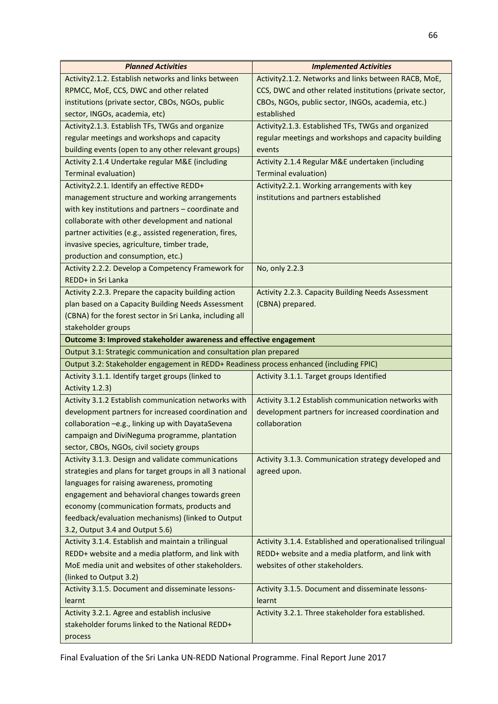| <b>Planned Activities</b>                                                                     | <b>Implemented Activities</b>                              |  |
|-----------------------------------------------------------------------------------------------|------------------------------------------------------------|--|
| Activity2.1.2. Establish networks and links between                                           | Activity2.1.2. Networks and links between RACB, MoE,       |  |
| RPMCC, MoE, CCS, DWC and other related                                                        | CCS, DWC and other related institutions (private sector,   |  |
| institutions (private sector, CBOs, NGOs, public                                              | CBOs, NGOs, public sector, INGOs, academia, etc.)          |  |
| sector, INGOs, academia, etc)                                                                 | established                                                |  |
| Activity2.1.3. Establish TFs, TWGs and organize                                               | Activity2.1.3. Established TFs, TWGs and organized         |  |
| regular meetings and workshops and capacity                                                   | regular meetings and workshops and capacity building       |  |
| building events (open to any other relevant groups)                                           | events                                                     |  |
| Activity 2.1.4 Undertake regular M&E (including                                               | Activity 2.1.4 Regular M&E undertaken (including           |  |
| <b>Terminal evaluation)</b>                                                                   | <b>Terminal evaluation)</b>                                |  |
| Activity2.2.1. Identify an effective REDD+                                                    | Activity2.2.1. Working arrangements with key               |  |
| management structure and working arrangements                                                 | institutions and partners established                      |  |
| with key institutions and partners - coordinate and                                           |                                                            |  |
| collaborate with other development and national                                               |                                                            |  |
| partner activities (e.g., assisted regeneration, fires,                                       |                                                            |  |
| invasive species, agriculture, timber trade,                                                  |                                                            |  |
| production and consumption, etc.)                                                             |                                                            |  |
| Activity 2.2.2. Develop a Competency Framework for                                            | No, only 2.2.3                                             |  |
| REDD+ in Sri Lanka                                                                            |                                                            |  |
| Activity 2.2.3. Prepare the capacity building action                                          | Activity 2.2.3. Capacity Building Needs Assessment         |  |
| plan based on a Capacity Building Needs Assessment                                            | (CBNA) prepared.                                           |  |
| (CBNA) for the forest sector in Sri Lanka, including all                                      |                                                            |  |
| stakeholder groups                                                                            |                                                            |  |
| Outcome 3: Improved stakeholder awareness and effective engagement                            |                                                            |  |
| Output 3.1: Strategic communication and consultation plan prepared                            |                                                            |  |
| Output 3.2: Stakeholder engagement in REDD+ Readiness process enhanced (including FPIC)       |                                                            |  |
| Activity 3.1.1. Identify target groups (linked to<br>Activity 3.1.1. Target groups Identified |                                                            |  |
| Activity 1.2.3)                                                                               |                                                            |  |
| Activity 3.1.2 Establish communication networks with                                          | Activity 3.1.2 Establish communication networks with       |  |
| development partners for increased coordination and                                           | development partners for increased coordination and        |  |
| collaboration -e.g., linking up with DayataSevena                                             | collaboration                                              |  |
| campaign and DiviNeguma programme, plantation                                                 |                                                            |  |
| sector, CBOs, NGOs, civil society groups                                                      |                                                            |  |
| Activity 3.1.3. Design and validate communications                                            | Activity 3.1.3. Communication strategy developed and       |  |
| strategies and plans for target groups in all 3 national                                      | agreed upon.                                               |  |
| languages for raising awareness, promoting                                                    |                                                            |  |
| engagement and behavioral changes towards green                                               |                                                            |  |
| economy (communication formats, products and                                                  |                                                            |  |
| feedback/evaluation mechanisms) (linked to Output                                             |                                                            |  |
| 3.2, Output 3.4 and Output 5.6)                                                               |                                                            |  |
| Activity 3.1.4. Establish and maintain a trilingual                                           | Activity 3.1.4. Established and operationalised trilingual |  |
| REDD+ website and a media platform, and link with                                             | REDD+ website and a media platform, and link with          |  |
| MoE media unit and websites of other stakeholders.                                            | websites of other stakeholders.                            |  |
| (linked to Output 3.2)                                                                        |                                                            |  |
| Activity 3.1.5. Document and disseminate lessons-                                             | Activity 3.1.5. Document and disseminate lessons-          |  |
| learnt                                                                                        | learnt                                                     |  |
| Activity 3.2.1. Agree and establish inclusive                                                 | Activity 3.2.1. Three stakeholder fora established.        |  |
| stakeholder forums linked to the National REDD+                                               |                                                            |  |
| process                                                                                       |                                                            |  |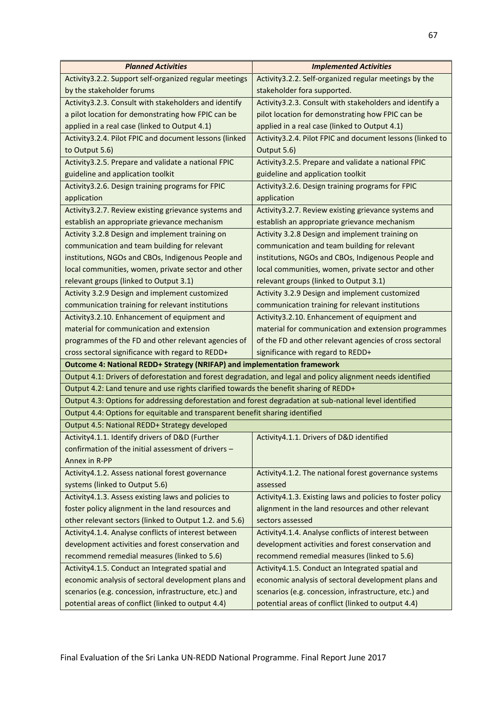| <b>Planned Activities</b>                                                                                    | <b>Implemented Activities</b>                              |  |
|--------------------------------------------------------------------------------------------------------------|------------------------------------------------------------|--|
| Activity 3.2.2. Support self-organized regular meetings                                                      | Activity 3.2.2. Self-organized regular meetings by the     |  |
| by the stakeholder forums                                                                                    | stakeholder fora supported.                                |  |
| Activity 3.2.3. Consult with stakeholders and identify                                                       | Activity 3.2.3. Consult with stakeholders and identify a   |  |
| a pilot location for demonstrating how FPIC can be                                                           | pilot location for demonstrating how FPIC can be           |  |
| applied in a real case (linked to Output 4.1)                                                                | applied in a real case (linked to Output 4.1)              |  |
| Activity 3.2.4. Pilot FPIC and document lessons (linked                                                      | Activity 3.2.4. Pilot FPIC and document lessons (linked to |  |
| to Output 5.6)                                                                                               | Output 5.6)                                                |  |
| Activity 3.2.5. Prepare and validate a national FPIC                                                         | Activity 3.2.5. Prepare and validate a national FPIC       |  |
| guideline and application toolkit                                                                            | guideline and application toolkit                          |  |
| Activity 3.2.6. Design training programs for FPIC                                                            | Activity 3.2.6. Design training programs for FPIC          |  |
| application                                                                                                  | application                                                |  |
| Activity 3.2.7. Review existing grievance systems and                                                        | Activity3.2.7. Review existing grievance systems and       |  |
| establish an appropriate grievance mechanism                                                                 | establish an appropriate grievance mechanism               |  |
| Activity 3.2.8 Design and implement training on                                                              | Activity 3.2.8 Design and implement training on            |  |
| communication and team building for relevant                                                                 | communication and team building for relevant               |  |
| institutions, NGOs and CBOs, Indigenous People and                                                           | institutions, NGOs and CBOs, Indigenous People and         |  |
| local communities, women, private sector and other                                                           | local communities, women, private sector and other         |  |
| relevant groups (linked to Output 3.1)                                                                       | relevant groups (linked to Output 3.1)                     |  |
| Activity 3.2.9 Design and implement customized                                                               | Activity 3.2.9 Design and implement customized             |  |
| communication training for relevant institutions                                                             | communication training for relevant institutions           |  |
| Activity3.2.10. Enhancement of equipment and                                                                 | Activity3.2.10. Enhancement of equipment and               |  |
| material for communication and extension                                                                     | material for communication and extension programmes        |  |
| programmes of the FD and other relevant agencies of                                                          | of the FD and other relevant agencies of cross sectoral    |  |
| cross sectoral significance with regard to REDD+                                                             | significance with regard to REDD+                          |  |
| Outcome 4: National REDD+ Strategy (NRIFAP) and implementation framework                                     |                                                            |  |
| Output 4.1: Drivers of deforestation and forest degradation, and legal and policy alignment needs identified |                                                            |  |
| Output 4.2: Land tenure and use rights clarified towards the benefit sharing of REDD+                        |                                                            |  |
| Output 4.3: Options for addressing deforestation and forest degradation at sub-national level identified     |                                                            |  |
| Output 4.4: Options for equitable and transparent benefit sharing identified                                 |                                                            |  |
| Output 4.5: National REDD+ Strategy developed                                                                |                                                            |  |
| Activity4.1.1. Identify drivers of D&D (Further                                                              | Activity4.1.1. Drivers of D&D identified                   |  |
| confirmation of the initial assessment of drivers -                                                          |                                                            |  |
| Annex in R-PP                                                                                                |                                                            |  |
| Activity4.1.2. Assess national forest governance                                                             | Activity4.1.2. The national forest governance systems      |  |
| systems (linked to Output 5.6)                                                                               | assessed                                                   |  |
| Activity4.1.3. Assess existing laws and policies to                                                          | Activity4.1.3. Existing laws and policies to foster policy |  |
| foster policy alignment in the land resources and                                                            | alignment in the land resources and other relevant         |  |
| other relevant sectors (linked to Output 1.2. and 5.6)                                                       | sectors assessed                                           |  |
| Activity4.1.4. Analyse conflicts of interest between                                                         | Activity4.1.4. Analyse conflicts of interest between       |  |
| development activities and forest conservation and                                                           | development activities and forest conservation and         |  |
| recommend remedial measures (linked to 5.6)                                                                  | recommend remedial measures (linked to 5.6)                |  |
| Activity4.1.5. Conduct an Integrated spatial and                                                             | Activity4.1.5. Conduct an Integrated spatial and           |  |
| economic analysis of sectoral development plans and                                                          | economic analysis of sectoral development plans and        |  |
| scenarios (e.g. concession, infrastructure, etc.) and                                                        | scenarios (e.g. concession, infrastructure, etc.) and      |  |
| potential areas of conflict (linked to output 4.4)                                                           | potential areas of conflict (linked to output 4.4)         |  |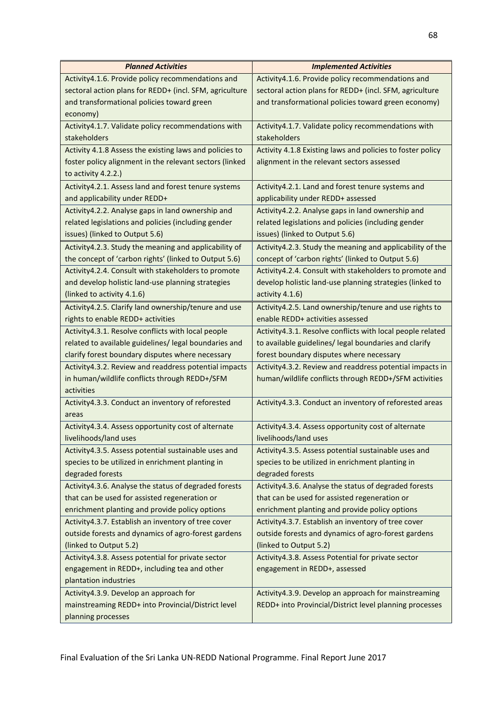| <b>Planned Activities</b>                                                                                  | <b>Implemented Activities</b>                                                                              |
|------------------------------------------------------------------------------------------------------------|------------------------------------------------------------------------------------------------------------|
| Activity4.1.6. Provide policy recommendations and                                                          | Activity4.1.6. Provide policy recommendations and                                                          |
| sectoral action plans for REDD+ (incl. SFM, agriculture                                                    | sectoral action plans for REDD+ (incl. SFM, agriculture                                                    |
| and transformational policies toward green                                                                 | and transformational policies toward green economy)                                                        |
| economy)                                                                                                   |                                                                                                            |
| Activity4.1.7. Validate policy recommendations with                                                        | Activity4.1.7. Validate policy recommendations with                                                        |
| stakeholders                                                                                               | stakeholders                                                                                               |
| Activity 4.1.8 Assess the existing laws and policies to                                                    | Activity 4.1.8 Existing laws and policies to foster policy                                                 |
| foster policy alignment in the relevant sectors (linked                                                    | alignment in the relevant sectors assessed                                                                 |
| to activity 4.2.2.)                                                                                        |                                                                                                            |
| Activity 4.2.1. Assess land and forest tenure systems                                                      | Activity4.2.1. Land and forest tenure systems and                                                          |
| and applicability under REDD+                                                                              | applicability under REDD+ assessed                                                                         |
| Activity4.2.2. Analyse gaps in land ownership and                                                          | Activity4.2.2. Analyse gaps in land ownership and                                                          |
| related legislations and policies (including gender                                                        | related legislations and policies (including gender                                                        |
| issues) (linked to Output 5.6)                                                                             | issues) (linked to Output 5.6)                                                                             |
| Activity 4.2.3. Study the meaning and applicability of                                                     | Activity4.2.3. Study the meaning and applicability of the                                                  |
| the concept of 'carbon rights' (linked to Output 5.6)                                                      | concept of 'carbon rights' (linked to Output 5.6)                                                          |
| Activity4.2.4. Consult with stakeholders to promote                                                        | Activity4.2.4. Consult with stakeholders to promote and                                                    |
| and develop holistic land-use planning strategies                                                          | develop holistic land-use planning strategies (linked to                                                   |
| (linked to activity 4.1.6)                                                                                 | activity 4.1.6)                                                                                            |
| Activity4.2.5. Clarify land ownership/tenure and use                                                       | Activity4.2.5. Land ownership/tenure and use rights to                                                     |
| rights to enable REDD+ activities                                                                          | enable REDD+ activities assessed                                                                           |
| Activity4.3.1. Resolve conflicts with local people                                                         | Activity4.3.1. Resolve conflicts with local people related                                                 |
| related to available guidelines/ legal boundaries and                                                      | to available guidelines/ legal boundaries and clarify                                                      |
| clarify forest boundary disputes where necessary                                                           | forest boundary disputes where necessary                                                                   |
| Activity4.3.2. Review and readdress potential impacts                                                      | Activity4.3.2. Review and readdress potential impacts in                                                   |
| in human/wildlife conflicts through REDD+/SFM                                                              | human/wildlife conflicts through REDD+/SFM activities                                                      |
| activities                                                                                                 |                                                                                                            |
| Activity4.3.3. Conduct an inventory of reforested                                                          | Activity4.3.3. Conduct an inventory of reforested areas                                                    |
| areas                                                                                                      |                                                                                                            |
| Activity4.3.4. Assess opportunity cost of alternate                                                        | Activity4.3.4. Assess opportunity cost of alternate                                                        |
| livelihoods/land uses                                                                                      | livelihoods/land uses                                                                                      |
| Activity4.3.5. Assess potential sustainable uses and                                                       | Activity4.3.5. Assess potential sustainable uses and                                                       |
| species to be utilized in enrichment planting in                                                           | species to be utilized in enrichment planting in                                                           |
| degraded forests                                                                                           | degraded forests                                                                                           |
| Activity4.3.6. Analyse the status of degraded forests                                                      | Activity4.3.6. Analyse the status of degraded forests                                                      |
| that can be used for assisted regeneration or                                                              | that can be used for assisted regeneration or                                                              |
| enrichment planting and provide policy options                                                             | enrichment planting and provide policy options                                                             |
| Activity4.3.7. Establish an inventory of tree cover<br>outside forests and dynamics of agro-forest gardens | Activity4.3.7. Establish an inventory of tree cover<br>outside forests and dynamics of agro-forest gardens |
| (linked to Output 5.2)                                                                                     | (linked to Output 5.2)                                                                                     |
|                                                                                                            |                                                                                                            |
| Activity4.3.8. Assess potential for private sector<br>engagement in REDD+, including tea and other         | Activity4.3.8. Assess Potential for private sector<br>engagement in REDD+, assessed                        |
| plantation industries                                                                                      |                                                                                                            |
| Activity4.3.9. Develop an approach for                                                                     | Activity4.3.9. Develop an approach for mainstreaming                                                       |
| mainstreaming REDD+ into Provincial/District level                                                         | REDD+ into Provincial/District level planning processes                                                    |
| planning processes                                                                                         |                                                                                                            |
|                                                                                                            |                                                                                                            |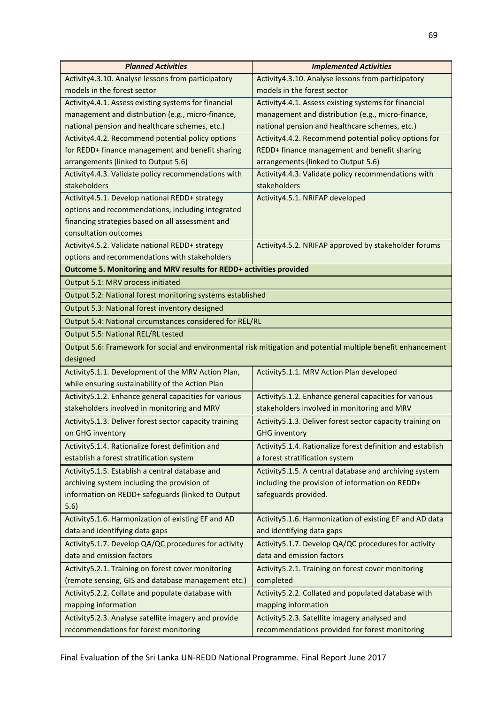| <b>Planned Activities</b>                                           | <b>Implemented Activities</b>                                                                                 |
|---------------------------------------------------------------------|---------------------------------------------------------------------------------------------------------------|
| Activity4.3.10. Analyse lessons from participatory                  | Activity4.3.10. Analyse lessons from participatory                                                            |
| models in the forest sector                                         | models in the forest sector                                                                                   |
| Activity4.4.1. Assess existing systems for financial                | Activity4.4.1. Assess existing systems for financial                                                          |
| management and distribution (e.g., micro-finance,                   | management and distribution (e.g., micro-finance,                                                             |
| national pension and healthcare schemes, etc.)                      | national pension and healthcare schemes, etc.)                                                                |
| Activity4.4.2. Recommend potential policy options                   | Activity4.4.2. Recommend potential policy options for                                                         |
| for REDD+ finance management and benefit sharing                    | REDD+ finance management and benefit sharing                                                                  |
| arrangements (linked to Output 5.6)                                 | arrangements (linked to Output 5.6)                                                                           |
| Activity4.4.3. Validate policy recommendations with                 | Activity4.4.3. Validate policy recommendations with                                                           |
| stakeholders                                                        | stakeholders                                                                                                  |
| Activity4.5.1. Develop national REDD+ strategy                      | Activity4.5.1. NRIFAP developed                                                                               |
| options and recommendations, including integrated                   |                                                                                                               |
| financing strategies based on all assessment and                    |                                                                                                               |
| consultation outcomes                                               |                                                                                                               |
| Activity4.5.2. Validate national REDD+ strategy                     | Activity4.5.2. NRIFAP approved by stakeholder forums                                                          |
| options and recommendations with stakeholders                       |                                                                                                               |
| Outcome 5. Monitoring and MRV results for REDD+ activities provided |                                                                                                               |
| Output 5.1: MRV process initiated                                   |                                                                                                               |
| Output 5.2: National forest monitoring systems established          |                                                                                                               |
| Output 5.3: National forest inventory designed                      |                                                                                                               |
| Output 5.4: National circumstances considered for REL/RL            |                                                                                                               |
| Output 5.5: National REL/RL tested                                  |                                                                                                               |
|                                                                     | Output 5.6: Framework for social and environmental risk mitigation and potential multiple benefit enhancement |
| designed                                                            |                                                                                                               |
| Activity 5.1.1. Development of the MRV Action Plan,                 | Activity5.1.1. MRV Action Plan developed                                                                      |
| while ensuring sustainability of the Action Plan                    |                                                                                                               |
| Activity 5.1.2. Enhance general capacities for various              | Activity5.1.2. Enhance general capacities for various                                                         |
| stakeholders involved in monitoring and MRV                         | stakeholders involved in monitoring and MRV                                                                   |
| Activity5.1.3. Deliver forest sector capacity training              | Activity5.1.3. Deliver forest sector capacity training on                                                     |
| on GHG inventory                                                    | <b>GHG inventory</b>                                                                                          |
| Activity 5.1.4. Rationalize forest definition and                   | Activity5.1.4. Rationalize forest definition and establish                                                    |
| establish a forest stratification system                            | a forest stratification system                                                                                |
| Activity5.1.5. Establish a central database and                     | Activity 5.1.5. A central database and archiving system                                                       |
| archiving system including the provision of                         | including the provision of information on REDD+                                                               |
| information on REDD+ safeguards (linked to Output                   | safeguards provided.                                                                                          |
| 5.6)                                                                |                                                                                                               |
| Activity5.1.6. Harmonization of existing EF and AD                  | Activity 5.1.6. Harmonization of existing EF and AD data                                                      |
| data and identifying data gaps                                      | and identifying data gaps                                                                                     |
| Activity 5.1.7. Develop QA/QC procedures for activity               | Activity 5.1.7. Develop QA/QC procedures for activity                                                         |
| data and emission factors                                           | data and emission factors                                                                                     |
| Activity5.2.1. Training on forest cover monitoring                  | Activity5.2.1. Training on forest cover monitoring                                                            |
| (remote sensing, GIS and database management etc.)                  | completed                                                                                                     |
| Activity 5.2.2. Collate and populate database with                  | Activity 5.2.2. Collated and populated database with                                                          |
| mapping information                                                 | mapping information                                                                                           |
| Activity 5.2.3. Analyse satellite imagery and provide               | Activity 5.2.3. Satellite imagery analysed and                                                                |
| recommendations for forest monitoring                               | recommendations provided for forest monitoring                                                                |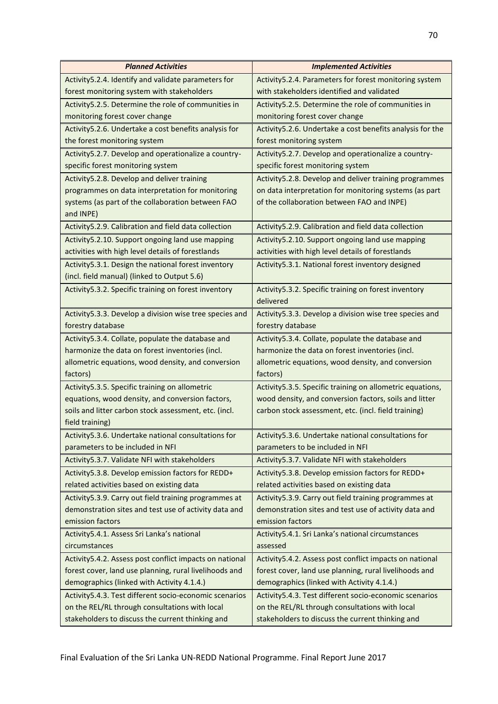| <b>Planned Activities</b>                                | <b>Implemented Activities</b>                              |  |
|----------------------------------------------------------|------------------------------------------------------------|--|
| Activity 5.2.4. Identify and validate parameters for     | Activity 5.2.4. Parameters for forest monitoring system    |  |
| forest monitoring system with stakeholders               | with stakeholders identified and validated                 |  |
| Activity 5.2.5. Determine the role of communities in     | Activity 5.2.5. Determine the role of communities in       |  |
| monitoring forest cover change                           | monitoring forest cover change                             |  |
| Activity 5.2.6. Undertake a cost benefits analysis for   | Activity 5.2.6. Undertake a cost benefits analysis for the |  |
| the forest monitoring system                             | forest monitoring system                                   |  |
| Activity 5.2.7. Develop and operationalize a country-    | Activity 5.2.7. Develop and operationalize a country-      |  |
| specific forest monitoring system                        | specific forest monitoring system                          |  |
| Activity 5.2.8. Develop and deliver training             | Activity5.2.8. Develop and deliver training programmes     |  |
| programmes on data interpretation for monitoring         | on data interpretation for monitoring systems (as part     |  |
| systems (as part of the collaboration between FAO        | of the collaboration between FAO and INPE)                 |  |
| and INPE)                                                |                                                            |  |
| Activity 5.2.9. Calibration and field data collection    | Activity 5.2.9. Calibration and field data collection      |  |
| Activity 5.2.10. Support ongoing land use mapping        | Activity 5.2.10. Support ongoing land use mapping          |  |
| activities with high level details of forestlands        | activities with high level details of forestlands          |  |
| Activity 5.3.1. Design the national forest inventory     | Activity 5.3.1. National forest inventory designed         |  |
| (incl. field manual) (linked to Output 5.6)              |                                                            |  |
| Activity 5.3.2. Specific training on forest inventory    | Activity5.3.2. Specific training on forest inventory       |  |
|                                                          | delivered                                                  |  |
| Activity 5.3.3. Develop a division wise tree species and | Activity 5.3.3. Develop a division wise tree species and   |  |
| forestry database                                        | forestry database                                          |  |
| Activity 5.3.4. Collate, populate the database and       | Activity5.3.4. Collate, populate the database and          |  |
| harmonize the data on forest inventories (incl.          | harmonize the data on forest inventories (incl.            |  |
| allometric equations, wood density, and conversion       | allometric equations, wood density, and conversion         |  |
| factors)                                                 | factors)                                                   |  |
| Activity 5.3.5. Specific training on allometric          | Activity5.3.5. Specific training on allometric equations,  |  |
| equations, wood density, and conversion factors,         | wood density, and conversion factors, soils and litter     |  |
| soils and litter carbon stock assessment, etc. (incl.    | carbon stock assessment, etc. (incl. field training)       |  |
| field training)                                          |                                                            |  |
| Activity5.3.6. Undertake national consultations for      | Activity5.3.6. Undertake national consultations for        |  |
| parameters to be included in NFI                         | parameters to be included in NFI                           |  |
| Activity 5.3.7. Validate NFI with stakeholders           | Activity 5.3.7. Validate NFI with stakeholders             |  |
| Activity 5.3.8. Develop emission factors for REDD+       | Activity 5.3.8. Develop emission factors for REDD+         |  |
| related activities based on existing data                | related activities based on existing data                  |  |
| Activity 5.3.9. Carry out field training programmes at   | Activity 5.3.9. Carry out field training programmes at     |  |
| demonstration sites and test use of activity data and    | demonstration sites and test use of activity data and      |  |
| emission factors                                         | emission factors                                           |  |
| Activity 5.4.1. Assess Sri Lanka's national              | Activity5.4.1. Sri Lanka's national circumstances          |  |
| circumstances                                            | assessed                                                   |  |
| Activity 5.4.2. Assess post conflict impacts on national | Activity 5.4.2. Assess post conflict impacts on national   |  |
| forest cover, land use planning, rural livelihoods and   | forest cover, land use planning, rural livelihoods and     |  |
| demographics (linked with Activity 4.1.4.)               | demographics (linked with Activity 4.1.4.)                 |  |
| Activity 5.4.3. Test different socio-economic scenarios  | Activity5.4.3. Test different socio-economic scenarios     |  |
| on the REL/RL through consultations with local           | on the REL/RL through consultations with local             |  |
| stakeholders to discuss the current thinking and         | stakeholders to discuss the current thinking and           |  |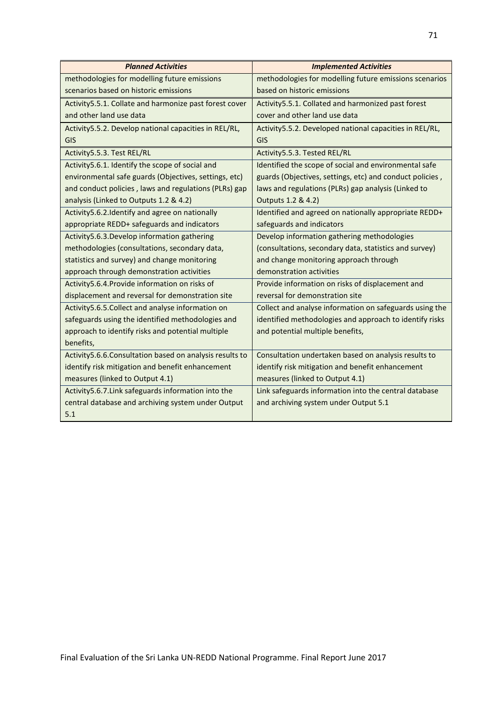| <b>Planned Activities</b>                                 | <b>Implemented Activities</b>                            |
|-----------------------------------------------------------|----------------------------------------------------------|
| methodologies for modelling future emissions              | methodologies for modelling future emissions scenarios   |
| scenarios based on historic emissions                     | based on historic emissions                              |
| Activity 5.5.1. Collate and harmonize past forest cover   | Activity 5.5.1. Collated and harmonized past forest      |
| and other land use data                                   | cover and other land use data                            |
| Activity 5.5.2. Develop national capacities in REL/RL,    | Activity 5.5.2. Developed national capacities in REL/RL, |
| GIS                                                       | GIS                                                      |
| Activity 5.5.3. Test REL/RL                               | Activity 5.5.3. Tested REL/RL                            |
| Activity 5.6.1. Identify the scope of social and          | Identified the scope of social and environmental safe    |
| environmental safe guards (Objectives, settings, etc)     | guards (Objectives, settings, etc) and conduct policies, |
| and conduct policies, laws and regulations (PLRs) gap     | laws and regulations (PLRs) gap analysis (Linked to      |
| analysis (Linked to Outputs 1.2 & 4.2)                    | Outputs 1.2 & 4.2)                                       |
| Activity 5.6.2. Identify and agree on nationally          | Identified and agreed on nationally appropriate REDD+    |
| appropriate REDD+ safeguards and indicators               | safeguards and indicators                                |
| Activity5.6.3. Develop information gathering              | Develop information gathering methodologies              |
| methodologies (consultations, secondary data,             | (consultations, secondary data, statistics and survey)   |
| statistics and survey) and change monitoring              | and change monitoring approach through                   |
| approach through demonstration activities                 | demonstration activities                                 |
| Activity5.6.4. Provide information on risks of            | Provide information on risks of displacement and         |
| displacement and reversal for demonstration site          | reversal for demonstration site                          |
| Activity 5.6.5. Collect and analyse information on        | Collect and analyse information on safeguards using the  |
| safeguards using the identified methodologies and         | identified methodologies and approach to identify risks  |
| approach to identify risks and potential multiple         | and potential multiple benefits,                         |
| benefits,                                                 |                                                          |
| Activity 5.6.6. Consultation based on analysis results to | Consultation undertaken based on analysis results to     |
| identify risk mitigation and benefit enhancement          | identify risk mitigation and benefit enhancement         |
| measures (linked to Output 4.1)                           | measures (linked to Output 4.1)                          |
| Activity5.6.7. Link safeguards information into the       | Link safeguards information into the central database    |
| central database and archiving system under Output        | and archiving system under Output 5.1                    |
| 5.1                                                       |                                                          |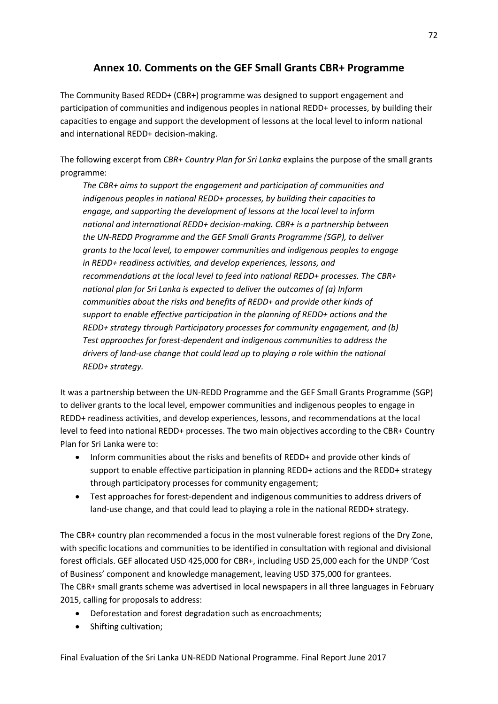# **Annex 10. Comments on the GEF Small Grants CBR+ Programme**

The Community Based REDD+ (CBR+) programme was designed to support engagement and participation of communities and indigenous peoples in national REDD+ processes, by building their capacities to engage and support the development of lessons at the local level to inform national and international REDD+ decision-making.

The following excerpt from *CBR+ Country Plan for Sri Lanka* explains the purpose of the small grants programme:

*The CBR+ aims to support the engagement and participation of communities and indigenous peoples in national REDD+ processes, by building their capacities to engage, and supporting the development of lessons at the local level to inform national and international REDD+ decision-making. CBR+ is a partnership between the UN-REDD Programme and the GEF Small Grants Programme (SGP), to deliver grants to the local level, to empower communities and indigenous peoples to engage in REDD+ readiness activities, and develop experiences, lessons, and recommendations at the local level to feed into national REDD+ processes. The CBR+ national plan for Sri Lanka is expected to deliver the outcomes of (a) Inform communities about the risks and benefits of REDD+ and provide other kinds of support to enable effective participation in the planning of REDD+ actions and the REDD+ strategy through Participatory processes for community engagement, and (b) Test approaches for forest-dependent and indigenous communities to address the drivers of land-use change that could lead up to playing a role within the national REDD+ strategy.*

It was a partnership between the UN-REDD Programme and the GEF Small Grants Programme (SGP) to deliver grants to the local level, empower communities and indigenous peoples to engage in REDD+ readiness activities, and develop experiences, lessons, and recommendations at the local level to feed into national REDD+ processes. The two main objectives according to the CBR+ Country Plan for Sri Lanka were to:

- Inform communities about the risks and benefits of REDD+ and provide other kinds of support to enable effective participation in planning REDD+ actions and the REDD+ strategy through participatory processes for community engagement;
- Test approaches for forest-dependent and indigenous communities to address drivers of land-use change, and that could lead to playing a role in the national REDD+ strategy.

The CBR+ country plan recommended a focus in the most vulnerable forest regions of the Dry Zone, with specific locations and communities to be identified in consultation with regional and divisional forest officials. GEF allocated USD 425,000 for CBR+, including USD 25,000 each for the UNDP 'Cost of Business' component and knowledge management, leaving USD 375,000 for grantees. The CBR+ small grants scheme was advertised in local newspapers in all three languages in February 2015, calling for proposals to address:

- Deforestation and forest degradation such as encroachments;
- Shifting cultivation;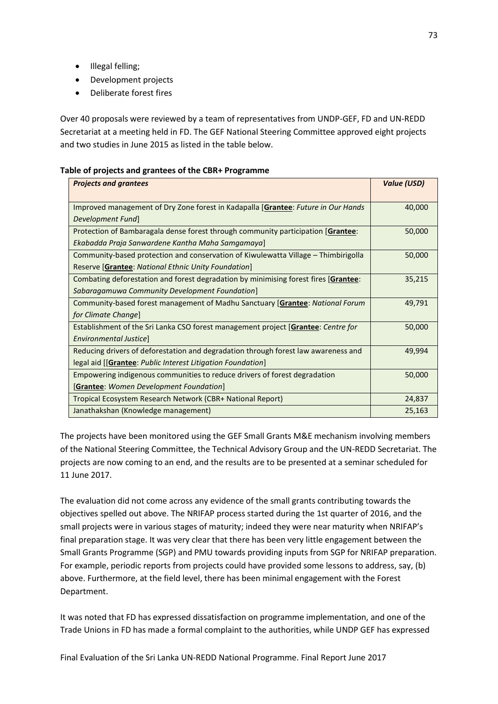- Illegal felling;
- Development projects
- Deliberate forest fires

Over 40 proposals were reviewed by a team of representatives from UNDP-GEF, FD and UN-REDD Secretariat at a meeting held in FD. The GEF National Steering Committee approved eight projects and two studies in June 2015 as listed in the table below.

# **Table of projects and grantees of the CBR+ Programme**

| <b>Projects and grantees</b>                                                               | <b>Value (USD)</b> |
|--------------------------------------------------------------------------------------------|--------------------|
| Improved management of Dry Zone forest in Kadapalla [Grantee: Future in Our Hands          | 40,000             |
| Development Fund]                                                                          |                    |
| Protection of Bambaragala dense forest through community participation [Grantee:           | 50,000             |
| Ekabadda Praja Sanwardene Kantha Maha Samgamaya]                                           |                    |
| Community-based protection and conservation of Kiwulewatta Village – Thimbirigolla         | 50,000             |
| Reserve [Grantee: National Ethnic Unity Foundation]                                        |                    |
| Combating deforestation and forest degradation by minimising forest fires [Grantee:        | 35,215             |
| Sabaragamuwa Community Development Foundation]                                             |                    |
| Community-based forest management of Madhu Sanctuary <i>[Grantee: National Forum</i>       | 49,791             |
| for Climate Change]                                                                        |                    |
| Establishment of the Sri Lanka CSO forest management project [ <b>Grantee</b> : Centre for | 50,000             |
| Environmental Justice                                                                      |                    |
| Reducing drivers of deforestation and degradation through forest law awareness and         | 49,994             |
| legal aid [[Grantee: Public Interest Litigation Foundation]                                |                    |
| Empowering indigenous communities to reduce drivers of forest degradation                  | 50,000             |
| <b>[Grantee:</b> Women Development Foundation]                                             |                    |
| Tropical Ecosystem Research Network (CBR+ National Report)                                 | 24,837             |
| Janathakshan (Knowledge management)                                                        | 25,163             |

The projects have been monitored using the GEF Small Grants M&E mechanism involving members of the National Steering Committee, the Technical Advisory Group and the UN-REDD Secretariat. The projects are now coming to an end, and the results are to be presented at a seminar scheduled for 11 June 2017.

The evaluation did not come across any evidence of the small grants contributing towards the objectives spelled out above. The NRIFAP process started during the 1st quarter of 2016, and the small projects were in various stages of maturity; indeed they were near maturity when NRIFAP's final preparation stage. It was very clear that there has been very little engagement between the Small Grants Programme (SGP) and PMU towards providing inputs from SGP for NRIFAP preparation. For example, periodic reports from projects could have provided some lessons to address, say, (b) above. Furthermore, at the field level, there has been minimal engagement with the Forest Department.

It was noted that FD has expressed dissatisfaction on programme implementation, and one of the Trade Unions in FD has made a formal complaint to the authorities, while UNDP GEF has expressed

Final Evaluation of the Sri Lanka UN-REDD National Programme. Final Report June 2017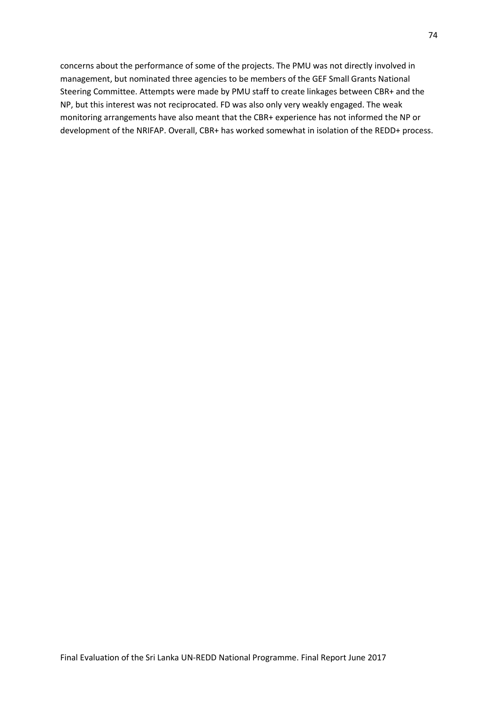concerns about the performance of some of the projects. The PMU was not directly involved in management, but nominated three agencies to be members of the GEF Small Grants National Steering Committee. Attempts were made by PMU staff to create linkages between CBR+ and the NP, but this interest was not reciprocated. FD was also only very weakly engaged. The weak monitoring arrangements have also meant that the CBR+ experience has not informed the NP or development of the NRIFAP. Overall, CBR+ has worked somewhat in isolation of the REDD+ process.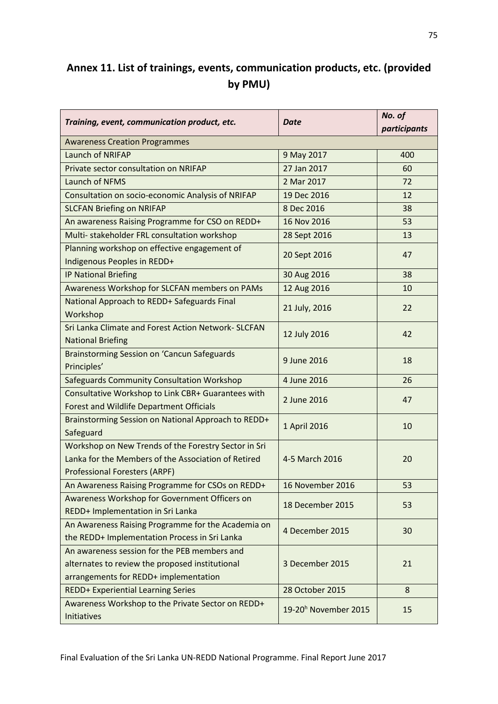# **Annex 11. List of trainings, events, communication products, etc. (provided by PMU)**

| Training, event, communication product, etc.                                                                                                        | <b>Date</b>                      | No. of<br>participants |
|-----------------------------------------------------------------------------------------------------------------------------------------------------|----------------------------------|------------------------|
| <b>Awareness Creation Programmes</b>                                                                                                                |                                  |                        |
| Launch of NRIFAP                                                                                                                                    | 9 May 2017                       | 400                    |
| Private sector consultation on NRIFAP                                                                                                               | 27 Jan 2017                      | 60                     |
| Launch of NFMS                                                                                                                                      | 2 Mar 2017                       | 72                     |
| Consultation on socio-economic Analysis of NRIFAP                                                                                                   | 19 Dec 2016                      | 12                     |
| <b>SLCFAN Briefing on NRIFAP</b>                                                                                                                    | 8 Dec 2016                       | 38                     |
| An awareness Raising Programme for CSO on REDD+                                                                                                     | 16 Nov 2016                      | 53                     |
| Multi- stakeholder FRL consultation workshop                                                                                                        | 28 Sept 2016                     | 13                     |
| Planning workshop on effective engagement of<br>Indigenous Peoples in REDD+                                                                         | 20 Sept 2016                     | 47                     |
| <b>IP National Briefing</b>                                                                                                                         | 30 Aug 2016                      | 38                     |
| Awareness Workshop for SLCFAN members on PAMs                                                                                                       | 12 Aug 2016                      | 10                     |
| National Approach to REDD+ Safeguards Final                                                                                                         |                                  |                        |
| Workshop                                                                                                                                            | 21 July, 2016                    | 22                     |
| Sri Lanka Climate and Forest Action Network- SLCFAN                                                                                                 | 12 July 2016                     | 42                     |
| <b>National Briefing</b>                                                                                                                            |                                  |                        |
| <b>Brainstorming Session on 'Cancun Safeguards</b><br>Principles'                                                                                   | 9 June 2016                      | 18                     |
| <b>Safeguards Community Consultation Workshop</b>                                                                                                   | 4 June 2016                      | 26                     |
| Consultative Workshop to Link CBR+ Guarantees with                                                                                                  |                                  |                        |
| <b>Forest and Wildlife Department Officials</b>                                                                                                     | 2 June 2016                      | 47                     |
| Brainstorming Session on National Approach to REDD+<br>Safeguard                                                                                    | 1 April 2016                     | 10                     |
| Workshop on New Trends of the Forestry Sector in Sri<br>Lanka for the Members of the Association of Retired<br><b>Professional Foresters (ARPF)</b> | 4-5 March 2016                   | 20                     |
| An Awareness Raising Programme for CSOs on REDD+                                                                                                    | 16 November 2016                 | 53                     |
| Awareness Workshop for Government Officers on<br>REDD+ Implementation in Sri Lanka                                                                  | 18 December 2015                 | 53                     |
| An Awareness Raising Programme for the Academia on<br>the REDD+ Implementation Process in Sri Lanka                                                 | 4 December 2015                  | 30                     |
| An awareness session for the PEB members and<br>alternates to review the proposed institutional<br>arrangements for REDD+ implementation            | 3 December 2015                  | 21                     |
| <b>REDD+ Experiential Learning Series</b>                                                                                                           | 28 October 2015                  | 8                      |
| Awareness Workshop to the Private Sector on REDD+<br>Initiatives                                                                                    | 19-20 <sup>h</sup> November 2015 | 15                     |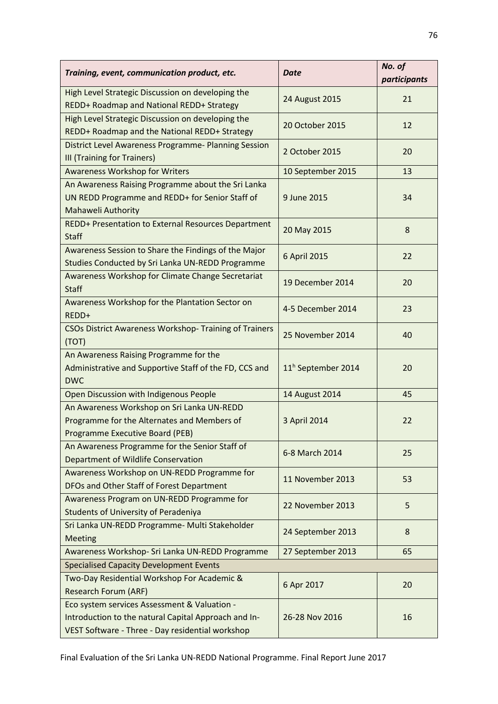| Training, event, communication product, etc.                                                                                                             | <b>Date</b>                    | No. of<br>participants |
|----------------------------------------------------------------------------------------------------------------------------------------------------------|--------------------------------|------------------------|
| High Level Strategic Discussion on developing the<br>REDD+ Roadmap and National REDD+ Strategy                                                           | 24 August 2015                 | 21                     |
| High Level Strategic Discussion on developing the<br>REDD+ Roadmap and the National REDD+ Strategy                                                       | 20 October 2015                | 12                     |
| District Level Awareness Programme- Planning Session<br>III (Training for Trainers)                                                                      | 2 October 2015                 | 20                     |
| <b>Awareness Workshop for Writers</b>                                                                                                                    | 10 September 2015              | 13                     |
| An Awareness Raising Programme about the Sri Lanka<br>UN REDD Programme and REDD+ for Senior Staff of<br>Mahaweli Authority                              | 9 June 2015                    | 34                     |
| REDD+ Presentation to External Resources Department<br><b>Staff</b>                                                                                      | 20 May 2015                    | 8                      |
| Awareness Session to Share the Findings of the Major<br>Studies Conducted by Sri Lanka UN-REDD Programme                                                 | 6 April 2015                   | 22                     |
| Awareness Workshop for Climate Change Secretariat<br><b>Staff</b>                                                                                        | 19 December 2014               | 20                     |
| Awareness Workshop for the Plantation Sector on<br>REDD+                                                                                                 | 4-5 December 2014              | 23                     |
| <b>CSOs District Awareness Workshop- Training of Trainers</b><br>(TOT)                                                                                   | 25 November 2014               | 40                     |
| An Awareness Raising Programme for the<br>Administrative and Supportive Staff of the FD, CCS and<br><b>DWC</b>                                           | 11 <sup>h</sup> September 2014 | 20                     |
| Open Discussion with Indigenous People                                                                                                                   | 14 August 2014                 | 45                     |
| An Awareness Workshop on Sri Lanka UN-REDD<br>Programme for the Alternates and Members of<br>Programme Executive Board (PEB)                             | 3 April 2014                   | 22                     |
| An Awareness Programme for the Senior Staff of<br>Department of Wildlife Conservation                                                                    | 6-8 March 2014                 | 25                     |
| Awareness Workshop on UN-REDD Programme for<br>DFOs and Other Staff of Forest Department                                                                 | 11 November 2013               | 53                     |
| Awareness Program on UN-REDD Programme for<br><b>Students of University of Peradeniya</b>                                                                | 22 November 2013               | 5                      |
| Sri Lanka UN-REDD Programme- Multi Stakeholder<br><b>Meeting</b>                                                                                         | 24 September 2013              | 8                      |
| Awareness Workshop- Sri Lanka UN-REDD Programme                                                                                                          | 27 September 2013              | 65                     |
| <b>Specialised Capacity Development Events</b>                                                                                                           |                                |                        |
| Two-Day Residential Workshop For Academic &                                                                                                              | 6 Apr 2017                     | 20                     |
| <b>Research Forum (ARF)</b>                                                                                                                              |                                |                        |
| Eco system services Assessment & Valuation -<br>Introduction to the natural Capital Approach and In-<br>VEST Software - Three - Day residential workshop | 26-28 Nov 2016                 | 16                     |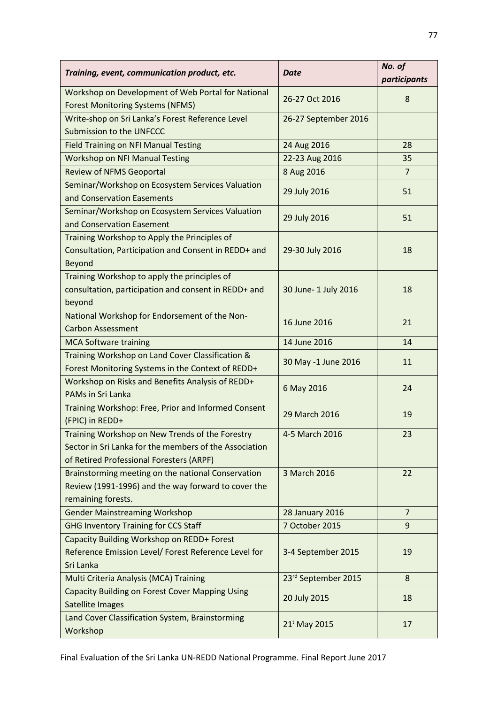| Training, event, communication product, etc.                                                                                                          | <b>Date</b>              | No. of<br>participants |
|-------------------------------------------------------------------------------------------------------------------------------------------------------|--------------------------|------------------------|
| Workshop on Development of Web Portal for National<br><b>Forest Monitoring Systems (NFMS)</b>                                                         | 26-27 Oct 2016           | 8                      |
| Write-shop on Sri Lanka's Forest Reference Level<br>Submission to the UNFCCC                                                                          | 26-27 September 2016     |                        |
| <b>Field Training on NFI Manual Testing</b>                                                                                                           | 24 Aug 2016              | 28                     |
| <b>Workshop on NFI Manual Testing</b>                                                                                                                 | 22-23 Aug 2016           | 35                     |
| <b>Review of NFMS Geoportal</b>                                                                                                                       | 8 Aug 2016               | $\overline{7}$         |
| Seminar/Workshop on Ecosystem Services Valuation<br>and Conservation Easements                                                                        | 29 July 2016             | 51                     |
| Seminar/Workshop on Ecosystem Services Valuation<br>and Conservation Easement                                                                         | 29 July 2016             | 51                     |
| Training Workshop to Apply the Principles of<br>Consultation, Participation and Consent in REDD+ and<br>Beyond                                        | 29-30 July 2016          | 18                     |
| Training Workshop to apply the principles of<br>consultation, participation and consent in REDD+ and<br>beyond                                        | 30 June- 1 July 2016     | 18                     |
| National Workshop for Endorsement of the Non-<br><b>Carbon Assessment</b>                                                                             | 16 June 2016             | 21                     |
| <b>MCA Software training</b>                                                                                                                          | 14 June 2016             | 14                     |
| Training Workshop on Land Cover Classification &<br>Forest Monitoring Systems in the Context of REDD+                                                 | 30 May -1 June 2016      | 11                     |
| Workshop on Risks and Benefits Analysis of REDD+<br>PAMs in Sri Lanka                                                                                 | 6 May 2016               | 24                     |
| Training Workshop: Free, Prior and Informed Consent<br>(FPIC) in REDD+                                                                                | 29 March 2016            | 19                     |
| Training Workshop on New Trends of the Forestry<br>Sector in Sri Lanka for the members of the Association<br>of Retired Professional Foresters (ARPF) | 4-5 March 2016           | 23                     |
| Brainstorming meeting on the national Conservation<br>Review (1991-1996) and the way forward to cover the<br>remaining forests.                       | 3 March 2016             | 22                     |
| <b>Gender Mainstreaming Workshop</b>                                                                                                                  | 28 January 2016          | $\overline{7}$         |
| <b>GHG Inventory Training for CCS Staff</b>                                                                                                           | 7 October 2015           | 9                      |
| Capacity Building Workshop on REDD+ Forest<br>Reference Emission Level/ Forest Reference Level for<br>Sri Lanka                                       | 3-4 September 2015       | 19                     |
| Multi Criteria Analysis (MCA) Training                                                                                                                | 23rd September 2015      | 8                      |
| <b>Capacity Building on Forest Cover Mapping Using</b><br>Satellite Images                                                                            | 20 July 2015             | 18                     |
| Land Cover Classification System, Brainstorming<br>Workshop                                                                                           | 21 <sup>t</sup> May 2015 | 17                     |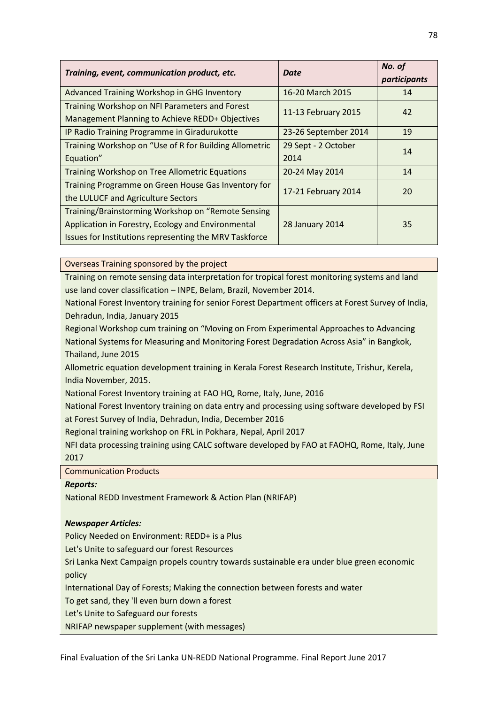| Training, event, communication product, etc.           | Date                 | No. of<br>participants |
|--------------------------------------------------------|----------------------|------------------------|
| Advanced Training Workshop in GHG Inventory            | 16-20 March 2015     | 14                     |
| Training Workshop on NFI Parameters and Forest         | 11-13 February 2015  | 42                     |
| Management Planning to Achieve REDD+ Objectives        |                      |                        |
| IP Radio Training Programme in Giradurukotte           | 23-26 September 2014 | 19                     |
| Training Workshop on "Use of R for Building Allometric | 29 Sept - 2 October  | 14                     |
| Equation"                                              | 2014                 |                        |
| <b>Training Workshop on Tree Allometric Equations</b>  | 20-24 May 2014       | 14                     |
| Training Programme on Green House Gas Inventory for    | 17-21 February 2014  | 20                     |
| the LULUCF and Agriculture Sectors                     |                      |                        |
| Training/Brainstorming Workshop on "Remote Sensing     |                      |                        |
| Application in Forestry, Ecology and Environmental     | 28 January 2014      | 35                     |
| Issues for Institutions representing the MRV Taskforce |                      |                        |

Overseas Training sponsored by the project

Training on remote sensing data interpretation for tropical forest monitoring systems and land use land cover classification – INPE, Belam, Brazil, November 2014.

National Forest Inventory training for senior Forest Department officers at Forest Survey of India, Dehradun, India, January 2015

Regional Workshop cum training on "Moving on From Experimental Approaches to Advancing National Systems for Measuring and Monitoring Forest Degradation Across Asia" in Bangkok, Thailand, June 2015

Allometric equation development training in Kerala Forest Research Institute, Trishur, Kerela, India November, 2015.

National Forest Inventory training at FAO HQ, Rome, Italy, June, 2016

National Forest Inventory training on data entry and processing using software developed by FSI at Forest Survey of India, Dehradun, India, December 2016

Regional training workshop on FRL in Pokhara, Nepal, April 2017

NFI data processing training using CALC software developed by FAO at FAOHQ, Rome, Italy, June 2017

Communication Products

# *Reports:*

National REDD Investment Framework & Action Plan (NRIFAP)

# *Newspaper Articles:*

Policy Needed on Environment: REDD+ is a Plus

Let's Unite to safeguard our forest Resources

Sri Lanka Next Campaign propels country towards sustainable era under blue green economic policy

International Day of Forests; Making the connection between forests and water

To get sand, they 'll even burn down a forest

Let's Unite to Safeguard our forests

NRIFAP newspaper supplement (with messages)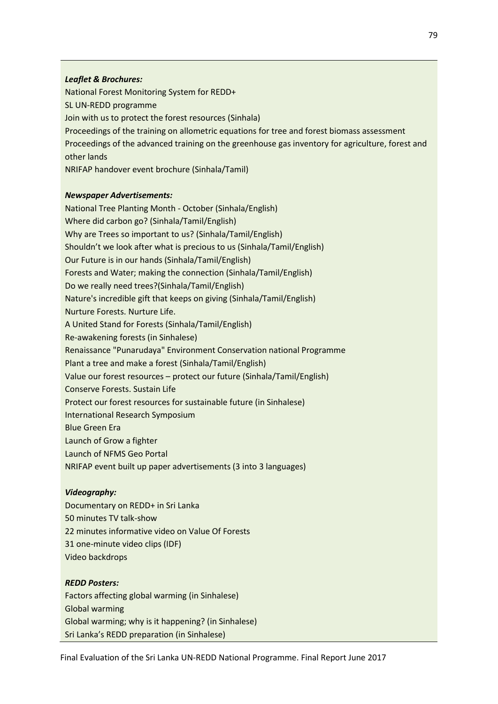# *Leaflet & Brochures:*

National Forest Monitoring System for REDD+ SL UN-REDD programme Join with us to protect the forest resources (Sinhala) Proceedings of the training on allometric equations for tree and forest biomass assessment Proceedings of the advanced training on the greenhouse gas inventory for agriculture, forest and other lands NRIFAP handover event brochure (Sinhala/Tamil)

### *Newspaper Advertisements:*

National Tree Planting Month - October (Sinhala/English) Where did carbon go? (Sinhala/Tamil/English) Why are Trees so important to us? (Sinhala/Tamil/English) Shouldn't we look after what is precious to us (Sinhala/Tamil/English) Our Future is in our hands (Sinhala/Tamil/English) Forests and Water; making the connection (Sinhala/Tamil/English) Do we really need trees?(Sinhala/Tamil/English) Nature's incredible gift that keeps on giving (Sinhala/Tamil/English) Nurture Forests. Nurture Life. A United Stand for Forests (Sinhala/Tamil/English) Re-awakening forests (in Sinhalese) Renaissance "Punarudaya" Environment Conservation national Programme Plant a tree and make a forest (Sinhala/Tamil/English) Value our forest resources – protect our future (Sinhala/Tamil/English) Conserve Forests. Sustain Life Protect our forest resources for sustainable future (in Sinhalese) International Research Symposium Blue Green Era Launch of Grow a fighter Launch of NFMS Geo Portal NRIFAP event built up paper advertisements (3 into 3 languages)

### *Videography:*

Documentary on REDD+ in Sri Lanka 50 minutes TV talk-show 22 minutes informative video on Value Of Forests 31 one-minute video clips (IDF) Video backdrops

### *REDD Posters:*

Factors affecting global warming (in Sinhalese) Global warming Global warming; why is it happening? (in Sinhalese) Sri Lanka's REDD preparation (in Sinhalese)